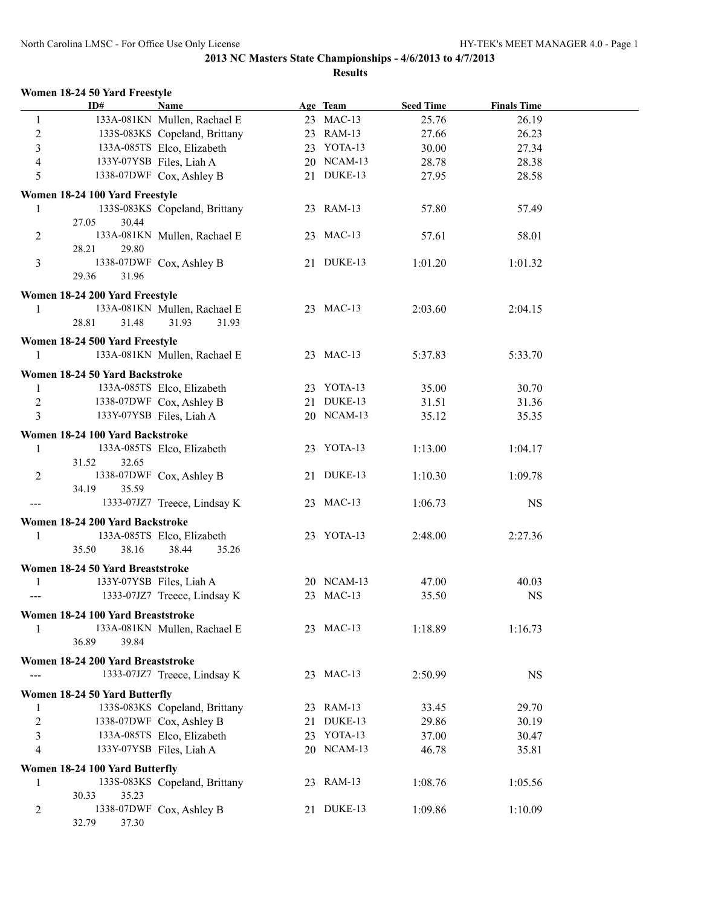|  |  |  |  | Women 18-24 50 Yard Freestyle |
|--|--|--|--|-------------------------------|
|--|--|--|--|-------------------------------|

| ID#                                      | <b>Name</b>                                          | Age Team                 | <b>Seed Time</b> | <b>Finals Time</b> |  |
|------------------------------------------|------------------------------------------------------|--------------------------|------------------|--------------------|--|
| -1                                       | 133A-081KN Mullen, Rachael E                         | 23 MAC-13                | 25.76            | 26.19              |  |
| $\overline{c}$                           | 133S-083KS Copeland, Brittany                        | 23 RAM-13                | 27.66            | 26.23              |  |
| 3                                        | 133A-085TS Elco, Elizabeth                           | 23 YOTA-13               | 30.00            | 27.34              |  |
| $\overline{4}$                           | 133Y-07YSB Files, Liah A                             | 20 NCAM-13               | 28.78            | 28.38              |  |
| 5                                        | 1338-07DWF Cox, Ashley B                             | 21 DUKE-13               | 27.95            | 28.58              |  |
| Women 18-24 100 Yard Freestyle           |                                                      |                          |                  |                    |  |
| 1                                        | 133S-083KS Copeland, Brittany                        | 23 RAM-13                | 57.80            | 57.49              |  |
| 27.05<br>30.44                           |                                                      |                          |                  |                    |  |
| 2                                        | 133A-081KN Mullen, Rachael E                         | 23 MAC-13                | 57.61            | 58.01              |  |
| 28.21<br>29.80                           |                                                      |                          |                  |                    |  |
| 3                                        | 1338-07DWF Cox, Ashley B                             | 21 DUKE-13               | 1:01.20          | 1:01.32            |  |
| 29.36<br>31.96                           |                                                      |                          |                  |                    |  |
| Women 18-24 200 Yard Freestyle           |                                                      |                          |                  |                    |  |
| 1                                        | 133A-081KN Mullen, Rachael E                         | 23 MAC-13                | 2:03.60          | 2:04.15            |  |
| 31.48<br>28.81                           | 31.93<br>31.93                                       |                          |                  |                    |  |
| Women 18-24 500 Yard Freestyle           |                                                      |                          |                  |                    |  |
| 1                                        | 133A-081KN Mullen, Rachael E                         | 23 MAC-13                | 5:37.83          | 5:33.70            |  |
|                                          |                                                      |                          |                  |                    |  |
| Women 18-24 50 Yard Backstroke           |                                                      |                          |                  |                    |  |
| 1                                        | 133A-085TS Elco, Elizabeth                           | 23 YOTA-13               | 35.00            | 30.70              |  |
| $\sqrt{2}$<br>$\overline{3}$             | 1338-07DWF Cox, Ashley B<br>133Y-07YSB Files, Liah A | 21 DUKE-13<br>20 NCAM-13 | 31.51            | 31.36              |  |
|                                          |                                                      |                          | 35.12            | 35.35              |  |
| Women 18-24 100 Yard Backstroke          |                                                      |                          |                  |                    |  |
| 1                                        | 133A-085TS Elco, Elizabeth                           | 23 YOTA-13               | 1:13.00          | 1:04.17            |  |
| 31.52<br>32.65                           |                                                      |                          |                  |                    |  |
| 2                                        | 1338-07DWF Cox, Ashley B                             | 21 DUKE-13               | 1:10.30          | 1:09.78            |  |
| 34.19<br>35.59<br>$\qquad \qquad \cdots$ | 1333-07JZ7 Treece, Lindsay K                         | 23 MAC-13                | 1:06.73          | <b>NS</b>          |  |
|                                          |                                                      |                          |                  |                    |  |
| Women 18-24 200 Yard Backstroke          |                                                      |                          |                  |                    |  |
| 1                                        | 133A-085TS Elco, Elizabeth                           | 23 YOTA-13               | 2:48.00          | 2:27.36            |  |
| 35.50<br>38.16                           | 38.44<br>35.26                                       |                          |                  |                    |  |
| Women 18-24 50 Yard Breaststroke         |                                                      |                          |                  |                    |  |
| 1                                        | 133Y-07YSB Files, Liah A                             | 20 NCAM-13               | 47.00            | 40.03              |  |
|                                          | 1333-07JZ7 Treece, Lindsay K                         | 23 MAC-13                | 35.50            | <b>NS</b>          |  |
| Women 18-24 100 Yard Breaststroke        |                                                      |                          |                  |                    |  |
| 1                                        | 133A-081KN Mullen, Rachael E                         | 23 MAC-13                | 1:18.89          | 1:16.73            |  |
| 36.89<br>39.84                           |                                                      |                          |                  |                    |  |
| Women 18-24 200 Yard Breaststroke        |                                                      |                          |                  |                    |  |
|                                          | 1333-07JZ7 Treece, Lindsay K                         | 23 MAC-13                | 2:50.99          | <b>NS</b>          |  |
| Women 18-24 50 Yard Butterfly            |                                                      |                          |                  |                    |  |
| 1                                        | 133S-083KS Copeland, Brittany                        | 23 RAM-13                | 33.45            | 29.70              |  |
| $\overline{c}$                           | 1338-07DWF Cox, Ashley B                             | 21 DUKE-13               | 29.86            | 30.19              |  |
| 3                                        | 133A-085TS Elco, Elizabeth                           | 23 YOTA-13               | 37.00            | 30.47              |  |
| 4                                        | 133Y-07YSB Files, Liah A                             | 20 NCAM-13               | 46.78            | 35.81              |  |
|                                          |                                                      |                          |                  |                    |  |
| Women 18-24 100 Yard Butterfly<br>1      | 133S-083KS Copeland, Brittany                        | 23 RAM-13                | 1:08.76          | 1:05.56            |  |
| 35.23<br>30.33                           |                                                      |                          |                  |                    |  |
| 2                                        | 1338-07DWF Cox, Ashley B                             | 21 DUKE-13               | 1:09.86          | 1:10.09            |  |
| 32.79<br>37.30                           |                                                      |                          |                  |                    |  |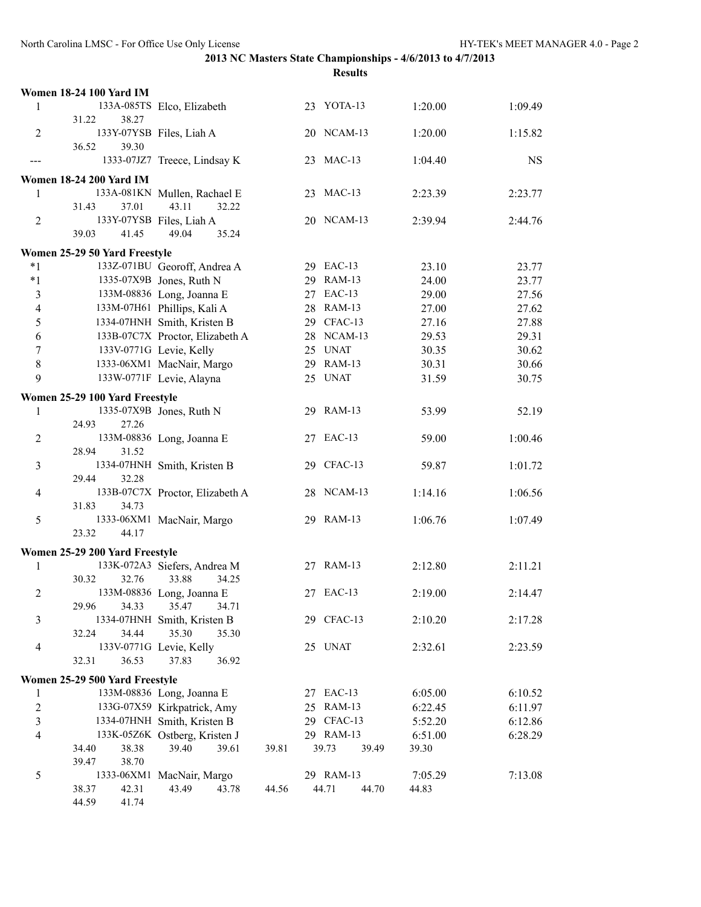|                          | <b>Women 18-24 100 Yard IM</b> |                                                 |       |                             |                  |           |
|--------------------------|--------------------------------|-------------------------------------------------|-------|-----------------------------|------------------|-----------|
| 1                        |                                | 133A-085TS Elco, Elizabeth                      |       | 23 YOTA-13                  | 1:20.00          | 1:09.49   |
|                          | 38.27<br>31.22                 |                                                 |       |                             |                  |           |
| $\overline{2}$           |                                | 133Y-07YSB Files, Liah A                        |       | 20 NCAM-13                  | 1:20.00          | 1:15.82   |
|                          | 36.52<br>39.30                 |                                                 |       |                             |                  |           |
| ---                      |                                | 1333-07JZ7 Treece, Lindsay K                    |       | 23 MAC-13                   | 1:04.40          | <b>NS</b> |
|                          | <b>Women 18-24 200 Yard IM</b> |                                                 |       |                             |                  |           |
| 1                        |                                | 133A-081KN Mullen, Rachael E                    |       | 23 MAC-13                   | 2:23.39          | 2:23.77   |
|                          | 37.01<br>31.43                 | 43.11<br>32.22                                  |       |                             |                  |           |
| $\overline{2}$           |                                | 133Y-07YSB Files, Liah A                        |       | 20 NCAM-13                  | 2:39.94          | 2:44.76   |
|                          | 39.03<br>41.45                 | 49.04<br>35.24                                  |       |                             |                  |           |
|                          | Women 25-29 50 Yard Freestyle  |                                                 |       |                             |                  |           |
| $*1$                     |                                | 133Z-071BU Georoff, Andrea A                    |       | 29 EAC-13                   | 23.10            | 23.77     |
| $*1$                     |                                | 1335-07X9B Jones, Ruth N                        |       | 29 RAM-13                   | 24.00            | 23.77     |
| 3                        |                                | 133M-08836 Long, Joanna E                       |       | 27 EAC-13                   | 29.00            | 27.56     |
| $\overline{4}$           |                                | 133M-07H61 Phillips, Kali A                     |       | 28 RAM-13                   | 27.00            | 27.62     |
| 5                        |                                | 1334-07HNH Smith, Kristen B                     |       | 29 CFAC-13                  | 27.16            | 27.88     |
| 6                        |                                | 133B-07C7X Proctor, Elizabeth A                 |       | 28 NCAM-13                  | 29.53            | 29.31     |
| 7                        |                                | 133V-0771G Levie, Kelly                         |       | 25 UNAT                     | 30.35            | 30.62     |
| $\,8\,$                  |                                | 1333-06XM1 MacNair, Margo                       |       | 29 RAM-13                   | 30.31            | 30.66     |
| 9                        |                                | 133W-0771F Levie, Alayna                        |       | 25 UNAT                     | 31.59            | 30.75     |
|                          | Women 25-29 100 Yard Freestyle |                                                 |       |                             |                  |           |
| 1                        |                                | 1335-07X9B Jones, Ruth N                        |       | 29 RAM-13                   | 53.99            | 52.19     |
|                          | 27.26<br>24.93                 |                                                 |       |                             |                  |           |
| $\overline{c}$           |                                | 133M-08836 Long, Joanna E                       |       | 27 EAC-13                   | 59.00            | 1:00.46   |
|                          | 28.94<br>31.52                 |                                                 |       |                             |                  |           |
| 3                        |                                | 1334-07HNH Smith, Kristen B                     |       | 29 CFAC-13                  | 59.87            | 1:01.72   |
|                          | 29.44<br>32.28                 |                                                 |       |                             |                  |           |
| $\overline{4}$           |                                | 133B-07C7X Proctor, Elizabeth A                 |       | 28 NCAM-13                  | 1:14.16          | 1:06.56   |
|                          | 34.73<br>31.83                 |                                                 |       |                             |                  |           |
| 5                        |                                | 1333-06XM1 MacNair, Margo                       |       | 29 RAM-13                   | 1:06.76          | 1:07.49   |
|                          | 23.32<br>44.17                 |                                                 |       |                             |                  |           |
|                          | Women 25-29 200 Yard Freestyle |                                                 |       |                             |                  |           |
| 1                        |                                | 133K-072A3 Siefers, Andrea M                    |       | 27 RAM-13                   | 2:12.80          | 2:11.21   |
|                          | 30.32<br>32.76                 | 33.88<br>34.25                                  |       |                             |                  |           |
| $\overline{2}$           |                                | 133M-08836 Long, Joanna E                       |       | 27 EAC-13                   | 2:19.00          | 2:14.47   |
|                          | 29.96<br>34.33                 | 35.47<br>34.71                                  |       |                             |                  |           |
| 3                        | 32.24<br>34.44                 | 1334-07HNH Smith, Kristen B<br>35.30<br>35.30   |       | 29 CFAC-13                  | 2:10.20          | 2:17.28   |
| $\overline{\mathcal{A}}$ |                                | 133V-0771G Levie, Kelly                         |       | 25 UNAT                     | 2:32.61          | 2:23.59   |
|                          | 32.31<br>36.53                 | 37.83<br>36.92                                  |       |                             |                  |           |
|                          |                                |                                                 |       |                             |                  |           |
|                          | Women 25-29 500 Yard Freestyle |                                                 |       |                             |                  |           |
| 1                        |                                | 133M-08836 Long, Joanna E                       |       | 27 EAC-13                   | 6:05.00          | 6:10.52   |
| $\overline{2}$           |                                | 133G-07X59 Kirkpatrick, Amy                     |       | 25 RAM-13                   | 6:22.45          | 6:11.97   |
| 3                        |                                | 1334-07HNH Smith, Kristen B                     |       | 29 CFAC-13                  | 5:52.20          | 6:12.86   |
| $\overline{4}$           | 34.40<br>38.38                 | 133K-05Z6K Ostberg, Kristen J<br>39.40<br>39.61 | 39.81 | 29 RAM-13<br>39.73<br>39.49 | 6:51.00<br>39.30 | 6:28.29   |
|                          | 38.70<br>39.47                 |                                                 |       |                             |                  |           |
| 5                        |                                | 1333-06XM1 MacNair, Margo                       |       | 29 RAM-13                   | 7:05.29          | 7:13.08   |
|                          | 38.37<br>42.31                 | 43.49<br>43.78                                  | 44.56 | 44.71<br>44.70              | 44.83            |           |
|                          | 44.59<br>41.74                 |                                                 |       |                             |                  |           |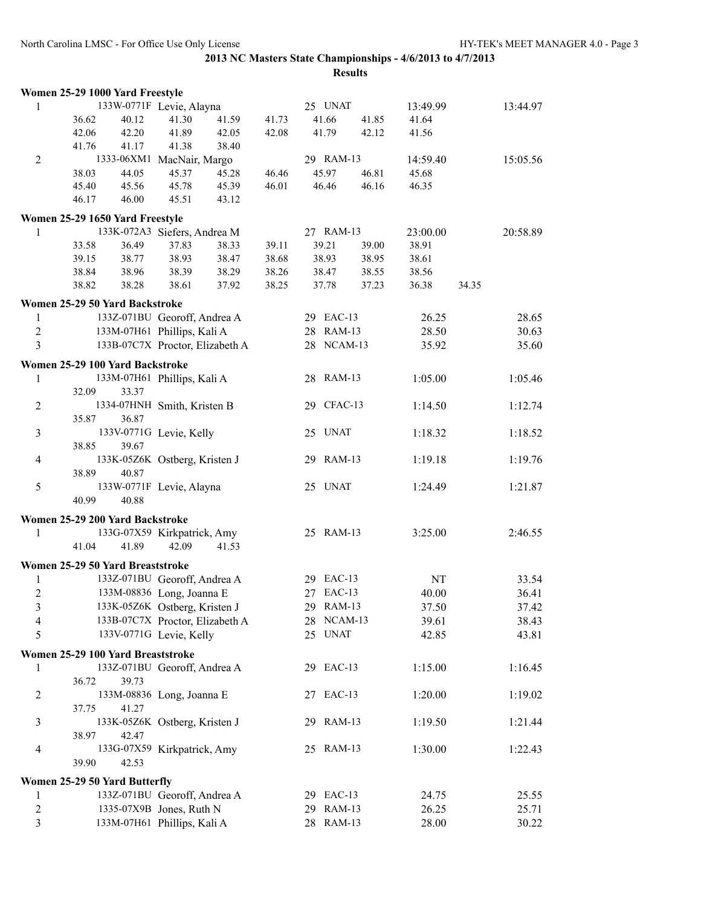|                  | Women 25-29 1000 Yard Freestyle   |       |                                 |       |       |            |       |          |       |          |
|------------------|-----------------------------------|-------|---------------------------------|-------|-------|------------|-------|----------|-------|----------|
| 1                |                                   |       | 133W-0771F Levie, Alayna        |       |       | 25 UNAT    |       | 13:49.99 |       | 13:44.97 |
|                  | 36.62                             | 40.12 | 41.30                           | 41.59 | 41.73 | 41.66      | 41.85 | 41.64    |       |          |
|                  | 42.06                             | 42.20 | 41.89                           | 42.05 | 42.08 | 41.79      | 42.12 | 41.56    |       |          |
|                  | 41.76                             | 41.17 | 41.38                           | 38.40 |       |            |       |          |       |          |
| $\overline{2}$   |                                   |       | 1333-06XM1 MacNair, Margo       |       |       | 29 RAM-13  |       | 14:59.40 |       | 15:05.56 |
|                  | 38.03                             | 44.05 | 45.37                           | 45.28 | 46.46 | 45.97      | 46.81 | 45.68    |       |          |
|                  | 45.40                             | 45.56 | 45.78                           | 45.39 | 46.01 | 46.46      | 46.16 | 46.35    |       |          |
|                  | 46.17                             | 46.00 | 45.51                           | 43.12 |       |            |       |          |       |          |
|                  | Women 25-29 1650 Yard Freestyle   |       |                                 |       |       |            |       |          |       |          |
| 1                |                                   |       | 133K-072A3 Siefers, Andrea M    |       |       | 27 RAM-13  |       | 23:00.00 |       | 20:58.89 |
|                  | 33.58                             | 36.49 | 37.83                           | 38.33 | 39.11 | 39.21      | 39.00 | 38.91    |       |          |
|                  | 39.15                             | 38.77 | 38.93                           | 38.47 | 38.68 | 38.93      | 38.95 | 38.61    |       |          |
|                  | 38.84                             | 38.96 | 38.39                           | 38.29 | 38.26 | 38.47      | 38.55 | 38.56    |       |          |
|                  | 38.82                             | 38.28 | 38.61                           | 37.92 | 38.25 | 37.78      | 37.23 | 36.38    | 34.35 |          |
|                  | Women 25-29 50 Yard Backstroke    |       |                                 |       |       |            |       |          |       |          |
| 1                |                                   |       | 133Z-071BU Georoff, Andrea A    |       |       | 29 EAC-13  |       | 26.25    |       | 28.65    |
| $\boldsymbol{2}$ |                                   |       | 133M-07H61 Phillips, Kali A     |       |       | 28 RAM-13  |       | 28.50    |       | 30.63    |
| 3                |                                   |       | 133B-07C7X Proctor, Elizabeth A |       |       | 28 NCAM-13 |       | 35.92    |       | 35.60    |
|                  |                                   |       |                                 |       |       |            |       |          |       |          |
|                  | Women 25-29 100 Yard Backstroke   |       |                                 |       |       |            |       |          |       |          |
| 1                |                                   |       | 133M-07H61 Phillips, Kali A     |       |       | 28 RAM-13  |       | 1:05.00  |       | 1:05.46  |
| $\overline{2}$   | 32.09                             | 33.37 |                                 |       |       | 29 CFAC-13 |       |          |       | 1:12.74  |
|                  | 35.87                             | 36.87 | 1334-07HNH Smith, Kristen B     |       |       |            |       | 1:14.50  |       |          |
|                  |                                   |       | 133V-0771G Levie, Kelly         |       |       | 25 UNAT    |       |          |       |          |
| $\mathfrak{Z}$   | 38.85                             | 39.67 |                                 |       |       |            |       | 1:18.32  |       | 1:18.52  |
| 4                |                                   |       | 133K-05Z6K Ostberg, Kristen J   |       |       | 29 RAM-13  |       | 1:19.18  |       | 1:19.76  |
|                  | 38.89                             | 40.87 |                                 |       |       |            |       |          |       |          |
| 5                |                                   |       | 133W-0771F Levie, Alayna        |       |       | 25 UNAT    |       | 1:24.49  |       | 1:21.87  |
|                  | 40.99                             | 40.88 |                                 |       |       |            |       |          |       |          |
|                  |                                   |       |                                 |       |       |            |       |          |       |          |
|                  | Women 25-29 200 Yard Backstroke   |       |                                 |       |       |            |       |          |       |          |
| 1                |                                   |       | 133G-07X59 Kirkpatrick, Amy     |       |       | 25 RAM-13  |       | 3:25.00  |       | 2:46.55  |
|                  | 41.04                             | 41.89 | 42.09                           | 41.53 |       |            |       |          |       |          |
|                  | Women 25-29 50 Yard Breaststroke  |       |                                 |       |       |            |       |          |       |          |
| 1                |                                   |       | 133Z-071BU Georoff, Andrea A    |       |       | 29 EAC-13  |       | NT       |       | 33.54    |
| $\overline{2}$   |                                   |       | 133M-08836 Long, Joanna E       |       |       | 27 EAC-13  |       | 40.00    |       | 36.41    |
| 3                |                                   |       | 133K-05Z6K Ostberg, Kristen J   |       |       | 29 RAM-13  |       | 37.50    |       | 37.42    |
| 4                |                                   |       | 133B-07C7X Proctor, Elizabeth A |       |       | 28 NCAM-13 |       | 39.61    |       | 38.43    |
| 5                |                                   |       | 133V-0771G Levie, Kelly         |       |       | 25 UNAT    |       | 42.85    |       | 43.81    |
|                  | Women 25-29 100 Yard Breaststroke |       |                                 |       |       |            |       |          |       |          |
| 1                |                                   |       | 133Z-071BU Georoff, Andrea A    |       |       | 29 EAC-13  |       | 1:15.00  |       | 1:16.45  |
|                  | 36.72                             | 39.73 |                                 |       |       |            |       |          |       |          |
| $\overline{c}$   |                                   |       | 133M-08836 Long, Joanna E       |       |       | 27 EAC-13  |       | 1:20.00  |       | 1:19.02  |
|                  | 37.75                             | 41.27 |                                 |       |       |            |       |          |       |          |
| $\mathfrak{Z}$   |                                   |       | 133K-05Z6K Ostberg, Kristen J   |       |       | 29 RAM-13  |       | 1:19.50  |       | 1:21.44  |
|                  | 38.97                             | 42.47 |                                 |       |       |            |       |          |       |          |
| 4                |                                   |       | 133G-07X59 Kirkpatrick, Amy     |       |       | 25 RAM-13  |       | 1:30.00  |       | 1:22.43  |
|                  | 39.90                             | 42.53 |                                 |       |       |            |       |          |       |          |
|                  |                                   |       |                                 |       |       |            |       |          |       |          |
|                  | Women 25-29 50 Yard Butterfly     |       |                                 |       |       |            |       |          |       |          |
| 1                |                                   |       | 133Z-071BU Georoff, Andrea A    |       |       | 29 EAC-13  |       | 24.75    |       | 25.55    |
| 2                |                                   |       | 1335-07X9B Jones, Ruth N        |       |       | 29 RAM-13  |       | 26.25    |       | 25.71    |
| 3                |                                   |       | 133M-07H61 Phillips, Kali A     |       |       | 28 RAM-13  |       | 28.00    |       | 30.22    |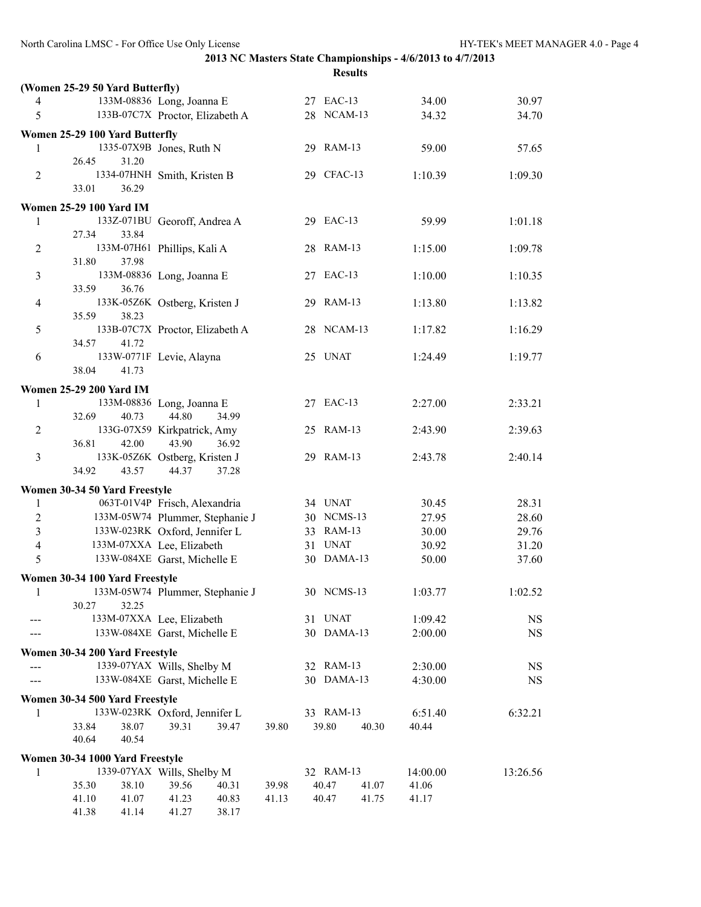| (Women 25-29 50 Yard Butterfly)<br>133M-08836 Long, Joanna E<br>27 EAC-13<br>34.00<br>4<br>5<br>133B-07C7X Proctor, Elizabeth A<br>28 NCAM-13<br>34.32<br>Women 25-29 100 Yard Butterfly<br>1335-07X9B Jones, Ruth N<br>29 RAM-13<br>59.00<br>1<br>26.45<br>31.20<br>1334-07HNH Smith, Kristen B<br>29 CFAC-13<br>2<br>1:10.39<br>33.01<br>36.29<br><b>Women 25-29 100 Yard IM</b><br>133Z-071BU Georoff, Andrea A<br>29 EAC-13<br>1<br>59.99<br>33.84<br>27.34<br>133M-07H61 Phillips, Kali A<br>28 RAM-13<br>2<br>1:15.00<br>37.98<br>31.80<br>3<br>133M-08836 Long, Joanna E<br>27 EAC-13<br>1:10.00<br>33.59<br>36.76<br>133K-05Z6K Ostberg, Kristen J<br>29 RAM-13<br>4<br>1:13.80<br>35.59<br>38.23<br>5<br>133B-07C7X Proctor, Elizabeth A<br>28 NCAM-13<br>1:17.82<br>41.72<br>34.57<br>133W-0771F Levie, Alayna<br>25 UNAT<br>6<br>1:24.49<br>38.04<br>41.73<br><b>Women 25-29 200 Yard IM</b><br>27 EAC-13<br>133M-08836 Long, Joanna E<br>1<br>2:27.00 | 30.97<br>34.70<br>57.65<br>1:09.30<br>1:01.18<br>1:09.78<br>1:10.35<br>1:13.82<br>1:16.29<br>1:19.77 |
|-------------------------------------------------------------------------------------------------------------------------------------------------------------------------------------------------------------------------------------------------------------------------------------------------------------------------------------------------------------------------------------------------------------------------------------------------------------------------------------------------------------------------------------------------------------------------------------------------------------------------------------------------------------------------------------------------------------------------------------------------------------------------------------------------------------------------------------------------------------------------------------------------------------------------------------------------------------------|------------------------------------------------------------------------------------------------------|
|                                                                                                                                                                                                                                                                                                                                                                                                                                                                                                                                                                                                                                                                                                                                                                                                                                                                                                                                                                   |                                                                                                      |
|                                                                                                                                                                                                                                                                                                                                                                                                                                                                                                                                                                                                                                                                                                                                                                                                                                                                                                                                                                   |                                                                                                      |
|                                                                                                                                                                                                                                                                                                                                                                                                                                                                                                                                                                                                                                                                                                                                                                                                                                                                                                                                                                   |                                                                                                      |
|                                                                                                                                                                                                                                                                                                                                                                                                                                                                                                                                                                                                                                                                                                                                                                                                                                                                                                                                                                   |                                                                                                      |
|                                                                                                                                                                                                                                                                                                                                                                                                                                                                                                                                                                                                                                                                                                                                                                                                                                                                                                                                                                   |                                                                                                      |
|                                                                                                                                                                                                                                                                                                                                                                                                                                                                                                                                                                                                                                                                                                                                                                                                                                                                                                                                                                   |                                                                                                      |
|                                                                                                                                                                                                                                                                                                                                                                                                                                                                                                                                                                                                                                                                                                                                                                                                                                                                                                                                                                   |                                                                                                      |
|                                                                                                                                                                                                                                                                                                                                                                                                                                                                                                                                                                                                                                                                                                                                                                                                                                                                                                                                                                   |                                                                                                      |
|                                                                                                                                                                                                                                                                                                                                                                                                                                                                                                                                                                                                                                                                                                                                                                                                                                                                                                                                                                   |                                                                                                      |
|                                                                                                                                                                                                                                                                                                                                                                                                                                                                                                                                                                                                                                                                                                                                                                                                                                                                                                                                                                   |                                                                                                      |
|                                                                                                                                                                                                                                                                                                                                                                                                                                                                                                                                                                                                                                                                                                                                                                                                                                                                                                                                                                   |                                                                                                      |
|                                                                                                                                                                                                                                                                                                                                                                                                                                                                                                                                                                                                                                                                                                                                                                                                                                                                                                                                                                   |                                                                                                      |
|                                                                                                                                                                                                                                                                                                                                                                                                                                                                                                                                                                                                                                                                                                                                                                                                                                                                                                                                                                   |                                                                                                      |
|                                                                                                                                                                                                                                                                                                                                                                                                                                                                                                                                                                                                                                                                                                                                                                                                                                                                                                                                                                   |                                                                                                      |
|                                                                                                                                                                                                                                                                                                                                                                                                                                                                                                                                                                                                                                                                                                                                                                                                                                                                                                                                                                   |                                                                                                      |
|                                                                                                                                                                                                                                                                                                                                                                                                                                                                                                                                                                                                                                                                                                                                                                                                                                                                                                                                                                   |                                                                                                      |
|                                                                                                                                                                                                                                                                                                                                                                                                                                                                                                                                                                                                                                                                                                                                                                                                                                                                                                                                                                   |                                                                                                      |
|                                                                                                                                                                                                                                                                                                                                                                                                                                                                                                                                                                                                                                                                                                                                                                                                                                                                                                                                                                   |                                                                                                      |
|                                                                                                                                                                                                                                                                                                                                                                                                                                                                                                                                                                                                                                                                                                                                                                                                                                                                                                                                                                   |                                                                                                      |
|                                                                                                                                                                                                                                                                                                                                                                                                                                                                                                                                                                                                                                                                                                                                                                                                                                                                                                                                                                   |                                                                                                      |
|                                                                                                                                                                                                                                                                                                                                                                                                                                                                                                                                                                                                                                                                                                                                                                                                                                                                                                                                                                   |                                                                                                      |
|                                                                                                                                                                                                                                                                                                                                                                                                                                                                                                                                                                                                                                                                                                                                                                                                                                                                                                                                                                   | 2:33.21                                                                                              |
| 44.80<br>32.69<br>40.73<br>34.99                                                                                                                                                                                                                                                                                                                                                                                                                                                                                                                                                                                                                                                                                                                                                                                                                                                                                                                                  |                                                                                                      |
| 133G-07X59 Kirkpatrick, Amy<br>25 RAM-13<br>2<br>2:43.90                                                                                                                                                                                                                                                                                                                                                                                                                                                                                                                                                                                                                                                                                                                                                                                                                                                                                                          | 2:39.63                                                                                              |
| 42.00<br>43.90<br>36.81<br>36.92                                                                                                                                                                                                                                                                                                                                                                                                                                                                                                                                                                                                                                                                                                                                                                                                                                                                                                                                  |                                                                                                      |
| 3<br>133K-05Z6K Ostberg, Kristen J<br>29 RAM-13<br>2:43.78                                                                                                                                                                                                                                                                                                                                                                                                                                                                                                                                                                                                                                                                                                                                                                                                                                                                                                        | 2:40.14                                                                                              |
| 34.92<br>43.57<br>44.37<br>37.28                                                                                                                                                                                                                                                                                                                                                                                                                                                                                                                                                                                                                                                                                                                                                                                                                                                                                                                                  |                                                                                                      |
| Women 30-34 50 Yard Freestyle                                                                                                                                                                                                                                                                                                                                                                                                                                                                                                                                                                                                                                                                                                                                                                                                                                                                                                                                     |                                                                                                      |
| 063T-01V4P Frisch, Alexandria<br>34 UNAT<br>1<br>30.45                                                                                                                                                                                                                                                                                                                                                                                                                                                                                                                                                                                                                                                                                                                                                                                                                                                                                                            | 28.31                                                                                                |
| $\boldsymbol{2}$<br>133M-05W74 Plummer, Stephanie J<br>30 NCMS-13<br>27.95                                                                                                                                                                                                                                                                                                                                                                                                                                                                                                                                                                                                                                                                                                                                                                                                                                                                                        | 28.60                                                                                                |
| $\overline{\mathbf{3}}$<br>133W-023RK Oxford, Jennifer L<br>33 RAM-13<br>30.00                                                                                                                                                                                                                                                                                                                                                                                                                                                                                                                                                                                                                                                                                                                                                                                                                                                                                    | 29.76                                                                                                |
| 31 UNAT<br>$\overline{\mathbf{4}}$<br>133M-07XXA Lee, Elizabeth<br>30.92                                                                                                                                                                                                                                                                                                                                                                                                                                                                                                                                                                                                                                                                                                                                                                                                                                                                                          | 31.20                                                                                                |
| 5<br>133W-084XE Garst, Michelle E<br>30 DAMA-13<br>50.00                                                                                                                                                                                                                                                                                                                                                                                                                                                                                                                                                                                                                                                                                                                                                                                                                                                                                                          | 37.60                                                                                                |
| Women 30-34 100 Yard Freestyle                                                                                                                                                                                                                                                                                                                                                                                                                                                                                                                                                                                                                                                                                                                                                                                                                                                                                                                                    |                                                                                                      |
| 133M-05W74 Plummer, Stephanie J<br>30 NCMS-13<br>1<br>1:03.77                                                                                                                                                                                                                                                                                                                                                                                                                                                                                                                                                                                                                                                                                                                                                                                                                                                                                                     | 1:02.52                                                                                              |
| 30.27<br>32.25                                                                                                                                                                                                                                                                                                                                                                                                                                                                                                                                                                                                                                                                                                                                                                                                                                                                                                                                                    |                                                                                                      |
| 31 UNAT<br>133M-07XXA Lee, Elizabeth<br>1:09.42<br>30 DAMA-13<br>133W-084XE Garst, Michelle E                                                                                                                                                                                                                                                                                                                                                                                                                                                                                                                                                                                                                                                                                                                                                                                                                                                                     | NS                                                                                                   |
| 2:00.00                                                                                                                                                                                                                                                                                                                                                                                                                                                                                                                                                                                                                                                                                                                                                                                                                                                                                                                                                           | NS                                                                                                   |
| Women 30-34 200 Yard Freestyle                                                                                                                                                                                                                                                                                                                                                                                                                                                                                                                                                                                                                                                                                                                                                                                                                                                                                                                                    |                                                                                                      |
| 32 RAM-13<br>1339-07YAX Wills, Shelby M<br>2:30.00<br>---                                                                                                                                                                                                                                                                                                                                                                                                                                                                                                                                                                                                                                                                                                                                                                                                                                                                                                         | <b>NS</b>                                                                                            |
| 30 DAMA-13<br>133W-084XE Garst, Michelle E<br>4:30.00<br>$---$                                                                                                                                                                                                                                                                                                                                                                                                                                                                                                                                                                                                                                                                                                                                                                                                                                                                                                    | <b>NS</b>                                                                                            |
| Women 30-34 500 Yard Freestyle                                                                                                                                                                                                                                                                                                                                                                                                                                                                                                                                                                                                                                                                                                                                                                                                                                                                                                                                    |                                                                                                      |
| 133W-023RK Oxford, Jennifer L<br>33 RAM-13<br>6:51.40<br>1                                                                                                                                                                                                                                                                                                                                                                                                                                                                                                                                                                                                                                                                                                                                                                                                                                                                                                        | 6:32.21                                                                                              |
| 33.84<br>38.07<br>39.31<br>39.47<br>39.80<br>39.80<br>40.44<br>40.30                                                                                                                                                                                                                                                                                                                                                                                                                                                                                                                                                                                                                                                                                                                                                                                                                                                                                              |                                                                                                      |
| 40.64<br>40.54                                                                                                                                                                                                                                                                                                                                                                                                                                                                                                                                                                                                                                                                                                                                                                                                                                                                                                                                                    |                                                                                                      |
| Women 30-34 1000 Yard Freestyle                                                                                                                                                                                                                                                                                                                                                                                                                                                                                                                                                                                                                                                                                                                                                                                                                                                                                                                                   |                                                                                                      |
| 1339-07YAX Wills, Shelby M<br>1<br>32 RAM-13<br>14:00.00                                                                                                                                                                                                                                                                                                                                                                                                                                                                                                                                                                                                                                                                                                                                                                                                                                                                                                          | 13:26.56                                                                                             |
| 35.30<br>38.10<br>39.56<br>40.31<br>39.98<br>40.47<br>41.06<br>41.07<br>41.10<br>41.07<br>41.23<br>40.83<br>40.47<br>41.17<br>41.13<br>41.75                                                                                                                                                                                                                                                                                                                                                                                                                                                                                                                                                                                                                                                                                                                                                                                                                      |                                                                                                      |
| 41.38<br>41.14<br>41.27<br>38.17                                                                                                                                                                                                                                                                                                                                                                                                                                                                                                                                                                                                                                                                                                                                                                                                                                                                                                                                  |                                                                                                      |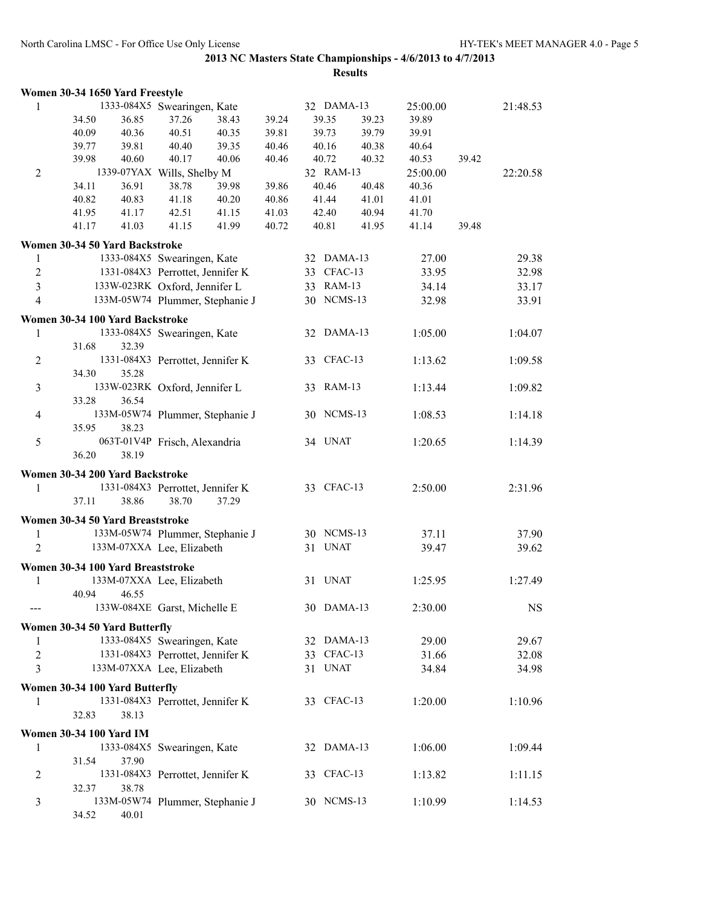|                | Women 30-34 1650 Yard Freestyle   |       |                                  |                                 |       |            |       |          |       |           |
|----------------|-----------------------------------|-------|----------------------------------|---------------------------------|-------|------------|-------|----------|-------|-----------|
| 1              |                                   |       | 1333-084X5 Swearingen, Kate      |                                 |       | 32 DAMA-13 |       | 25:00.00 |       | 21:48.53  |
|                | 34.50                             | 36.85 | 37.26                            | 38.43                           | 39.24 | 39.35      | 39.23 | 39.89    |       |           |
|                | 40.09                             | 40.36 | 40.51                            | 40.35                           | 39.81 | 39.73      | 39.79 | 39.91    |       |           |
|                | 39.77                             | 39.81 | 40.40                            | 39.35                           | 40.46 | 40.16      | 40.38 | 40.64    |       |           |
|                | 39.98                             | 40.60 | 40.17                            | 40.06                           | 40.46 | 40.72      | 40.32 | 40.53    | 39.42 |           |
| $\overline{2}$ |                                   |       | 1339-07YAX Wills, Shelby M       |                                 |       | 32 RAM-13  |       | 25:00.00 |       | 22:20.58  |
|                | 34.11                             | 36.91 | 38.78                            | 39.98                           | 39.86 | 40.46      | 40.48 | 40.36    |       |           |
|                | 40.82                             | 40.83 | 41.18                            | 40.20                           | 40.86 | 41.44      | 41.01 | 41.01    |       |           |
|                | 41.95                             | 41.17 | 42.51                            | 41.15                           | 41.03 | 42.40      | 40.94 | 41.70    |       |           |
|                | 41.17                             | 41.03 | 41.15                            | 41.99                           | 40.72 | 40.81      | 41.95 | 41.14    | 39.48 |           |
|                | Women 30-34 50 Yard Backstroke    |       |                                  |                                 |       |            |       |          |       |           |
| $\mathbf{1}$   |                                   |       | 1333-084X5 Swearingen, Kate      |                                 |       | 32 DAMA-13 |       | 27.00    |       | 29.38     |
| $\sqrt{2}$     |                                   |       | 1331-084X3 Perrottet, Jennifer K |                                 |       | 33 CFAC-13 |       | 33.95    |       | 32.98     |
| $\overline{3}$ |                                   |       | 133W-023RK Oxford, Jennifer L    |                                 |       | 33 RAM-13  |       | 34.14    |       | 33.17     |
| $\overline{4}$ |                                   |       |                                  | 133M-05W74 Plummer, Stephanie J |       | 30 NCMS-13 |       | 32.98    |       | 33.91     |
|                |                                   |       |                                  |                                 |       |            |       |          |       |           |
|                | Women 30-34 100 Yard Backstroke   |       |                                  |                                 |       |            |       |          |       |           |
| 1              |                                   |       | 1333-084X5 Swearingen, Kate      |                                 |       | 32 DAMA-13 |       | 1:05.00  |       | 1:04.07   |
|                | 31.68                             | 32.39 |                                  |                                 |       |            |       |          |       |           |
| $\overline{2}$ |                                   |       | 1331-084X3 Perrottet, Jennifer K |                                 |       | 33 CFAC-13 |       | 1:13.62  |       | 1:09.58   |
|                | 34.30                             | 35.28 |                                  |                                 |       |            |       |          |       |           |
| $\mathfrak{Z}$ |                                   |       | 133W-023RK Oxford, Jennifer L    |                                 |       | 33 RAM-13  |       | 1:13.44  |       | 1:09.82   |
|                | 33.28                             | 36.54 |                                  |                                 |       |            |       |          |       |           |
| $\overline{4}$ |                                   |       |                                  | 133M-05W74 Plummer, Stephanie J |       | 30 NCMS-13 |       | 1:08.53  |       | 1:14.18   |
|                | 35.95                             | 38.23 |                                  |                                 |       |            |       |          |       |           |
| 5              |                                   |       | 063T-01V4P Frisch, Alexandria    |                                 |       | 34 UNAT    |       | 1:20.65  |       | 1:14.39   |
|                | 36.20                             | 38.19 |                                  |                                 |       |            |       |          |       |           |
|                | Women 30-34 200 Yard Backstroke   |       |                                  |                                 |       |            |       |          |       |           |
| 1              |                                   |       | 1331-084X3 Perrottet, Jennifer K |                                 |       | 33 CFAC-13 |       | 2:50.00  |       | 2:31.96   |
|                | 37.11                             | 38.86 | 38.70                            | 37.29                           |       |            |       |          |       |           |
|                | Women 30-34 50 Yard Breaststroke  |       |                                  |                                 |       |            |       |          |       |           |
| 1              |                                   |       |                                  | 133M-05W74 Plummer, Stephanie J |       | 30 NCMS-13 |       | 37.11    |       | 37.90     |
| $\overline{2}$ |                                   |       | 133M-07XXA Lee, Elizabeth        |                                 |       | 31 UNAT    |       | 39.47    |       | 39.62     |
|                |                                   |       |                                  |                                 |       |            |       |          |       |           |
|                | Women 30-34 100 Yard Breaststroke |       |                                  |                                 |       |            |       |          |       |           |
| 1              |                                   | 46.55 | 133M-07XXA Lee, Elizabeth        |                                 |       | 31 UNAT    |       | 1:25.95  |       | 1:27.49   |
|                | 40.94                             |       |                                  |                                 |       | 30 DAMA-13 |       |          |       |           |
|                |                                   |       | 133W-084XE Garst, Michelle E     |                                 |       |            |       | 2:30.00  |       | <b>NS</b> |
|                | Women 30-34 50 Yard Butterfly     |       |                                  |                                 |       |            |       |          |       |           |
| 1              |                                   |       | 1333-084X5 Swearingen, Kate      |                                 |       | 32 DAMA-13 |       | 29.00    |       | 29.67     |
| $\overline{2}$ |                                   |       | 1331-084X3 Perrottet, Jennifer K |                                 |       | 33 CFAC-13 |       | 31.66    |       | 32.08     |
| 3              |                                   |       | 133M-07XXA Lee, Elizabeth        |                                 |       | 31 UNAT    |       | 34.84    |       | 34.98     |
|                | Women 30-34 100 Yard Butterfly    |       |                                  |                                 |       |            |       |          |       |           |
| 1              |                                   |       | 1331-084X3 Perrottet, Jennifer K |                                 |       | 33 CFAC-13 |       | 1:20.00  |       | 1:10.96   |
|                | 32.83                             | 38.13 |                                  |                                 |       |            |       |          |       |           |
|                |                                   |       |                                  |                                 |       |            |       |          |       |           |
|                | <b>Women 30-34 100 Yard IM</b>    |       |                                  |                                 |       |            |       |          |       |           |
| 1              |                                   |       | 1333-084X5 Swearingen, Kate      |                                 |       | 32 DAMA-13 |       | 1:06.00  |       | 1:09.44   |
|                | 31.54                             | 37.90 |                                  |                                 |       |            |       |          |       |           |
| 2              |                                   |       | 1331-084X3 Perrottet, Jennifer K |                                 |       | 33 CFAC-13 |       | 1:13.82  |       | 1:11.15   |
|                | 32.37                             | 38.78 |                                  |                                 |       |            |       |          |       |           |
| 3              |                                   |       |                                  | 133M-05W74 Plummer, Stephanie J |       | 30 NCMS-13 |       | 1:10.99  |       | 1:14.53   |
|                | 34.52                             | 40.01 |                                  |                                 |       |            |       |          |       |           |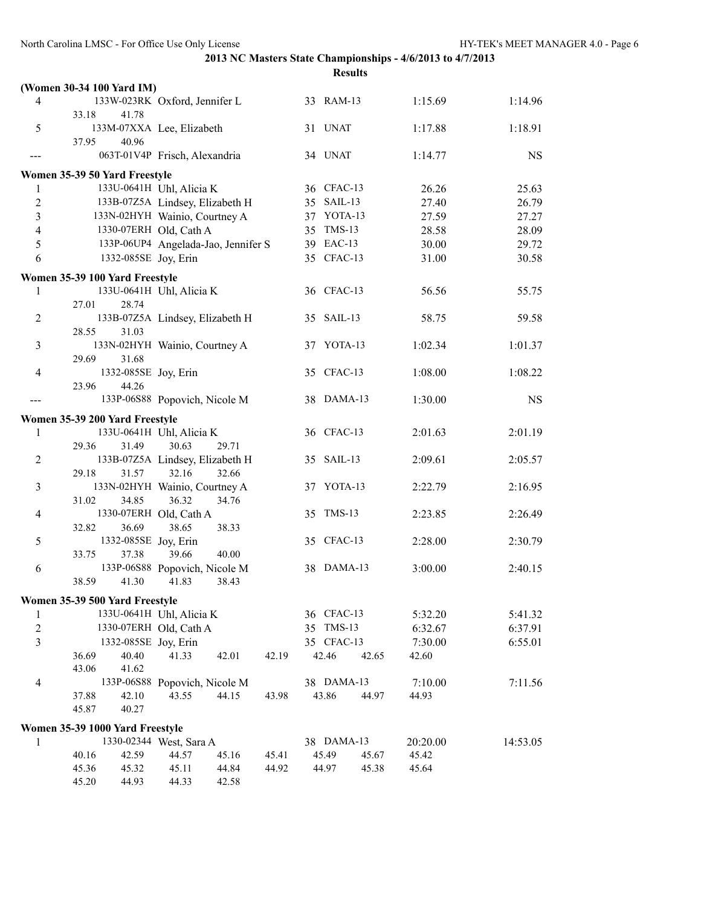|                  | (Women 30-34 100 Yard IM)           |                               |       |       |            |       |          |         |           |
|------------------|-------------------------------------|-------------------------------|-------|-------|------------|-------|----------|---------|-----------|
| 4                | 133W-023RK Oxford, Jennifer L       |                               |       |       | 33 RAM-13  |       |          | 1:15.69 | 1:14.96   |
|                  | 33.18<br>41.78                      |                               |       |       |            |       |          |         |           |
| 5                | 133M-07XXA Lee, Elizabeth           |                               |       |       | 31 UNAT    |       |          | 1:17.88 | 1:18.91   |
|                  | 40.96<br>37.95                      |                               |       |       |            |       |          |         |           |
|                  | 063T-01V4P Frisch, Alexandria       |                               |       |       | 34 UNAT    |       |          | 1:14.77 | <b>NS</b> |
|                  | Women 35-39 50 Yard Freestyle       |                               |       |       |            |       |          |         |           |
| 1                | 133U-0641H Uhl, Alicia K            |                               |       |       | 36 CFAC-13 |       |          | 26.26   | 25.63     |
| $\boldsymbol{2}$ | 133B-07Z5A Lindsey, Elizabeth H     |                               |       |       | 35 SAIL-13 |       |          | 27.40   | 26.79     |
| $\overline{3}$   | 133N-02HYH Wainio, Courtney A       |                               |       |       | 37 YOTA-13 |       |          | 27.59   | 27.27     |
| $\overline{4}$   | 1330-07ERH Old, Cath A              |                               |       |       | 35 TMS-13  |       |          | 28.58   | 28.09     |
| 5                | 133P-06UP4 Angelada-Jao, Jennifer S |                               |       |       | 39 EAC-13  |       |          | 30.00   | 29.72     |
| 6                | 1332-085SE Joy, Erin                |                               |       |       | 35 CFAC-13 |       |          | 31.00   | 30.58     |
|                  |                                     |                               |       |       |            |       |          |         |           |
|                  | Women 35-39 100 Yard Freestyle      |                               |       |       |            |       |          |         |           |
| 1                | 133U-0641H Uhl, Alicia K            |                               |       |       | 36 CFAC-13 |       |          | 56.56   | 55.75     |
|                  | 27.01<br>28.74                      |                               |       |       |            |       |          |         |           |
| $\overline{c}$   | 133B-07Z5A Lindsey, Elizabeth H     |                               |       |       | 35 SAIL-13 |       |          | 58.75   | 59.58     |
|                  | 28.55<br>31.03                      |                               |       |       |            |       |          |         |           |
| 3                | 133N-02HYH Wainio, Courtney A       |                               |       |       | 37 YOTA-13 |       |          | 1:02.34 | 1:01.37   |
|                  | 29.69<br>31.68                      |                               |       |       |            |       |          |         |           |
| 4                | 1332-085SE Joy, Erin                |                               |       |       | 35 CFAC-13 |       |          | 1:08.00 | 1:08.22   |
|                  | 44.26<br>23.96                      |                               |       |       |            |       |          |         |           |
|                  |                                     | 133P-06S88 Popovich, Nicole M |       |       | 38 DAMA-13 |       |          | 1:30.00 | <b>NS</b> |
|                  | Women 35-39 200 Yard Freestyle      |                               |       |       |            |       |          |         |           |
| 1                | 133U-0641H Uhl, Alicia K            |                               |       |       | 36 CFAC-13 |       |          | 2:01.63 | 2:01.19   |
|                  | 29.36<br>31.49                      | 30.63                         | 29.71 |       |            |       |          |         |           |
| $\overline{c}$   | 133B-07Z5A Lindsey, Elizabeth H     |                               |       |       | 35 SAIL-13 |       |          | 2:09.61 | 2:05.57   |
|                  | 29.18<br>31.57                      | 32.16                         | 32.66 |       |            |       |          |         |           |
| 3                | 133N-02HYH Wainio, Courtney A       |                               |       |       | 37 YOTA-13 |       |          | 2:22.79 | 2:16.95   |
|                  | 31.02<br>34.85                      | 36.32                         | 34.76 |       |            |       |          |         |           |
| 4                | 1330-07ERH Old, Cath A              |                               |       |       | 35 TMS-13  |       |          | 2:23.85 | 2:26.49   |
|                  | 32.82<br>36.69                      | 38.65                         | 38.33 |       |            |       |          |         |           |
| 5                | 1332-085SE Joy, Erin                |                               |       |       | 35 CFAC-13 |       |          | 2:28.00 | 2:30.79   |
|                  | 33.75<br>37.38                      | 39.66                         | 40.00 |       |            |       |          |         |           |
| 6                |                                     | 133P-06S88 Popovich, Nicole M |       |       | 38 DAMA-13 |       |          | 3:00.00 | 2:40.15   |
|                  | 38.59<br>41.30                      | 41.83                         | 38.43 |       |            |       |          |         |           |
|                  | Women 35-39 500 Yard Freestyle      |                               |       |       |            |       |          |         |           |
| 1                | 133U-0641H Uhl, Alicia K            |                               |       |       | 36 CFAC-13 |       |          | 5:32.20 | 5:41.32   |
| $\boldsymbol{2}$ | 1330-07ERH Old, Cath A              |                               |       |       | 35 TMS-13  |       |          | 6:32.67 | 6:37.91   |
| $\overline{3}$   | 1332-085SE Joy, Erin                |                               |       |       | 35 CFAC-13 |       |          | 7:30.00 | 6:55.01   |
|                  | 40.40<br>36.69                      | 41.33                         | 42.01 | 42.19 | 42.46      | 42.65 | 42.60    |         |           |
|                  | 43.06<br>41.62                      |                               |       |       |            |       |          |         |           |
| $\overline{4}$   |                                     | 133P-06S88 Popovich, Nicole M |       |       | 38 DAMA-13 |       |          | 7:10.00 | 7:11.56   |
|                  | 37.88<br>42.10                      | 43.55                         | 44.15 | 43.98 | 43.86      | 44.97 | 44.93    |         |           |
|                  | 45.87<br>40.27                      |                               |       |       |            |       |          |         |           |
|                  |                                     |                               |       |       |            |       |          |         |           |
|                  | Women 35-39 1000 Yard Freestyle     | 1330-02344 West, Sara A       |       |       | 38 DAMA-13 |       | 20:20.00 |         | 14:53.05  |
| 1                | 40.16<br>42.59                      | 44.57                         | 45.16 | 45.41 | 45.49      | 45.67 | 45.42    |         |           |
|                  | 45.36<br>45.32                      | 45.11                         | 44.84 | 44.92 | 44.97      | 45.38 | 45.64    |         |           |
|                  | 45.20<br>44.93                      | 44.33                         | 42.58 |       |            |       |          |         |           |
|                  |                                     |                               |       |       |            |       |          |         |           |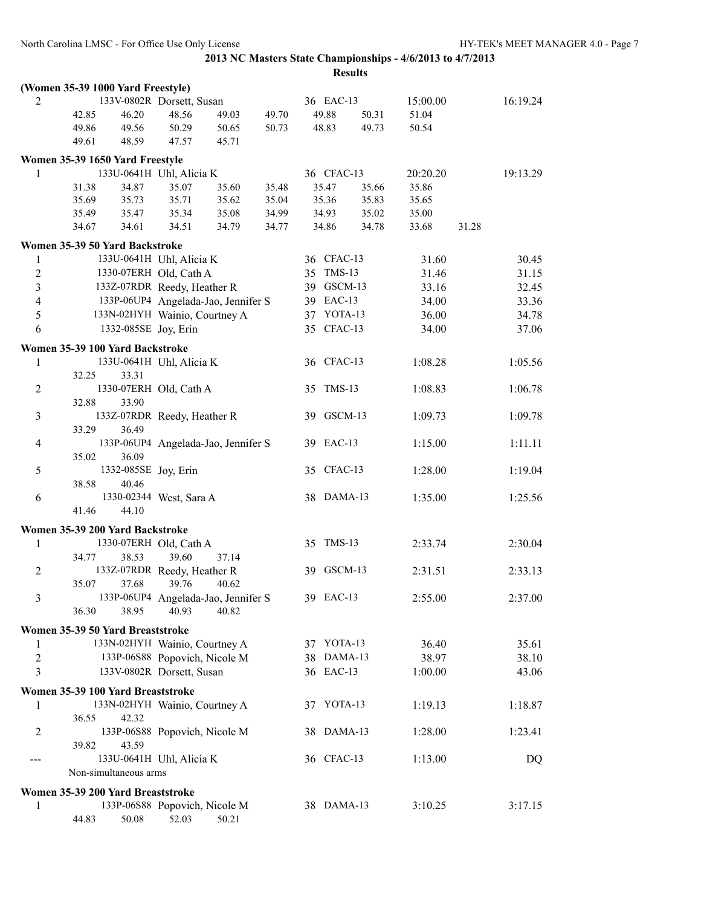|                |                                                           |                                     |       |       | <b>Results</b> |       |          |       |          |
|----------------|-----------------------------------------------------------|-------------------------------------|-------|-------|----------------|-------|----------|-------|----------|
|                | (Women 35-39 1000 Yard Freestyle)                         |                                     |       |       |                |       |          |       |          |
| 2              |                                                           | 133V-0802R Dorsett, Susan           |       |       | 36 EAC-13      |       | 15:00.00 |       | 16:19.24 |
|                | 42.85<br>46.20                                            | 48.56                               | 49.03 | 49.70 | 49.88          | 50.31 | 51.04    |       |          |
|                | 49.86<br>49.56                                            | 50.29                               | 50.65 | 50.73 | 48.83          | 49.73 | 50.54    |       |          |
|                | 49.61<br>48.59                                            | 47.57                               | 45.71 |       |                |       |          |       |          |
|                | Women 35-39 1650 Yard Freestyle                           |                                     |       |       |                |       |          |       |          |
| 1              | 133U-0641H Uhl, Alicia K                                  |                                     |       |       | 36 CFAC-13     |       | 20:20.20 |       | 19:13.29 |
|                | 31.38<br>34.87                                            | 35.07                               | 35.60 | 35.48 | 35.47          | 35.66 | 35.86    |       |          |
|                | 35.73<br>35.69                                            | 35.71                               | 35.62 | 35.04 | 35.36          | 35.83 | 35.65    |       |          |
|                | 35.49<br>35.47                                            | 35.34                               | 35.08 | 34.99 | 34.93          | 35.02 | 35.00    |       |          |
|                | 34.67<br>34.61                                            | 34.51                               | 34.79 | 34.77 | 34.86          | 34.78 | 33.68    | 31.28 |          |
|                | Women 35-39 50 Yard Backstroke                            |                                     |       |       |                |       |          |       |          |
| 1              | 133U-0641H Uhl, Alicia K                                  |                                     |       |       | 36 CFAC-13     |       | 31.60    |       | 30.45    |
| $\overline{2}$ | 1330-07ERH Old, Cath A                                    |                                     |       |       | 35 TMS-13      |       | 31.46    |       | 31.15    |
| 3              | 133Z-07RDR Reedy, Heather R                               |                                     |       |       | 39 GSCM-13     |       | 33.16    |       | 32.45    |
| $\overline{4}$ |                                                           | 133P-06UP4 Angelada-Jao, Jennifer S |       |       | 39 EAC-13      |       | 34.00    |       | 33.36    |
| 5              | 133N-02HYH Wainio, Courtney A                             |                                     |       |       | 37 YOTA-13     |       | 36.00    |       | 34.78    |
| 6              | 1332-085SE Joy, Erin                                      |                                     |       |       | 35 CFAC-13     |       | 34.00    |       | 37.06    |
|                | Women 35-39 100 Yard Backstroke                           |                                     |       |       |                |       |          |       |          |
| 1              |                                                           | 133U-0641H Uhl, Alicia K            |       |       | 36 CFAC-13     |       | 1:08.28  |       | 1:05.56  |
|                | 32.25<br>33.31                                            |                                     |       |       |                |       |          |       |          |
| $\overline{c}$ | 1330-07ERH Old, Cath A                                    |                                     |       |       | 35 TMS-13      |       | 1:08.83  |       | 1:06.78  |
|                | 32.88<br>33.90                                            |                                     |       |       |                |       |          |       |          |
| $\mathfrak{Z}$ | 133Z-07RDR Reedy, Heather R                               |                                     |       |       | 39 GSCM-13     |       | 1:09.73  |       | 1:09.78  |
|                | 33.29<br>36.49                                            |                                     |       |       |                |       |          |       |          |
| $\overline{4}$ |                                                           | 133P-06UP4 Angelada-Jao, Jennifer S |       |       | 39 EAC-13      |       | 1:15.00  |       | 1:11.11  |
| 5              | 35.02<br>36.09<br>1332-085SE Joy, Erin                    |                                     |       |       | 35 CFAC-13     |       | 1:28.00  |       | 1:19.04  |
|                | 38.58<br>40.46                                            |                                     |       |       |                |       |          |       |          |
| 6              |                                                           | 1330-02344 West, Sara A             |       |       | 38 DAMA-13     |       | 1:35.00  |       | 1:25.56  |
|                | 41.46<br>44.10                                            |                                     |       |       |                |       |          |       |          |
|                |                                                           |                                     |       |       |                |       |          |       |          |
| 1              | Women 35-39 200 Yard Backstroke<br>1330-07ERH Old, Cath A |                                     |       |       | 35 TMS-13      |       | 2:33.74  |       | 2:30.04  |
|                | 34.77<br>38.53                                            | 39.60                               | 37.14 |       |                |       |          |       |          |
| $\overline{2}$ | 133Z-07RDR Reedy, Heather R                               |                                     |       |       | 39 GSCM-13     |       | 2:31.51  |       | 2:33.13  |
|                | 35.07<br>37.68                                            | 39.76                               | 40.62 |       |                |       |          |       |          |
| 3              |                                                           | 133P-06UP4 Angelada-Jao, Jennifer S |       |       | 39 EAC-13      |       | 2:55.00  |       | 2:37.00  |
|                | 36.30<br>38.95                                            | 40.93                               | 40.82 |       |                |       |          |       |          |
|                | Women 35-39 50 Yard Breaststroke                          |                                     |       |       |                |       |          |       |          |
| 1              | 133N-02HYH Wainio, Courtney A                             |                                     |       |       | 37 YOTA-13     |       | 36.40    |       | 35.61    |
| $\overline{2}$ |                                                           | 133P-06S88 Popovich, Nicole M       |       |       | 38 DAMA-13     |       | 38.97    |       | 38.10    |
| 3              |                                                           | 133V-0802R Dorsett, Susan           |       |       | 36 EAC-13      |       | 1:00.00  |       | 43.06    |
|                |                                                           |                                     |       |       |                |       |          |       |          |
|                | Women 35-39 100 Yard Breaststroke                         |                                     |       |       | 37 YOTA-13     |       |          |       |          |
| 1              | 133N-02HYH Wainio, Courtney A<br>36.55<br>42.32           |                                     |       |       |                |       | 1:19.13  |       | 1:18.87  |
| 2              |                                                           | 133P-06S88 Popovich, Nicole M       |       |       | 38 DAMA-13     |       | 1:28.00  |       | 1:23.41  |
|                | 39.82<br>43.59                                            |                                     |       |       |                |       |          |       |          |
| ---            |                                                           | 133U-0641H Uhl, Alicia K            |       |       | 36 CFAC-13     |       | 1:13.00  |       | DQ       |
|                | Non-simultaneous arms                                     |                                     |       |       |                |       |          |       |          |
|                | Women 35-39 200 Yard Breaststroke                         |                                     |       |       |                |       |          |       |          |
| 1              |                                                           | 133P-06S88 Popovich, Nicole M       |       |       | 38 DAMA-13     |       | 3:10.25  |       | 3:17.15  |
|                | 44.83<br>50.08                                            | 52.03                               | 50.21 |       |                |       |          |       |          |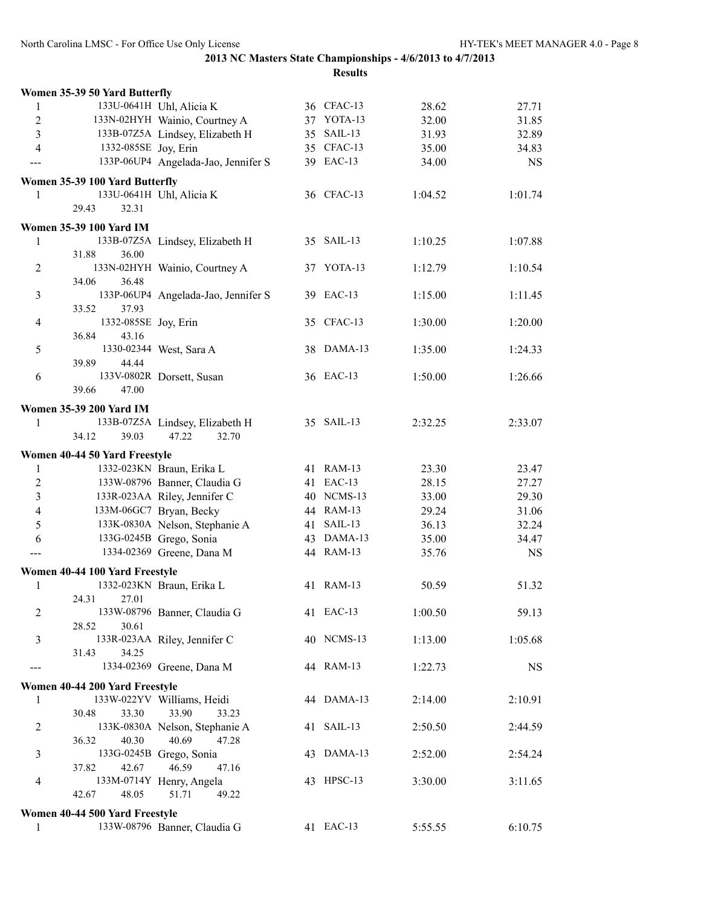|                | Women 35-39 50 Yard Butterfly  |                                                  |            |         |           |
|----------------|--------------------------------|--------------------------------------------------|------------|---------|-----------|
| 1              |                                | 133U-0641H Uhl, Alicia K                         | 36 CFAC-13 | 28.62   | 27.71     |
| $\overline{2}$ |                                | 133N-02HYH Wainio, Courtney A                    | 37 YOTA-13 | 32.00   | 31.85     |
| 3              |                                | 133B-07Z5A Lindsey, Elizabeth H                  | 35 SAIL-13 | 31.93   | 32.89     |
| 4              | 1332-085SE Joy, Erin           |                                                  | 35 CFAC-13 | 35.00   | 34.83     |
| ---            |                                | 133P-06UP4 Angelada-Jao, Jennifer S              | 39 EAC-13  | 34.00   | <b>NS</b> |
|                | Women 35-39 100 Yard Butterfly |                                                  |            |         |           |
| 1              |                                | 133U-0641H Uhl, Alicia K                         | 36 CFAC-13 | 1:04.52 | 1:01.74   |
|                | 29.43<br>32.31                 |                                                  |            |         |           |
|                |                                |                                                  |            |         |           |
|                | <b>Women 35-39 100 Yard IM</b> |                                                  |            |         |           |
| 1              |                                | 133B-07Z5A Lindsey, Elizabeth H                  | 35 SAIL-13 | 1:10.25 | 1:07.88   |
|                | 31.88<br>36.00                 |                                                  |            |         |           |
| 2              |                                | 133N-02HYH Wainio, Courtney A                    | 37 YOTA-13 | 1:12.79 | 1:10.54   |
|                | 36.48<br>34.06                 |                                                  |            |         |           |
| 3              |                                | 133P-06UP4 Angelada-Jao, Jennifer S              | 39 EAC-13  | 1:15.00 | 1:11.45   |
|                | 33.52<br>37.93                 |                                                  |            |         |           |
| $\overline{4}$ | 1332-085SE Joy, Erin           |                                                  | 35 CFAC-13 | 1:30.00 | 1:20.00   |
|                | 36.84<br>43.16                 |                                                  |            |         |           |
| 5              |                                | 1330-02344 West, Sara A                          | 38 DAMA-13 | 1:35.00 | 1:24.33   |
|                | 44.44<br>39.89                 |                                                  |            |         |           |
| 6              |                                | 133V-0802R Dorsett, Susan                        | 36 EAC-13  | 1:50.00 | 1:26.66   |
|                | 39.66<br>47.00                 |                                                  |            |         |           |
|                | <b>Women 35-39 200 Yard IM</b> |                                                  |            |         |           |
| 1              |                                | 133B-07Z5A Lindsey, Elizabeth H                  | 35 SAIL-13 | 2:32.25 | 2:33.07   |
|                | 34.12<br>39.03                 | 47.22<br>32.70                                   |            |         |           |
|                | Women 40-44 50 Yard Freestyle  |                                                  |            |         |           |
| 1              |                                | 1332-023KN Braun, Erika L                        | 41 RAM-13  | 23.30   | 23.47     |
| $\overline{2}$ |                                | 133W-08796 Banner, Claudia G                     | 41 EAC-13  | 28.15   | 27.27     |
| 3              |                                | 133R-023AA Riley, Jennifer C                     | 40 NCMS-13 | 33.00   | 29.30     |
| $\overline{4}$ |                                | 133M-06GC7 Bryan, Becky                          | 44 RAM-13  | 29.24   | 31.06     |
| 5              |                                | 133K-0830A Nelson, Stephanie A                   | 41 SAIL-13 | 36.13   | 32.24     |
| 6              |                                | 133G-0245B Grego, Sonia                          | 43 DAMA-13 | 35.00   | 34.47     |
| ---            |                                | 1334-02369 Greene, Dana M                        | 44 RAM-13  | 35.76   | <b>NS</b> |
|                | Women 40-44 100 Yard Freestyle |                                                  |            |         |           |
| 1              |                                | 1332-023KN Braun, Erika L                        | 41 RAM-13  | 50.59   | 51.32     |
|                | 24.31<br>27.01                 |                                                  |            |         |           |
| 2              |                                | 133W-08796 Banner, Claudia G                     | 41 EAC-13  | 1:00.50 | 59.13     |
|                | 28.52<br>30.61                 |                                                  |            |         |           |
| 3              |                                | 133R-023AA Riley, Jennifer C                     | 40 NCMS-13 | 1:13.00 | 1:05.68   |
|                | 31.43<br>34.25                 |                                                  |            |         |           |
| ---            |                                | 1334-02369 Greene, Dana M                        | 44 RAM-13  | 1:22.73 | <b>NS</b> |
|                |                                |                                                  |            |         |           |
|                | Women 40-44 200 Yard Freestyle |                                                  |            |         |           |
| 1              |                                | 133W-022YV Williams, Heidi                       | 44 DAMA-13 | 2:14.00 | 2:10.91   |
|                | 30.48<br>33.30                 | 33.90<br>33.23                                   |            |         |           |
| 2              |                                | 133K-0830A Nelson, Stephanie A<br>40.69<br>47.28 | 41 SAIL-13 | 2:50.50 | 2:44.59   |
|                | 36.32<br>40.30                 |                                                  |            |         |           |
| 3              | 37.82<br>42.67                 | 133G-0245B Grego, Sonia<br>46.59<br>47.16        | 43 DAMA-13 | 2:52.00 | 2:54.24   |
| $\overline{4}$ |                                | 133M-0714Y Henry, Angela                         | 43 HPSC-13 | 3:30.00 | 3:11.65   |
|                | 42.67<br>48.05                 | 51.71<br>49.22                                   |            |         |           |
|                |                                |                                                  |            |         |           |
|                | Women 40-44 500 Yard Freestyle |                                                  |            |         |           |
| 1              |                                | 133W-08796 Banner, Claudia G                     | 41 EAC-13  | 5:55.55 | 6:10.75   |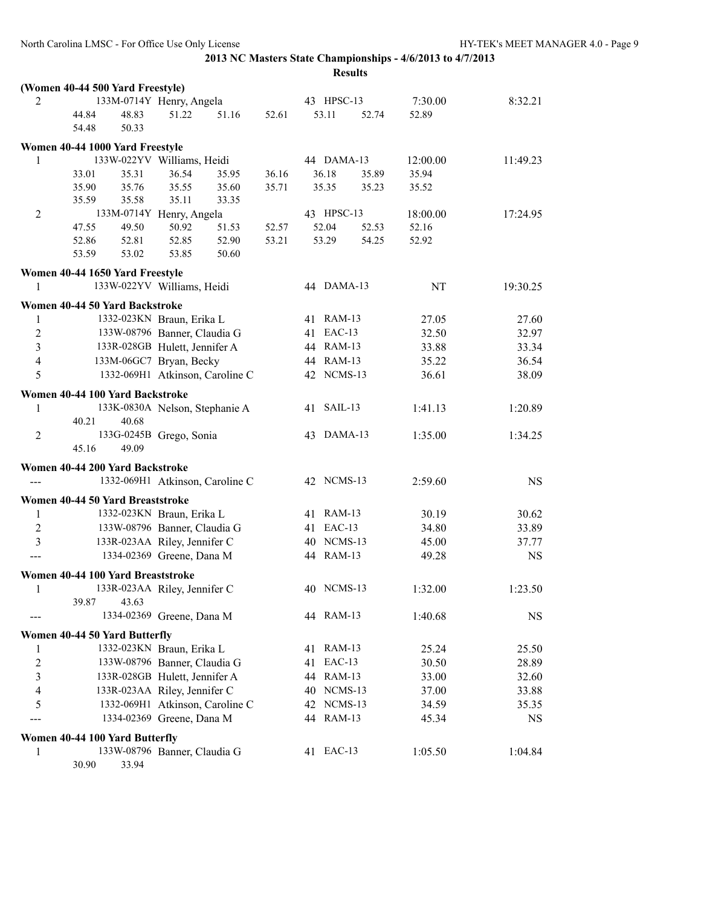|                         | <b>Results</b>                    |                                 |       |       |  |            |       |          |           |  |
|-------------------------|-----------------------------------|---------------------------------|-------|-------|--|------------|-------|----------|-----------|--|
|                         | (Women 40-44 500 Yard Freestyle)  |                                 |       |       |  |            |       |          |           |  |
| 2                       |                                   | 133M-0714Y Henry, Angela        |       |       |  | 43 HPSC-13 |       | 7:30.00  | 8:32.21   |  |
|                         | 48.83<br>44.84                    | 51.22                           | 51.16 | 52.61 |  | 53.11      | 52.74 | 52.89    |           |  |
|                         | 54.48<br>50.33                    |                                 |       |       |  |            |       |          |           |  |
|                         | Women 40-44 1000 Yard Freestyle   |                                 |       |       |  |            |       |          |           |  |
| 1                       | 133W-022YV Williams, Heidi        |                                 |       |       |  | 44 DAMA-13 |       | 12:00.00 | 11:49.23  |  |
|                         | 33.01<br>35.31                    | 36.54                           | 35.95 | 36.16 |  | 36.18      | 35.89 | 35.94    |           |  |
|                         | 35.76<br>35.90                    | 35.55                           | 35.60 | 35.71 |  | 35.35      | 35.23 | 35.52    |           |  |
|                         | 35.59<br>35.58                    | 35.11                           | 33.35 |       |  |            |       |          |           |  |
| $\overline{2}$          |                                   | 133M-0714Y Henry, Angela        |       |       |  | 43 HPSC-13 |       | 18:00.00 | 17:24.95  |  |
|                         | 49.50<br>47.55                    | 50.92                           | 51.53 | 52.57 |  | 52.04      | 52.53 | 52.16    |           |  |
|                         | 52.86<br>52.81                    | 52.85                           | 52.90 | 53.21 |  | 53.29      | 54.25 | 52.92    |           |  |
|                         | 53.59<br>53.02                    | 53.85                           | 50.60 |       |  |            |       |          |           |  |
|                         | Women 40-44 1650 Yard Freestyle   |                                 |       |       |  |            |       |          |           |  |
| 1                       | 133W-022YV Williams, Heidi        |                                 |       |       |  | 44 DAMA-13 |       | NT       | 19:30.25  |  |
|                         |                                   |                                 |       |       |  |            |       |          |           |  |
|                         | Women 40-44 50 Yard Backstroke    |                                 |       |       |  |            |       |          |           |  |
| 1                       |                                   | 1332-023KN Braun, Erika L       |       |       |  | 41 RAM-13  |       | 27.05    | 27.60     |  |
| $\sqrt{2}$              |                                   | 133W-08796 Banner, Claudia G    |       |       |  | 41 EAC-13  |       | 32.50    | 32.97     |  |
| $\overline{\mathbf{3}}$ |                                   | 133R-028GB Hulett, Jennifer A   |       |       |  | 44 RAM-13  |       | 33.88    | 33.34     |  |
| $\overline{4}$          |                                   | 133M-06GC7 Bryan, Becky         |       |       |  | 44 RAM-13  |       | 35.22    | 36.54     |  |
| 5                       |                                   | 1332-069H1 Atkinson, Caroline C |       |       |  | 42 NCMS-13 |       | 36.61    | 38.09     |  |
|                         | Women 40-44 100 Yard Backstroke   |                                 |       |       |  |            |       |          |           |  |
| 1                       |                                   | 133K-0830A Nelson, Stephanie A  |       |       |  | 41 SAIL-13 |       | 1:41.13  | 1:20.89   |  |
|                         | 40.21<br>40.68                    |                                 |       |       |  |            |       |          |           |  |
| $\overline{c}$          |                                   | 133G-0245B Grego, Sonia         |       |       |  | 43 DAMA-13 |       | 1:35.00  | 1:34.25   |  |
|                         | 45.16<br>49.09                    |                                 |       |       |  |            |       |          |           |  |
|                         | Women 40-44 200 Yard Backstroke   |                                 |       |       |  |            |       |          |           |  |
|                         |                                   | 1332-069H1 Atkinson, Caroline C |       |       |  | 42 NCMS-13 |       | 2:59.60  | <b>NS</b> |  |
|                         |                                   |                                 |       |       |  |            |       |          |           |  |
|                         | Women 40-44 50 Yard Breaststroke  |                                 |       |       |  |            |       |          |           |  |
| 1                       |                                   | 1332-023KN Braun, Erika L       |       |       |  | 41 RAM-13  |       | 30.19    | 30.62     |  |
| 2                       |                                   | 133W-08796 Banner, Claudia G    |       |       |  | 41 EAC-13  |       | 34.80    | 33.89     |  |
| 3                       |                                   | 133R-023AA Riley, Jennifer C    |       |       |  | 40 NCMS-13 |       | 45.00    | 37.77     |  |
|                         |                                   | 1334-02369 Greene, Dana M       |       |       |  | 44 RAM-13  |       | 49.28    | <b>NS</b> |  |
|                         | Women 40-44 100 Yard Breaststroke |                                 |       |       |  |            |       |          |           |  |
| 1                       |                                   | 133R-023AA Riley, Jennifer C    |       |       |  | 40 NCMS-13 |       | 1:32.00  | 1:23.50   |  |
|                         | 43.63<br>39.87                    |                                 |       |       |  |            |       |          |           |  |
|                         |                                   | 1334-02369 Greene, Dana M       |       |       |  | 44 RAM-13  |       | 1:40.68  | <b>NS</b> |  |
|                         | Women 40-44 50 Yard Butterfly     |                                 |       |       |  |            |       |          |           |  |
| 1                       |                                   | 1332-023KN Braun, Erika L       |       |       |  | 41 RAM-13  |       | 25.24    | 25.50     |  |
| $\boldsymbol{2}$        |                                   | 133W-08796 Banner, Claudia G    |       |       |  | 41 EAC-13  |       | 30.50    | 28.89     |  |
| $\overline{\mathbf{3}}$ |                                   | 133R-028GB Hulett, Jennifer A   |       |       |  | 44 RAM-13  |       | 33.00    | 32.60     |  |
| 4                       |                                   | 133R-023AA Riley, Jennifer C    |       |       |  | 40 NCMS-13 |       | 37.00    | 33.88     |  |
| 5                       |                                   | 1332-069H1 Atkinson, Caroline C |       |       |  | 42 NCMS-13 |       | 34.59    | 35.35     |  |
|                         |                                   | 1334-02369 Greene, Dana M       |       |       |  | 44 RAM-13  |       | 45.34    | NS        |  |
|                         |                                   |                                 |       |       |  |            |       |          |           |  |
|                         | Women 40-44 100 Yard Butterfly    |                                 |       |       |  |            |       |          |           |  |
| $\mathbf{1}$            |                                   | 133W-08796 Banner, Claudia G    |       |       |  | 41 EAC-13  |       | 1:05.50  | 1:04.84   |  |

30.90 33.94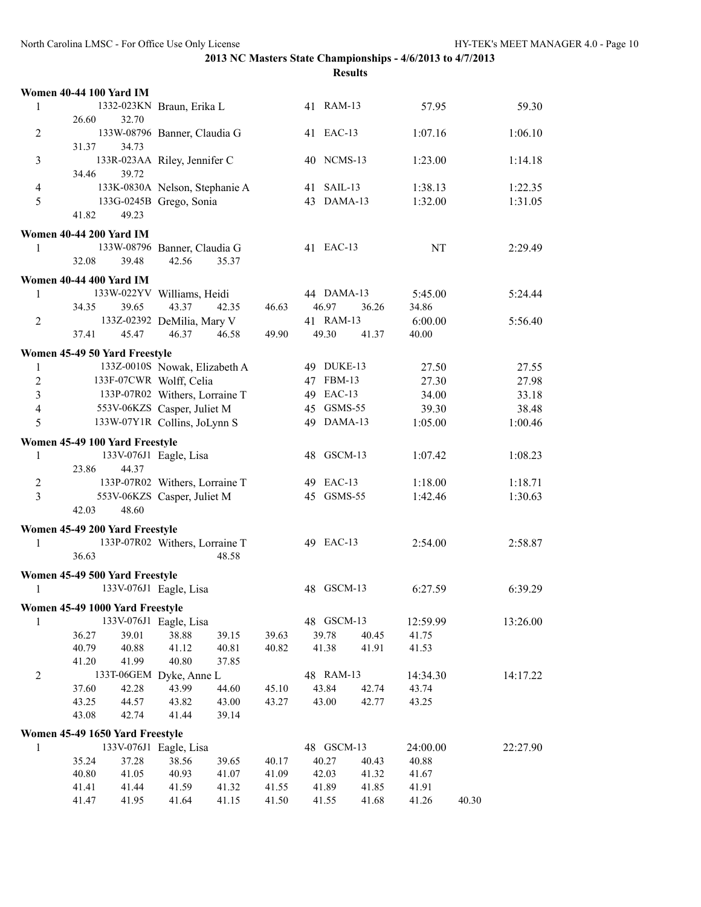|                | <b>Women 40-44 100 Yard IM</b>  |                                |       |       |            |       |           |       |          |
|----------------|---------------------------------|--------------------------------|-------|-------|------------|-------|-----------|-------|----------|
| 1              |                                 | 1332-023KN Braun, Erika L      |       |       | 41 RAM-13  |       | 57.95     |       | 59.30    |
|                | 32.70<br>26.60                  |                                |       |       |            |       |           |       |          |
| $\overline{2}$ |                                 | 133W-08796 Banner, Claudia G   |       |       | 41 EAC-13  |       | 1:07.16   |       | 1:06.10  |
|                | 31.37<br>34.73                  |                                |       |       |            |       |           |       |          |
| 3              |                                 | 133R-023AA Riley, Jennifer C   |       |       | 40 NCMS-13 |       | 1:23.00   |       | 1:14.18  |
|                | 34.46<br>39.72                  |                                |       |       |            |       |           |       |          |
| $\overline{4}$ |                                 | 133K-0830A Nelson, Stephanie A |       |       | 41 SAIL-13 |       | 1:38.13   |       | 1:22.35  |
| 5              |                                 | 133G-0245B Grego, Sonia        |       |       | 43 DAMA-13 |       | 1:32.00   |       | 1:31.05  |
|                | 41.82<br>49.23                  |                                |       |       |            |       |           |       |          |
|                | <b>Women 40-44 200 Yard IM</b>  |                                |       |       |            |       |           |       |          |
| $\mathbf{1}$   |                                 | 133W-08796 Banner, Claudia G   |       |       | 41 EAC-13  |       | <b>NT</b> |       | 2:29.49  |
|                | 32.08<br>39.48                  | 42.56                          | 35.37 |       |            |       |           |       |          |
|                |                                 |                                |       |       |            |       |           |       |          |
|                | <b>Women 40-44 400 Yard IM</b>  |                                |       |       |            |       |           |       |          |
| 1              | 133W-022YV Williams, Heidi      |                                |       |       | 44 DAMA-13 |       | 5:45.00   |       | 5:24.44  |
|                | 34.35<br>39.65                  | 43.37                          | 42.35 | 46.63 | 46.97      | 36.26 | 34.86     |       |          |
| $\overline{2}$ |                                 | 133Z-02392 DeMilia, Mary V     |       |       | 41 RAM-13  |       | 6:00.00   |       | 5:56.40  |
|                | 37.41<br>45.47                  | 46.37                          | 46.58 | 49.90 | 49.30      | 41.37 | 40.00     |       |          |
|                | Women 45-49 50 Yard Freestyle   |                                |       |       |            |       |           |       |          |
| $\mathbf{1}$   |                                 | 133Z-0010S Nowak, Elizabeth A  |       |       | 49 DUKE-13 |       | 27.50     |       | 27.55    |
| $\overline{2}$ | 133F-07CWR Wolff, Celia         |                                |       |       | 47 FBM-13  |       | 27.30     |       | 27.98    |
| $\overline{3}$ |                                 | 133P-07R02 Withers, Lorraine T |       |       | 49 EAC-13  |       | 34.00     |       | 33.18    |
| $\overline{4}$ |                                 | 553V-06KZS Casper, Juliet M    |       |       | 45 GSMS-55 |       | 39.30     |       | 38.48    |
| 5              | 133W-07Y1R Collins, JoLynn S    |                                |       |       | 49 DAMA-13 |       | 1:05.00   |       | 1:00.46  |
|                | Women 45-49 100 Yard Freestyle  |                                |       |       |            |       |           |       |          |
| 1              |                                 | 133V-076J1 Eagle, Lisa         |       |       | 48 GSCM-13 |       | 1:07.42   |       | 1:08.23  |
|                | 23.86<br>44.37                  |                                |       |       |            |       |           |       |          |
| $\overline{c}$ |                                 | 133P-07R02 Withers, Lorraine T |       |       | 49 EAC-13  |       | 1:18.00   |       | 1:18.71  |
| $\overline{3}$ |                                 | 553V-06KZS Casper, Juliet M    |       |       | 45 GSMS-55 |       | 1:42.46   |       | 1:30.63  |
|                | 48.60<br>42.03                  |                                |       |       |            |       |           |       |          |
|                |                                 |                                |       |       |            |       |           |       |          |
|                | Women 45-49 200 Yard Freestyle  |                                |       |       |            |       |           |       |          |
| $\mathbf{1}$   |                                 | 133P-07R02 Withers, Lorraine T |       |       | 49 EAC-13  |       | 2:54.00   |       | 2:58.87  |
|                | 36.63                           |                                | 48.58 |       |            |       |           |       |          |
|                | Women 45-49 500 Yard Freestyle  |                                |       |       |            |       |           |       |          |
| 1              |                                 | 133V-076J1 Eagle, Lisa         |       |       | 48 GSCM-13 |       | 6:27.59   |       | 6:39.29  |
|                | Women 45-49 1000 Yard Freestyle |                                |       |       |            |       |           |       |          |
| 1              |                                 | 133V-076J1 Eagle, Lisa         |       |       | 48 GSCM-13 |       | 12:59.99  |       | 13:26.00 |
|                | 36.27<br>39.01                  | 38.88                          | 39.15 | 39.63 | 39.78      | 40.45 | 41.75     |       |          |
|                | 40.88<br>40.79                  | 41.12                          | 40.81 | 40.82 | 41.38      | 41.91 | 41.53     |       |          |
|                | 41.20<br>41.99                  | 40.80                          | 37.85 |       |            |       |           |       |          |
| $\overline{2}$ | 133T-06GEM Dyke, Anne L         |                                |       |       | 48 RAM-13  |       | 14:34.30  |       | 14:17.22 |
|                | 37.60<br>42.28                  | 43.99                          | 44.60 | 45.10 | 43.84      | 42.74 | 43.74     |       |          |
|                | 43.25<br>44.57                  | 43.82                          | 43.00 | 43.27 | 43.00      | 42.77 | 43.25     |       |          |
|                | 43.08<br>42.74                  | 41.44                          | 39.14 |       |            |       |           |       |          |
|                | Women 45-49 1650 Yard Freestyle |                                |       |       |            |       |           |       |          |
| 1              |                                 | 133V-076J1 Eagle, Lisa         |       |       | 48 GSCM-13 |       | 24:00.00  |       | 22:27.90 |
|                | 35.24<br>37.28                  | 38.56                          | 39.65 | 40.17 | 40.27      | 40.43 | 40.88     |       |          |
|                | 40.80<br>41.05                  | 40.93                          | 41.07 | 41.09 | 42.03      | 41.32 | 41.67     |       |          |
|                | 41.44<br>41.41                  | 41.59                          | 41.32 | 41.55 | 41.89      | 41.85 | 41.91     |       |          |
|                | 41.47<br>41.95                  | 41.64                          | 41.15 | 41.50 | 41.55      | 41.68 | 41.26     | 40.30 |          |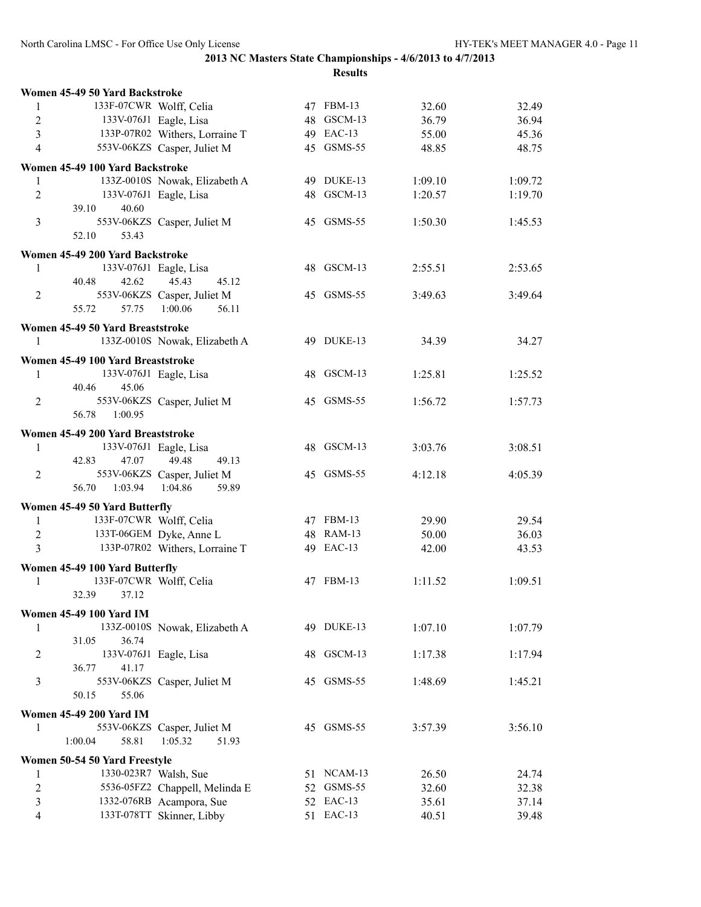|                  | Women 45-49 50 Yard Backstroke    |                                |            |         |         |
|------------------|-----------------------------------|--------------------------------|------------|---------|---------|
| 1                | 133F-07CWR Wolff, Celia           |                                | 47 FBM-13  | 32.60   | 32.49   |
| $\boldsymbol{2}$ |                                   | 133V-076J1 Eagle, Lisa         | 48 GSCM-13 | 36.79   | 36.94   |
| $\overline{3}$   |                                   | 133P-07R02 Withers, Lorraine T | 49 EAC-13  | 55.00   | 45.36   |
| $\overline{4}$   |                                   | 553V-06KZS Casper, Juliet M    | 45 GSMS-55 | 48.85   | 48.75   |
|                  | Women 45-49 100 Yard Backstroke   |                                |            |         |         |
| 1                |                                   | 133Z-0010S Nowak, Elizabeth A  | 49 DUKE-13 | 1:09.10 | 1:09.72 |
| $\sqrt{2}$       |                                   | 133V-076J1 Eagle, Lisa         | 48 GSCM-13 | 1:20.57 | 1:19.70 |
|                  | 40.60<br>39.10                    |                                |            |         |         |
| 3                |                                   | 553V-06KZS Casper, Juliet M    | 45 GSMS-55 | 1:50.30 | 1:45.53 |
|                  | 53.43<br>52.10                    |                                |            |         |         |
|                  | Women 45-49 200 Yard Backstroke   |                                |            |         |         |
| 1                |                                   | 133V-076J1 Eagle, Lisa         | 48 GSCM-13 | 2:55.51 | 2:53.65 |
|                  | 40.48<br>42.62                    | 45.43<br>45.12                 |            |         |         |
| 2                |                                   | 553V-06KZS Casper, Juliet M    | 45 GSMS-55 | 3:49.63 | 3:49.64 |
|                  | 55.72<br>57.75                    | 1:00.06<br>56.11               |            |         |         |
|                  | Women 45-49 50 Yard Breaststroke  |                                |            |         |         |
| 1                |                                   | 133Z-0010S Nowak, Elizabeth A  | 49 DUKE-13 | 34.39   | 34.27   |
|                  | Women 45-49 100 Yard Breaststroke |                                |            |         |         |
| 1                |                                   | 133V-076J1 Eagle, Lisa         | 48 GSCM-13 | 1:25.81 | 1:25.52 |
|                  | 45.06<br>40.46                    |                                |            |         |         |
| $\overline{2}$   |                                   | 553V-06KZS Casper, Juliet M    | 45 GSMS-55 | 1:56.72 | 1:57.73 |
|                  | 56.78<br>1:00.95                  |                                |            |         |         |
|                  | Women 45-49 200 Yard Breaststroke |                                |            |         |         |
| 1                |                                   | 133V-076J1 Eagle, Lisa         | 48 GSCM-13 | 3:03.76 | 3:08.51 |
|                  | 42.83<br>47.07                    | 49.48<br>49.13                 |            |         |         |
| 2                |                                   | 553V-06KZS Casper, Juliet M    | 45 GSMS-55 | 4:12.18 | 4:05.39 |
|                  | 1:03.94<br>56.70                  | 1:04.86<br>59.89               |            |         |         |
|                  | Women 45-49 50 Yard Butterfly     |                                |            |         |         |
| $\mathbf{1}$     | 133F-07CWR Wolff, Celia           |                                | 47 FBM-13  | 29.90   | 29.54   |
| $\sqrt{2}$       |                                   | 133T-06GEM Dyke, Anne L        | 48 RAM-13  | 50.00   | 36.03   |
| $\overline{3}$   |                                   | 133P-07R02 Withers, Lorraine T | 49 EAC-13  | 42.00   | 43.53   |
|                  | Women 45-49 100 Yard Butterfly    |                                |            |         |         |
| 1                | 133F-07CWR Wolff, Celia           |                                | 47 FBM-13  | 1:11.52 | 1:09.51 |
|                  | 32.39<br>37.12                    |                                |            |         |         |
|                  | <b>Women 45-49 100 Yard IM</b>    |                                |            |         |         |
| 1                |                                   | 133Z-0010S Nowak, Elizabeth A  | 49 DUKE-13 | 1:07.10 | 1:07.79 |
|                  | 36.74<br>31.05                    |                                |            |         |         |
| 2                |                                   | 133V-076J1 Eagle, Lisa         | 48 GSCM-13 | 1:17.38 | 1:17.94 |
|                  | 36.77<br>41.17                    |                                |            |         |         |
| 3                |                                   | 553V-06KZS Casper, Juliet M    | 45 GSMS-55 | 1:48.69 | 1:45.21 |
|                  | 50.15<br>55.06                    |                                |            |         |         |
|                  | <b>Women 45-49 200 Yard IM</b>    |                                |            |         |         |
| 1                |                                   | 553V-06KZS Casper, Juliet M    | 45 GSMS-55 | 3:57.39 | 3:56.10 |
|                  | 1:00.04<br>58.81                  | 1:05.32<br>51.93               |            |         |         |
|                  | Women 50-54 50 Yard Freestyle     |                                |            |         |         |
| 1                | 1330-023R7 Walsh, Sue             |                                | 51 NCAM-13 | 26.50   | 24.74   |
| $\boldsymbol{2}$ |                                   | 5536-05FZ2 Chappell, Melinda E | 52 GSMS-55 | 32.60   | 32.38   |
| $\mathfrak{Z}$   |                                   | 1332-076RB Acampora, Sue       | 52 EAC-13  | 35.61   | 37.14   |
| $\overline{4}$   |                                   | 133T-078TT Skinner, Libby      | 51 EAC-13  | 40.51   | 39.48   |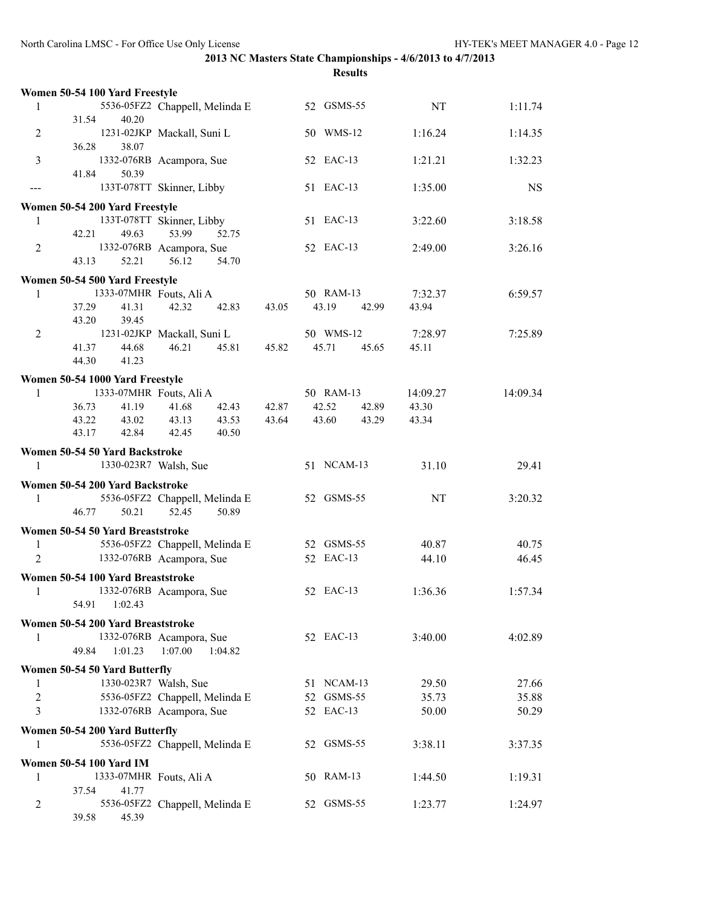|                | Women 50-54 100 Yard Freestyle    |                                              |       |                             |                  |           |
|----------------|-----------------------------------|----------------------------------------------|-------|-----------------------------|------------------|-----------|
| 1              |                                   | 5536-05FZ2 Chappell, Melinda E               |       | 52 GSMS-55                  | NT               | 1:11.74   |
|                | 40.20<br>31.54                    |                                              |       |                             |                  |           |
| 2              |                                   | 1231-02JKP Mackall, Suni L                   |       | 50 WMS-12                   | 1:16.24          | 1:14.35   |
| 3              | 36.28<br>38.07                    | 1332-076RB Acampora, Sue                     |       | 52 EAC-13                   | 1:21.21          | 1:32.23   |
|                | 41.84<br>50.39                    |                                              |       |                             |                  |           |
| $---$          |                                   | 133T-078TT Skinner, Libby                    |       | 51 EAC-13                   | 1:35.00          | <b>NS</b> |
|                | Women 50-54 200 Yard Freestyle    |                                              |       |                             |                  |           |
| 1              |                                   | 133T-078TT Skinner, Libby                    |       | 51 EAC-13                   | 3:22.60          | 3:18.58   |
|                | 42.21<br>49.63                    | 53.99<br>52.75                               |       |                             |                  |           |
| $\overline{2}$ |                                   | 1332-076RB Acampora, Sue                     |       | 52 EAC-13                   | 2:49.00          | 3:26.16   |
|                | 43.13<br>52.21                    | 56.12<br>54.70                               |       |                             |                  |           |
|                | Women 50-54 500 Yard Freestyle    |                                              |       |                             |                  |           |
| 1              |                                   | 1333-07MHR Fouts, Ali A                      |       | 50 RAM-13                   | 7:32.37          | 6:59.57   |
|                | 37.29<br>41.31                    | 42.32<br>42.83                               | 43.05 | 43.19<br>42.99              | 43.94            |           |
|                | 43.20<br>39.45                    |                                              |       |                             |                  |           |
| 2              | 44.68<br>41.37                    | 1231-02JKP Mackall, Suni L<br>46.21<br>45.81 | 45.82 | 50 WMS-12<br>45.71<br>45.65 | 7:28.97<br>45.11 | 7:25.89   |
|                | 44.30<br>41.23                    |                                              |       |                             |                  |           |
|                | Women 50-54 1000 Yard Freestyle   |                                              |       |                             |                  |           |
| 1              |                                   | 1333-07MHR Fouts, Ali A                      |       | 50 RAM-13                   | 14:09.27         | 14:09.34  |
|                | 36.73<br>41.19                    | 41.68<br>42.43                               | 42.87 | 42.52<br>42.89              | 43.30            |           |
|                | 43.02<br>43.22                    | 43.53<br>43.13                               | 43.64 | 43.60<br>43.29              | 43.34            |           |
|                | 42.84<br>43.17                    | 42.45<br>40.50                               |       |                             |                  |           |
|                | Women 50-54 50 Yard Backstroke    |                                              |       |                             |                  |           |
| 1              |                                   | 1330-023R7 Walsh, Sue                        |       | 51 NCAM-13                  | 31.10            | 29.41     |
|                | Women 50-54 200 Yard Backstroke   |                                              |       |                             |                  |           |
| 1              |                                   | 5536-05FZ2 Chappell, Melinda E               |       | 52 GSMS-55                  | NT               | 3:20.32   |
|                | 46.77<br>50.21                    | 52.45<br>50.89                               |       |                             |                  |           |
|                | Women 50-54 50 Yard Breaststroke  |                                              |       |                             |                  |           |
| 1              |                                   | 5536-05FZ2 Chappell, Melinda E               |       | 52 GSMS-55                  | 40.87            | 40.75     |
| $\overline{2}$ |                                   | 1332-076RB Acampora, Sue                     |       | 52 EAC-13                   | 44.10            | 46.45     |
|                | Women 50-54 100 Yard Breaststroke |                                              |       |                             |                  |           |
| 1              |                                   | 1332-076RB Acampora, Sue                     |       | 52 EAC-13                   | 1:36.36          | 1:57.34   |
|                | 54.91<br>1:02.43                  |                                              |       |                             |                  |           |
|                | Women 50-54 200 Yard Breaststroke |                                              |       |                             |                  |           |
| 1              |                                   | 1332-076RB Acampora, Sue                     |       | 52 EAC-13                   | 3:40.00          | 4:02.89   |
|                | 49.84<br>1:01.23                  | 1:07.00<br>1:04.82                           |       |                             |                  |           |
|                | Women 50-54 50 Yard Butterfly     |                                              |       |                             |                  |           |
| 1              |                                   | 1330-023R7 Walsh, Sue                        |       | 51 NCAM-13                  | 29.50            | 27.66     |
| $\overline{c}$ |                                   | 5536-05FZ2 Chappell, Melinda E               |       | 52 GSMS-55                  | 35.73            | 35.88     |
| $\overline{3}$ |                                   | 1332-076RB Acampora, Sue                     |       | 52 EAC-13                   | 50.00            | 50.29     |
|                | Women 50-54 200 Yard Butterfly    |                                              |       |                             |                  |           |
| 1              |                                   | 5536-05FZ2 Chappell, Melinda E               |       | 52 GSMS-55                  | 3:38.11          | 3:37.35   |
|                | <b>Women 50-54 100 Yard IM</b>    |                                              |       |                             |                  |           |
| 1              |                                   | 1333-07MHR Fouts, Ali A                      |       | 50 RAM-13                   | 1:44.50          | 1:19.31   |
|                | 41.77<br>37.54                    |                                              |       | 52 GSMS-55                  |                  |           |
| 2              | 39.58<br>45.39                    | 5536-05FZ2 Chappell, Melinda E               |       |                             | 1:23.77          | 1:24.97   |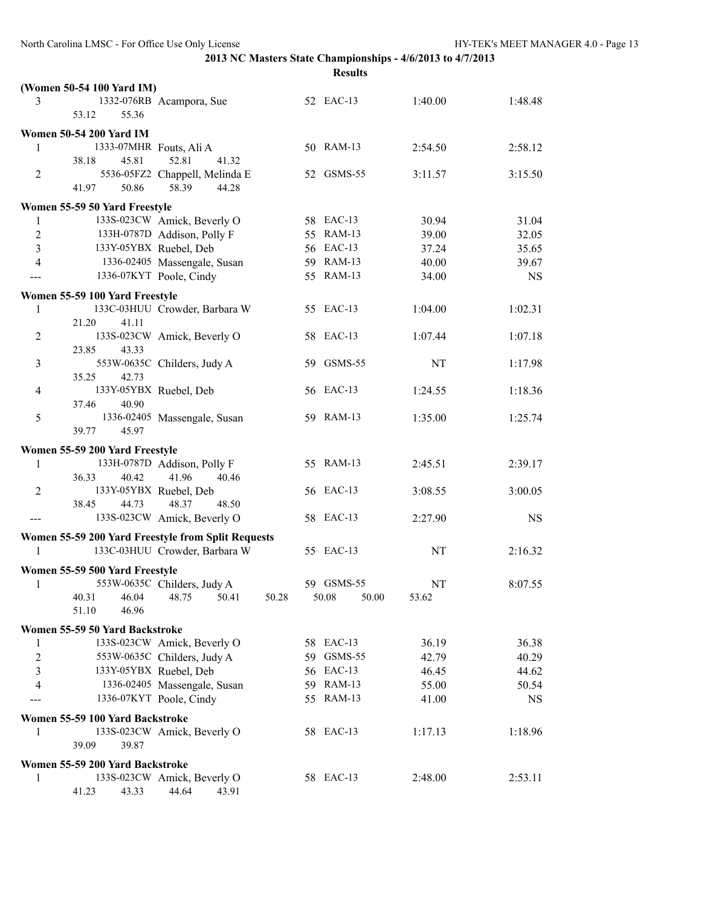|                | (Women 50-54 100 Yard IM)       |                                                    |            |       |         |           |
|----------------|---------------------------------|----------------------------------------------------|------------|-------|---------|-----------|
| 3              |                                 | 1332-076RB Acampora, Sue                           | 52 EAC-13  |       | 1:40.00 | 1:48.48   |
|                | 53.12<br>55.36                  |                                                    |            |       |         |           |
|                | <b>Women 50-54 200 Yard IM</b>  |                                                    |            |       |         |           |
| 1              | 1333-07MHR Fouts, Ali A         |                                                    | 50 RAM-13  |       | 2:54.50 | 2:58.12   |
|                | 45.81<br>38.18                  | 52.81<br>41.32                                     |            |       |         |           |
| $\overline{c}$ |                                 | 5536-05FZ2 Chappell, Melinda E                     | 52 GSMS-55 |       | 3:11.57 | 3:15.50   |
|                | 41.97<br>50.86                  | 58.39<br>44.28                                     |            |       |         |           |
|                | Women 55-59 50 Yard Freestyle   |                                                    |            |       |         |           |
| 1              |                                 | 133S-023CW Amick, Beverly O                        | 58 EAC-13  |       | 30.94   | 31.04     |
| $\overline{c}$ |                                 | 133H-0787D Addison, Polly F                        | 55 RAM-13  |       | 39.00   | 32.05     |
| $\overline{3}$ |                                 | 133Y-05YBX Ruebel, Deb                             | 56 EAC-13  |       | 37.24   | 35.65     |
| $\overline{4}$ |                                 | 1336-02405 Massengale, Susan                       | 59 RAM-13  |       | 40.00   | 39.67     |
|                |                                 | 1336-07KYT Poole, Cindy                            | 55 RAM-13  |       | 34.00   | <b>NS</b> |
|                | Women 55-59 100 Yard Freestyle  |                                                    |            |       |         |           |
| 1              |                                 | 133C-03HUU Crowder, Barbara W                      | 55 EAC-13  |       | 1:04.00 | 1:02.31   |
|                | 21.20<br>41.11                  |                                                    |            |       |         |           |
| $\overline{c}$ |                                 | 133S-023CW Amick, Beverly O                        | 58 EAC-13  |       | 1:07.44 | 1:07.18   |
|                | 43.33<br>23.85                  |                                                    |            |       |         |           |
| 3              |                                 | 553W-0635C Childers, Judy A                        | 59 GSMS-55 |       | NT      | 1:17.98   |
|                | 42.73<br>35.25                  |                                                    |            |       |         |           |
| $\overline{4}$ |                                 | 133Y-05YBX Ruebel, Deb                             | 56 EAC-13  |       | 1:24.55 | 1:18.36   |
|                | 40.90<br>37.46                  |                                                    |            |       |         |           |
| 5              | 39.77<br>45.97                  | 1336-02405 Massengale, Susan                       | 59 RAM-13  |       | 1:35.00 | 1:25.74   |
|                |                                 |                                                    |            |       |         |           |
|                | Women 55-59 200 Yard Freestyle  |                                                    |            |       |         |           |
| 1              |                                 | 133H-0787D Addison, Polly F                        | 55 RAM-13  |       | 2:45.51 | 2:39.17   |
|                | 36.33<br>40.42                  | 41.96<br>40.46                                     |            |       |         |           |
| 2              | 38.45<br>44.73                  | 133Y-05YBX Ruebel, Deb<br>48.37<br>48.50           | 56 EAC-13  |       | 3:08.55 | 3:00.05   |
|                |                                 | 133S-023CW Amick, Beverly O                        | 58 EAC-13  |       | 2:27.90 | <b>NS</b> |
|                |                                 |                                                    |            |       |         |           |
|                |                                 | Women 55-59 200 Yard Freestyle from Split Requests |            |       |         |           |
| 1              |                                 | 133C-03HUU Crowder, Barbara W                      | 55 EAC-13  |       | NT      | 2:16.32   |
|                | Women 55-59 500 Yard Freestyle  |                                                    |            |       |         |           |
| 1              |                                 | 553W-0635C Childers, Judy A                        | 59 GSMS-55 |       | NT      | 8:07.55   |
|                |                                 | 40.31 46.04 48.75 50.41 50.28 50.08                |            | 50.00 | 53.62   |           |
|                | 46.96<br>51.10                  |                                                    |            |       |         |           |
|                | Women 55-59 50 Yard Backstroke  |                                                    |            |       |         |           |
| 1              |                                 | 133S-023CW Amick, Beverly O                        | 58 EAC-13  |       | 36.19   | 36.38     |
| $\overline{2}$ |                                 | 553W-0635C Childers, Judy A                        | 59 GSMS-55 |       | 42.79   | 40.29     |
| 3              |                                 | 133Y-05YBX Ruebel, Deb                             | 56 EAC-13  |       | 46.45   | 44.62     |
| 4              |                                 | 1336-02405 Massengale, Susan                       | 59 RAM-13  |       | 55.00   | 50.54     |
|                |                                 | 1336-07KYT Poole, Cindy                            | 55 RAM-13  |       | 41.00   | <b>NS</b> |
|                | Women 55-59 100 Yard Backstroke |                                                    |            |       |         |           |
| 1              |                                 | 133S-023CW Amick, Beverly O                        | 58 EAC-13  |       | 1:17.13 | 1:18.96   |
|                | 39.09<br>39.87                  |                                                    |            |       |         |           |
|                | Women 55-59 200 Yard Backstroke |                                                    |            |       |         |           |
| 1              |                                 | 133S-023CW Amick, Beverly O                        | 58 EAC-13  |       | 2:48.00 | 2:53.11   |
|                | 41.23<br>43.33                  | 44.64<br>43.91                                     |            |       |         |           |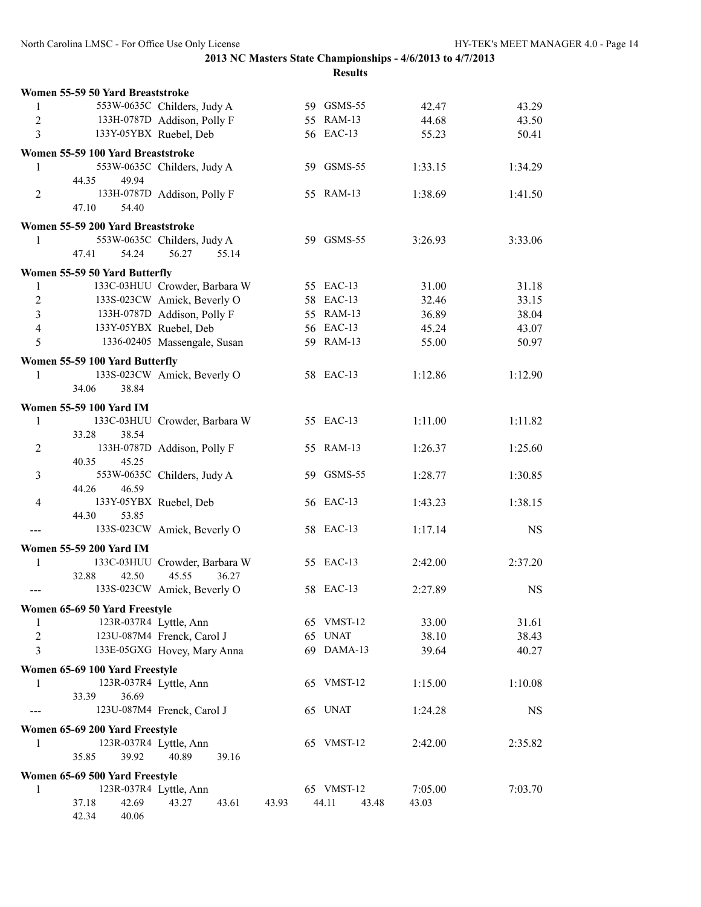|                | Women 55-59 50 Yard Breaststroke  |                               |       |                |         |           |
|----------------|-----------------------------------|-------------------------------|-------|----------------|---------|-----------|
| 1              |                                   | 553W-0635C Childers, Judy A   |       | 59 GSMS-55     | 42.47   | 43.29     |
| $\overline{2}$ |                                   | 133H-0787D Addison, Polly F   |       | 55 RAM-13      | 44.68   | 43.50     |
| 3              |                                   | 133Y-05YBX Ruebel, Deb        |       | 56 EAC-13      | 55.23   | 50.41     |
|                | Women 55-59 100 Yard Breaststroke |                               |       |                |         |           |
| 1              |                                   | 553W-0635C Childers, Judy A   |       | 59 GSMS-55     | 1:33.15 | 1:34.29   |
|                | 44.35<br>49.94                    |                               |       |                |         |           |
| $\overline{2}$ |                                   | 133H-0787D Addison, Polly F   |       | 55 RAM-13      | 1:38.69 | 1:41.50   |
|                | 47.10<br>54.40                    |                               |       |                |         |           |
|                | Women 55-59 200 Yard Breaststroke |                               |       |                |         |           |
| 1              |                                   | 553W-0635C Childers, Judy A   |       | 59 GSMS-55     | 3:26.93 | 3:33.06   |
|                | 54.24<br>47.41                    | 56.27<br>55.14                |       |                |         |           |
|                |                                   |                               |       |                |         |           |
|                | Women 55-59 50 Yard Butterfly     |                               |       |                |         |           |
| 1              |                                   | 133C-03HUU Crowder, Barbara W |       | 55 EAC-13      | 31.00   | 31.18     |
| $\overline{2}$ |                                   | 133S-023CW Amick, Beverly O   |       | 58 EAC-13      | 32.46   | 33.15     |
| $\overline{3}$ |                                   | 133H-0787D Addison, Polly F   |       | 55 RAM-13      | 36.89   | 38.04     |
| $\overline{4}$ |                                   | 133Y-05YBX Ruebel, Deb        |       | 56 EAC-13      | 45.24   | 43.07     |
| 5              |                                   | 1336-02405 Massengale, Susan  |       | 59 RAM-13      | 55.00   | 50.97     |
|                | Women 55-59 100 Yard Butterfly    |                               |       |                |         |           |
| 1              |                                   | 133S-023CW Amick, Beverly O   |       | 58 EAC-13      | 1:12.86 | 1:12.90   |
|                | 34.06<br>38.84                    |                               |       |                |         |           |
|                | Women 55-59 100 Yard IM           |                               |       |                |         |           |
| 1              |                                   | 133C-03HUU Crowder, Barbara W |       | 55 EAC-13      | 1:11.00 | 1:11.82   |
|                | 38.54<br>33.28                    |                               |       |                |         |           |
| $\overline{c}$ |                                   | 133H-0787D Addison, Polly F   |       | 55 RAM-13      | 1:26.37 | 1:25.60   |
|                | 45.25<br>40.35                    |                               |       |                |         |           |
| 3              |                                   | 553W-0635C Childers, Judy A   |       | 59 GSMS-55     | 1:28.77 | 1:30.85   |
|                | 44.26<br>46.59                    |                               |       |                |         |           |
| 4              |                                   | 133Y-05YBX Ruebel, Deb        |       | 56 EAC-13      | 1:43.23 | 1:38.15   |
|                | 44.30<br>53.85                    |                               |       |                |         |           |
| ---            |                                   | 133S-023CW Amick, Beverly O   |       | 58 EAC-13      | 1:17.14 | <b>NS</b> |
|                | <b>Women 55-59 200 Yard IM</b>    |                               |       |                |         |           |
| 1              |                                   | 133C-03HUU Crowder, Barbara W |       | 55 EAC-13      | 2:42.00 | 2:37.20   |
|                | 32.88<br>42.50                    | 45.55<br>36.27                |       |                |         |           |
| ---            |                                   | 133S-023CW Amick, Beverly O   |       | 58 EAC-13      | 2:27.89 | <b>NS</b> |
|                | Women 65-69 50 Yard Freestyle     |                               |       |                |         |           |
| 1              | 123R-037R4 Lyttle, Ann            |                               |       | 65 VMST-12     | 33.00   | 31.61     |
| $\sqrt{2}$     |                                   | 123U-087M4 Frenck, Carol J    |       | 65 UNAT        | 38.10   | 38.43     |
| 3              |                                   | 133E-05GXG Hovey, Mary Anna   |       | 69 DAMA-13     | 39.64   | 40.27     |
|                |                                   |                               |       |                |         |           |
|                | Women 65-69 100 Yard Freestyle    |                               |       |                |         |           |
| 1              |                                   | 123R-037R4 Lyttle, Ann        |       | 65 VMST-12     | 1:15.00 | 1:10.08   |
|                | 33.39<br>36.69                    |                               |       |                |         |           |
|                |                                   | 123U-087M4 Frenck, Carol J    |       | 65 UNAT        | 1:24.28 | <b>NS</b> |
|                | Women 65-69 200 Yard Freestyle    |                               |       |                |         |           |
| 1              |                                   | 123R-037R4 Lyttle, Ann        |       | 65 VMST-12     | 2:42.00 | 2:35.82   |
|                | 35.85<br>39.92                    | 40.89<br>39.16                |       |                |         |           |
|                | Women 65-69 500 Yard Freestyle    |                               |       |                |         |           |
| 1              |                                   | 123R-037R4 Lyttle, Ann        |       | 65 VMST-12     | 7:05.00 | 7:03.70   |
|                | 42.69<br>37.18                    | 43.27<br>43.61                | 43.93 | 44.11<br>43.48 | 43.03   |           |
|                | 42.34<br>40.06                    |                               |       |                |         |           |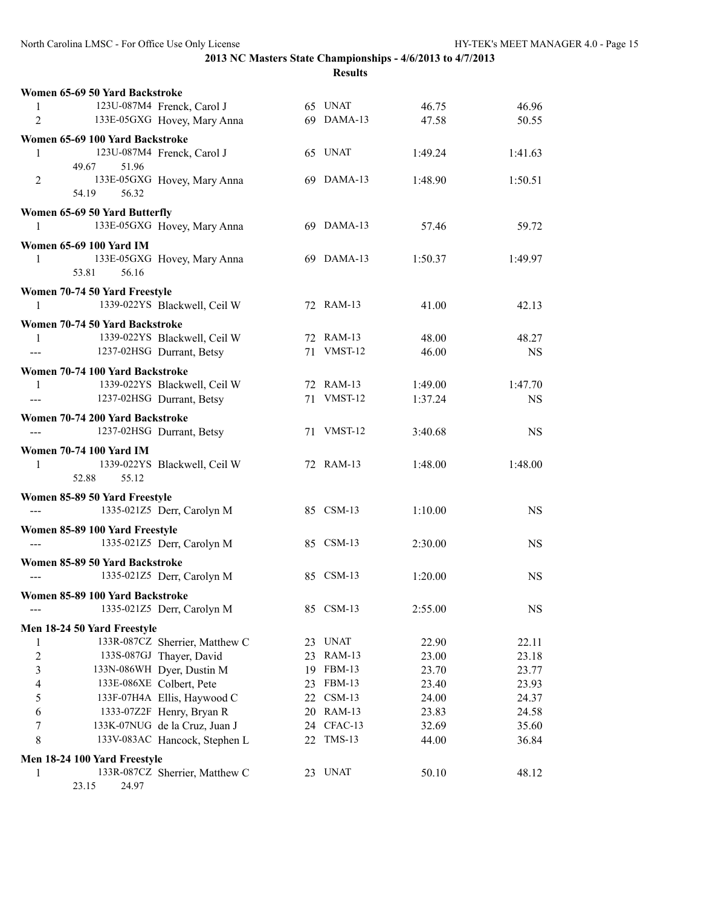|                                          | Women 65-69 50 Yard Backstroke  |    |               |         |           |
|------------------------------------------|---------------------------------|----|---------------|---------|-----------|
| 1                                        | 123U-087M4 Frenck, Carol J      |    | 65 UNAT       | 46.75   | 46.96     |
| $\overline{2}$                           | 133E-05GXG Hovey, Mary Anna     |    | 69 DAMA-13    | 47.58   | 50.55     |
|                                          | Women 65-69 100 Yard Backstroke |    |               |         |           |
| 1                                        | 123U-087M4 Frenck, Carol J      |    | 65 UNAT       | 1:49.24 | 1:41.63   |
|                                          | 51.96<br>49.67                  |    |               |         |           |
| 2                                        | 133E-05GXG Hovey, Mary Anna     |    | 69 DAMA-13    | 1:48.90 | 1:50.51   |
|                                          | 54.19<br>56.32                  |    |               |         |           |
|                                          | Women 65-69 50 Yard Butterfly   |    |               |         |           |
| 1                                        | 133E-05GXG Hovey, Mary Anna     |    | 69 DAMA-13    | 57.46   | 59.72     |
|                                          | <b>Women 65-69 100 Yard IM</b>  |    |               |         |           |
| 1                                        | 133E-05GXG Hovey, Mary Anna     |    | 69 DAMA-13    | 1:50.37 | 1:49.97   |
|                                          | 53.81<br>56.16                  |    |               |         |           |
|                                          | Women 70-74 50 Yard Freestyle   |    |               |         |           |
| 1                                        | 1339-022YS Blackwell, Ceil W    |    | 72 RAM-13     | 41.00   | 42.13     |
|                                          |                                 |    |               |         |           |
|                                          | Women 70-74 50 Yard Backstroke  |    | 72 RAM-13     | 48.00   | 48.27     |
| 1                                        | 1339-022YS Blackwell, Ceil W    |    | 71 VMST-12    |         |           |
|                                          | 1237-02HSG Durrant, Betsy       |    |               | 46.00   | <b>NS</b> |
|                                          | Women 70-74 100 Yard Backstroke |    |               |         |           |
| 1                                        | 1339-022YS Blackwell, Ceil W    |    | 72 RAM-13     | 1:49.00 | 1:47.70   |
| $---$                                    | 1237-02HSG Durrant, Betsy       |    | 71 VMST-12    | 1:37.24 | <b>NS</b> |
|                                          | Women 70-74 200 Yard Backstroke |    |               |         |           |
|                                          | 1237-02HSG Durrant, Betsy       |    | 71 VMST-12    | 3:40.68 | NS.       |
|                                          | <b>Women 70-74 100 Yard IM</b>  |    |               |         |           |
| 1                                        | 1339-022YS Blackwell, Ceil W    |    | 72 RAM-13     | 1:48.00 | 1:48.00   |
|                                          | 52.88<br>55.12                  |    |               |         |           |
|                                          | Women 85-89 50 Yard Freestyle   |    |               |         |           |
| $\hspace{0.05cm} \ldots \hspace{0.05cm}$ | 1335-021Z5 Derr, Carolyn M      |    | 85 CSM-13     | 1:10.00 | <b>NS</b> |
|                                          |                                 |    |               |         |           |
|                                          | Women 85-89 100 Yard Freestyle  |    |               |         |           |
|                                          | 1335-021Z5 Derr, Carolyn M      |    | 85 CSM-13     | 2:30.00 | <b>NS</b> |
|                                          | Women 85-89 50 Yard Backstroke  |    |               |         |           |
|                                          | 1335-021Z5 Derr, Carolyn M      |    | 85 CSM-13     | 1:20.00 | <b>NS</b> |
|                                          | Women 85-89 100 Yard Backstroke |    |               |         |           |
|                                          | 1335-021Z5 Derr, Carolyn M      |    | 85 CSM-13     | 2:55.00 | <b>NS</b> |
|                                          | Men 18-24 50 Yard Freestyle     |    |               |         |           |
| 1                                        | 133R-087CZ Sherrier, Matthew C  | 23 | <b>UNAT</b>   | 22.90   | 22.11     |
| $\overline{\mathbf{c}}$                  | 133S-087GJ Thayer, David        | 23 | <b>RAM-13</b> | 23.00   | 23.18     |
| 3                                        | 133N-086WH Dyer, Dustin M       | 19 | <b>FBM-13</b> | 23.70   | 23.77     |
| 4                                        | 133E-086XE Colbert, Pete        | 23 | <b>FBM-13</b> | 23.40   | 23.93     |
| 5                                        | 133F-07H4A Ellis, Haywood C     | 22 | $CSM-13$      | 24.00   | 24.37     |
| 6                                        | 1333-07Z2F Henry, Bryan R       | 20 | <b>RAM-13</b> | 23.83   | 24.58     |
| 7                                        | 133K-07NUG de la Cruz, Juan J   |    | 24 CFAC-13    | 32.69   | 35.60     |
| 8                                        | 133V-083AC Hancock, Stephen L   | 22 | $TMS-13$      | 44.00   | 36.84     |
|                                          | Men 18-24 100 Yard Freestyle    |    |               |         |           |
| 1                                        | 133R-087CZ Sherrier, Matthew C  |    | 23 UNAT       | 50.10   | 48.12     |
|                                          |                                 |    |               |         |           |

23.15 24.97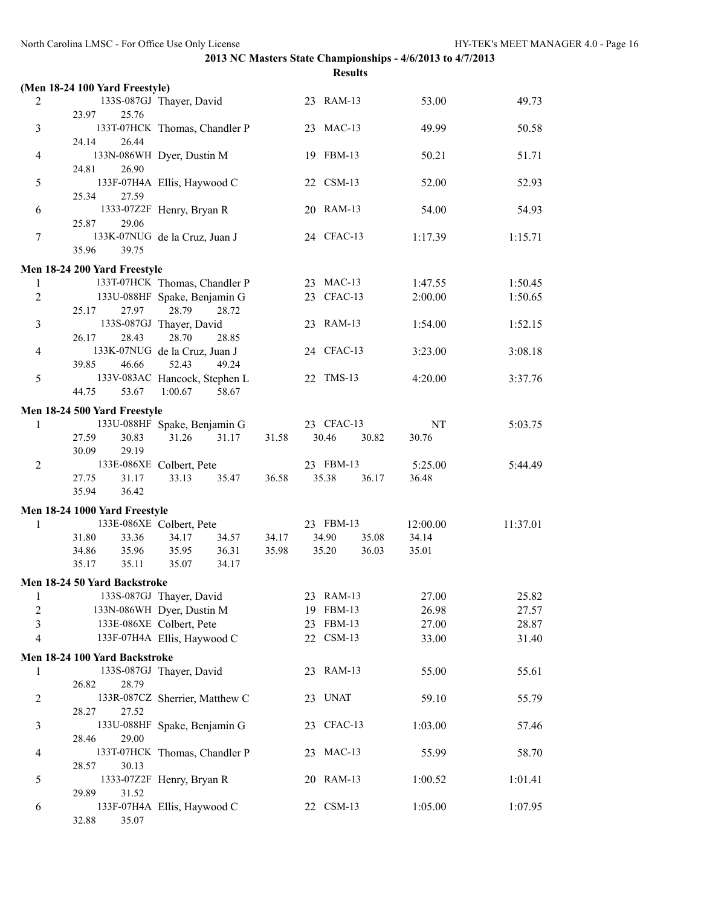|                 | <b>Results</b>                 |                                                               |       |                |          |                    |  |  |  |
|-----------------|--------------------------------|---------------------------------------------------------------|-------|----------------|----------|--------------------|--|--|--|
|                 | (Men 18-24 100 Yard Freestyle) |                                                               |       |                |          |                    |  |  |  |
| 2               |                                | 133S-087GJ Thayer, David                                      |       | 23 RAM-13      | 53.00    | 49.73              |  |  |  |
|                 | 23.97<br>25.76                 |                                                               |       |                |          |                    |  |  |  |
| 3               |                                | 133T-07HCK Thomas, Chandler P                                 |       | 23 MAC-13      | 49.99    | 50.58              |  |  |  |
|                 | 24.14<br>26.44                 |                                                               |       |                |          |                    |  |  |  |
| 4               |                                | 133N-086WH Dyer, Dustin M                                     |       | 19 FBM-13      | 50.21    | 51.71              |  |  |  |
|                 | 24.81<br>26.90                 |                                                               |       | 22 CSM-13      |          |                    |  |  |  |
| 5               | 25.34<br>27.59                 | 133F-07H4A Ellis, Haywood C                                   |       |                | 52.00    | 52.93              |  |  |  |
| 6               |                                | 1333-07Z2F Henry, Bryan R                                     |       | 20 RAM-13      | 54.00    | 54.93              |  |  |  |
|                 | 29.06<br>25.87                 |                                                               |       |                |          |                    |  |  |  |
| 7               |                                | 133K-07NUG de la Cruz, Juan J                                 |       | 24 CFAC-13     | 1:17.39  | 1:15.71            |  |  |  |
|                 | 39.75<br>35.96                 |                                                               |       |                |          |                    |  |  |  |
|                 |                                |                                                               |       |                |          |                    |  |  |  |
|                 | Men 18-24 200 Yard Freestyle   |                                                               |       | 23 MAC-13      |          |                    |  |  |  |
| 1<br>$\sqrt{2}$ |                                | 133T-07HCK Thomas, Chandler P<br>133U-088HF Spake, Benjamin G |       | 23 CFAC-13     | 1:47.55  | 1:50.45<br>1:50.65 |  |  |  |
|                 | 27.97<br>25.17                 | 28.79<br>28.72                                                |       |                | 2:00.00  |                    |  |  |  |
| 3               |                                | 133S-087GJ Thayer, David                                      |       | 23 RAM-13      | 1:54.00  | 1:52.15            |  |  |  |
|                 | 28.43<br>26.17                 | 28.70<br>28.85                                                |       |                |          |                    |  |  |  |
| 4               |                                | 133K-07NUG de la Cruz, Juan J                                 |       | 24 CFAC-13     | 3:23.00  | 3:08.18            |  |  |  |
|                 | 39.85<br>46.66                 | 52.43<br>49.24                                                |       |                |          |                    |  |  |  |
| 5               |                                | 133V-083AC Hancock, Stephen L                                 |       | 22 TMS-13      | 4:20.00  | 3:37.76            |  |  |  |
|                 | 44.75<br>53.67                 | 1:00.67<br>58.67                                              |       |                |          |                    |  |  |  |
|                 | Men 18-24 500 Yard Freestyle   |                                                               |       |                |          |                    |  |  |  |
| 1               |                                | 133U-088HF Spake, Benjamin G                                  |       | 23 CFAC-13     | NT       | 5:03.75            |  |  |  |
|                 | 27.59<br>30.83                 | 31.26<br>31.17                                                | 31.58 | 30.46<br>30.82 | 30.76    |                    |  |  |  |
|                 | 29.19<br>30.09                 |                                                               |       |                |          |                    |  |  |  |
| $\overline{2}$  |                                | 133E-086XE Colbert, Pete                                      |       | 23 FBM-13      | 5:25.00  | 5:44.49            |  |  |  |
|                 | 27.75<br>31.17                 | 33.13<br>35.47                                                | 36.58 | 35.38<br>36.17 | 36.48    |                    |  |  |  |
|                 | 36.42<br>35.94                 |                                                               |       |                |          |                    |  |  |  |
|                 | Men 18-24 1000 Yard Freestyle  |                                                               |       |                |          |                    |  |  |  |
| 1               |                                | 133E-086XE Colbert, Pete                                      |       | 23 FBM-13      | 12:00.00 | 11:37.01           |  |  |  |
|                 | 31.80<br>33.36                 | 34.17<br>34.57                                                | 34.17 | 34.90<br>35.08 | 34.14    |                    |  |  |  |
|                 | 35.96<br>34.86                 | 35.95<br>36.31                                                | 35.98 | 36.03<br>35.20 | 35.01    |                    |  |  |  |
|                 | 35.11<br>35.17                 | 35.07<br>34.17                                                |       |                |          |                    |  |  |  |
|                 | Men 18-24 50 Yard Backstroke   |                                                               |       |                |          |                    |  |  |  |
| 1               |                                | 133S-087GJ Thayer, David                                      |       | 23 RAM-13      | 27.00    | 25.82              |  |  |  |
| $\overline{c}$  |                                | 133N-086WH Dyer, Dustin M                                     |       | 19 FBM-13      | 26.98    | 27.57              |  |  |  |
| 3               |                                | 133E-086XE Colbert, Pete                                      |       | 23 FBM-13      | 27.00    | 28.87              |  |  |  |
| 4               |                                | 133F-07H4A Ellis, Haywood C                                   |       | 22 CSM-13      | 33.00    | 31.40              |  |  |  |
|                 | Men 18-24 100 Yard Backstroke  |                                                               |       |                |          |                    |  |  |  |
| 1               |                                | 133S-087GJ Thayer, David                                      |       | 23 RAM-13      | 55.00    | 55.61              |  |  |  |
|                 | 26.82<br>28.79                 |                                                               |       |                |          |                    |  |  |  |
| $\overline{c}$  |                                | 133R-087CZ Sherrier, Matthew C                                |       | 23 UNAT        | 59.10    | 55.79              |  |  |  |
|                 | 28.27<br>27.52                 |                                                               |       |                |          |                    |  |  |  |
| 3               |                                | 133U-088HF Spake, Benjamin G                                  |       | 23 CFAC-13     | 1:03.00  | 57.46              |  |  |  |
|                 | 28.46<br>29.00                 |                                                               |       |                |          |                    |  |  |  |
| 4               |                                | 133T-07HCK Thomas, Chandler P                                 |       | 23 MAC-13      | 55.99    | 58.70              |  |  |  |
|                 | 30.13<br>28.57                 |                                                               |       |                |          |                    |  |  |  |
| 5               |                                | 1333-07Z2F Henry, Bryan R                                     |       | 20 RAM-13      | 1:00.52  | 1:01.41            |  |  |  |
|                 | 29.89<br>31.52                 |                                                               |       |                |          |                    |  |  |  |
| 6               |                                | 133F-07H4A Ellis, Haywood C                                   |       | 22 CSM-13      | 1:05.00  | 1:07.95            |  |  |  |
|                 | 32.88<br>35.07                 |                                                               |       |                |          |                    |  |  |  |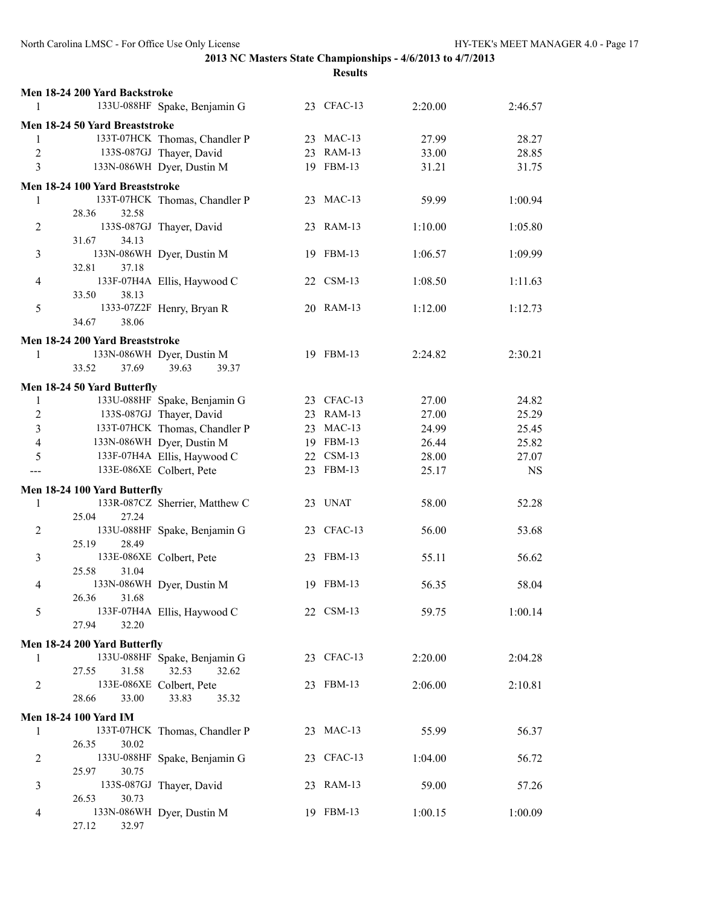| Men 18-24 200 Yard Backstroke                   |            |         |           |
|-------------------------------------------------|------------|---------|-----------|
| 133U-088HF Spake, Benjamin G<br>1               | 23 CFAC-13 | 2:20.00 | 2:46.57   |
| Men 18-24 50 Yard Breaststroke                  |            |         |           |
| 133T-07HCK Thomas, Chandler P<br>1              | 23 MAC-13  | 27.99   | 28.27     |
| 133S-087GJ Thayer, David<br>$\overline{2}$      | 23 RAM-13  | 33.00   | 28.85     |
| 3<br>133N-086WH Dyer, Dustin M                  | 19 FBM-13  | 31.21   | 31.75     |
|                                                 |            |         |           |
| Men 18-24 100 Yard Breaststroke                 |            |         |           |
| 133T-07HCK Thomas, Chandler P<br>1              | 23 MAC-13  | 59.99   | 1:00.94   |
| 28.36<br>32.58<br>133S-087GJ Thayer, David      | 23 RAM-13  |         |           |
| 2<br>31.67<br>34.13                             |            | 1:10.00 | 1:05.80   |
| 133N-086WH Dyer, Dustin M<br>3                  | 19 FBM-13  | 1:06.57 | 1:09.99   |
| 32.81<br>37.18                                  |            |         |           |
| 133F-07H4A Ellis, Haywood C<br>4                | 22 CSM-13  | 1:08.50 | 1:11.63   |
| 38.13<br>33.50                                  |            |         |           |
| 1333-07Z2F Henry, Bryan R<br>5                  | 20 RAM-13  | 1:12.00 | 1:12.73   |
| 34.67<br>38.06                                  |            |         |           |
| Men 18-24 200 Yard Breaststroke                 |            |         |           |
| 133N-086WH Dyer, Dustin M<br>1                  | 19 FBM-13  | 2:24.82 | 2:30.21   |
| 39.63<br>33.52<br>37.69<br>39.37                |            |         |           |
| Men 18-24 50 Yard Butterfly                     |            |         |           |
| 133U-088HF Spake, Benjamin G<br>1               | 23 CFAC-13 | 27.00   | 24.82     |
| 2<br>133S-087GJ Thayer, David                   | 23 RAM-13  | 27.00   | 25.29     |
| 3<br>133T-07HCK Thomas, Chandler P              | 23 MAC-13  | 24.99   | 25.45     |
| 133N-086WH Dyer, Dustin M<br>4                  | 19 FBM-13  | 26.44   | 25.82     |
| 133F-07H4A Ellis, Haywood C<br>5                | 22 CSM-13  | 28.00   | 27.07     |
| 133E-086XE Colbert, Pete                        | 23 FBM-13  | 25.17   | <b>NS</b> |
| Men 18-24 100 Yard Butterfly                    |            |         |           |
| 133R-087CZ Sherrier, Matthew C<br>1             | 23 UNAT    | 58.00   | 52.28     |
| 25.04<br>27.24                                  |            |         |           |
| 133U-088HF Spake, Benjamin G<br>$\overline{2}$  | 23 CFAC-13 | 56.00   | 53.68     |
| 28.49<br>25.19                                  |            |         |           |
| 133E-086XE Colbert, Pete<br>3                   | 23 FBM-13  | 55.11   | 56.62     |
| 25.58<br>31.04                                  |            |         |           |
| 133N-086WH Dyer, Dustin M<br>4                  | 19 FBM-13  | 56.35   | 58.04     |
| 26.36<br>31.68                                  |            |         |           |
| 133F-07H4A Ellis, Haywood C<br>5                | 22 CSM-13  | 59.75   | 1:00.14   |
| 27.94<br>32.20                                  |            |         |           |
| Men 18-24 200 Yard Butterfly                    |            |         |           |
| 133U-088HF Spake, Benjamin G<br>1               | 23 CFAC-13 | 2:20.00 | 2:04.28   |
| 32.53<br>27.55<br>31.58<br>32.62                |            |         |           |
| 133E-086XE Colbert, Pete<br>2                   | 23 FBM-13  | 2:06.00 | 2:10.81   |
| 28.66<br>33.00<br>33.83<br>35.32                |            |         |           |
| Men 18-24 100 Yard IM                           |            |         |           |
| 133T-07HCK Thomas, Chandler P<br>1              | 23 MAC-13  | 55.99   | 56.37     |
| 26.35<br>30.02                                  |            |         |           |
| 133U-088HF Spake, Benjamin G<br>2               | 23 CFAC-13 | 1:04.00 | 56.72     |
| 30.75<br>25.97                                  | 23 RAM-13  |         |           |
| 133S-087GJ Thayer, David<br>3<br>30.73<br>26.53 |            | 59.00   | 57.26     |
| 133N-086WH Dyer, Dustin M<br>4                  | 19 FBM-13  | 1:00.15 | 1:00.09   |
| 32.97<br>27.12                                  |            |         |           |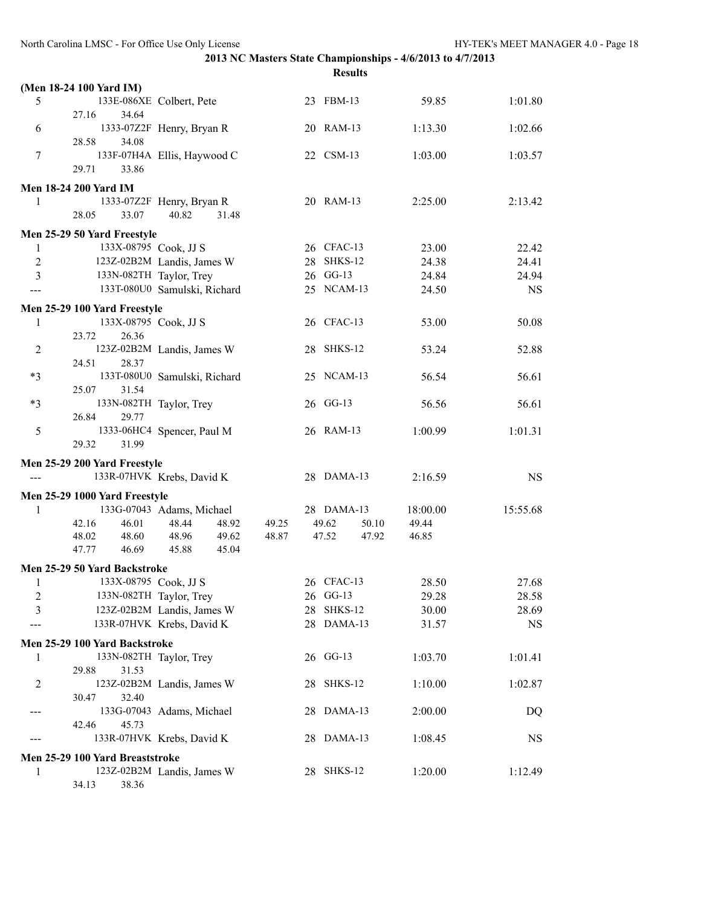|                |                                         | <b>Results</b>                              |                |  |            |       |          |           |  |
|----------------|-----------------------------------------|---------------------------------------------|----------------|--|------------|-------|----------|-----------|--|
|                | (Men 18-24 100 Yard IM)                 |                                             |                |  |            |       |          |           |  |
| 5              | 27.16<br>34.64                          | 133E-086XE Colbert, Pete                    |                |  | 23 FBM-13  |       | 59.85    | 1:01.80   |  |
| 6              | 28.58<br>34.08                          | 1333-07Z2F Henry, Bryan R                   |                |  | 20 RAM-13  |       | 1:13.30  | 1:02.66   |  |
| 7              | 29.71<br>33.86                          | 133F-07H4A Ellis, Haywood C                 |                |  | 22 CSM-13  |       | 1:03.00  | 1:03.57   |  |
|                |                                         |                                             |                |  |            |       |          |           |  |
|                | <b>Men 18-24 200 Yard IM</b>            |                                             |                |  |            |       |          |           |  |
| 1              | 28.05<br>33.07                          | 1333-07Z2F Henry, Bryan R<br>40.82<br>31.48 |                |  | 20 RAM-13  |       | 2:25.00  | 2:13.42   |  |
|                | Men 25-29 50 Yard Freestyle             |                                             |                |  |            |       |          |           |  |
| $\mathbf{1}$   | 133X-08795 Cook, JJ S                   |                                             |                |  | 26 CFAC-13 |       | 23.00    | 22.42     |  |
| $\overline{2}$ |                                         | 123Z-02B2M Landis, James W                  |                |  | 28 SHKS-12 |       | 24.38    | 24.41     |  |
| 3              |                                         | 133N-082TH Taylor, Trey                     |                |  | 26 GG-13   |       | 24.84    | 24.94     |  |
| ---            |                                         | 133T-080U0 Samulski, Richard                |                |  | 25 NCAM-13 |       | 24.50    | <b>NS</b> |  |
|                | Men 25-29 100 Yard Freestyle            |                                             |                |  |            |       |          |           |  |
| 1              | 133X-08795 Cook, JJ S<br>23.72<br>26.36 |                                             |                |  | 26 CFAC-13 |       | 53.00    | 50.08     |  |
| $\overline{2}$ | 28.37<br>24.51                          | 123Z-02B2M Landis, James W                  |                |  | 28 SHKS-12 |       | 53.24    | 52.88     |  |
| $*3$           | 25.07<br>31.54                          | 133T-080U0 Samulski, Richard                |                |  | 25 NCAM-13 |       | 56.54    | 56.61     |  |
| $*3$           | 26.84<br>29.77                          | 133N-082TH Taylor, Trey                     |                |  | 26 GG-13   |       | 56.56    | 56.61     |  |
| 5              | 29.32<br>31.99                          | 1333-06HC4 Spencer, Paul M                  |                |  | 26 RAM-13  |       | 1:00.99  | 1:01.31   |  |
|                | Men 25-29 200 Yard Freestyle            |                                             |                |  |            |       |          |           |  |
|                |                                         | 133R-07HVK Krebs, David K                   |                |  | 28 DAMA-13 |       | 2:16.59  | <b>NS</b> |  |
|                |                                         |                                             |                |  |            |       |          |           |  |
|                | Men 25-29 1000 Yard Freestyle           |                                             |                |  |            |       |          |           |  |
| 1              |                                         | 133G-07043 Adams, Michael                   |                |  | 28 DAMA-13 |       | 18:00.00 | 15:55.68  |  |
|                | 42.16<br>46.01<br>48.02                 | 48.44<br>48.92<br>48.96                     | 49.25<br>48.87 |  | 49.62      | 50.10 | 49.44    |           |  |
|                | 48.60<br>47.77<br>46.69                 | 49.62<br>45.88<br>45.04                     |                |  | 47.52      | 47.92 | 46.85    |           |  |
|                | Men 25-29 50 Yard Backstroke            |                                             |                |  |            |       |          |           |  |
| $\mathbf{I}$   | 133X-08795 Cook, JJ S                   |                                             |                |  | 26 CFAC-13 |       | 28.50    | 27.68     |  |
| 2              |                                         | 133N-082TH Taylor, Trey                     |                |  | 26 GG-13   |       | 29.28    | 28.58     |  |
| 3              |                                         | 123Z-02B2M Landis, James W                  |                |  | 28 SHKS-12 |       | 30.00    | 28.69     |  |
|                |                                         | 133R-07HVK Krebs, David K                   |                |  | 28 DAMA-13 |       | 31.57    | NS        |  |
|                | Men 25-29 100 Yard Backstroke           |                                             |                |  |            |       |          |           |  |
| 1              |                                         | 133N-082TH Taylor, Trey                     |                |  | 26 GG-13   |       | 1:03.70  | 1:01.41   |  |
|                | 29.88<br>31.53                          |                                             |                |  |            |       |          |           |  |
| 2              | 32.40<br>30.47                          | 123Z-02B2M Landis, James W                  |                |  | 28 SHKS-12 |       | 1:10.00  | 1:02.87   |  |
|                | 42.46<br>45.73                          | 133G-07043 Adams, Michael                   |                |  | 28 DAMA-13 |       | 2:00.00  | DQ        |  |
|                |                                         | 133R-07HVK Krebs, David K                   |                |  | 28 DAMA-13 |       | 1:08.45  | NS        |  |
|                | Men 25-29 100 Yard Breaststroke         |                                             |                |  |            |       |          |           |  |
| 1              | 34.13<br>38.36                          | 123Z-02B2M Landis, James W                  |                |  | 28 SHKS-12 |       | 1:20.00  | 1:12.49   |  |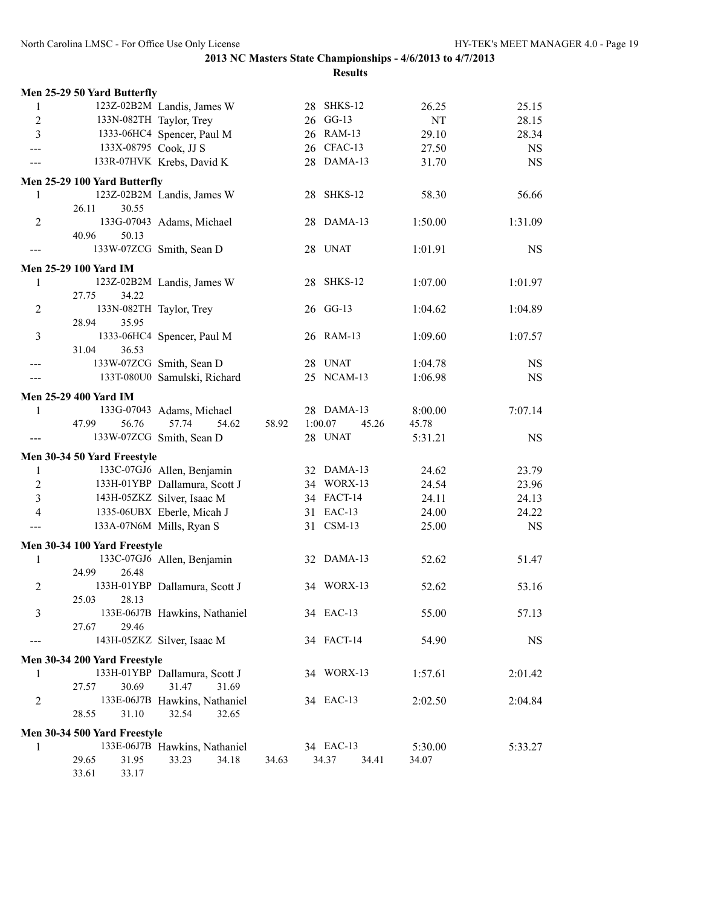|                | Men 25-29 50 Yard Butterfly  |                               |       |                  |         |           |
|----------------|------------------------------|-------------------------------|-------|------------------|---------|-----------|
| 1              |                              | 123Z-02B2M Landis, James W    |       | 28 SHKS-12       | 26.25   | 25.15     |
| $\overline{c}$ | 133N-082TH Taylor, Trey      |                               |       | 26 GG-13         | NT      | 28.15     |
| 3              |                              | 1333-06HC4 Spencer, Paul M    |       | 26 RAM-13        | 29.10   | 28.34     |
| ---            | 133X-08795 Cook, JJ S        |                               |       | 26 CFAC-13       | 27.50   | <b>NS</b> |
|                |                              | 133R-07HVK Krebs, David K     |       | 28 DAMA-13       | 31.70   | <b>NS</b> |
|                |                              |                               |       |                  |         |           |
|                | Men 25-29 100 Yard Butterfly |                               |       |                  |         |           |
| 1              |                              | 123Z-02B2M Landis, James W    |       | 28 SHKS-12       | 58.30   | 56.66     |
|                | 26.11<br>30.55               |                               |       |                  |         |           |
| $\overline{2}$ |                              | 133G-07043 Adams, Michael     |       | 28 DAMA-13       | 1:50.00 | 1:31.09   |
|                | 40.96<br>50.13               |                               |       |                  |         |           |
| ---            | 133W-07ZCG Smith, Sean D     |                               |       | 28 UNAT          | 1:01.91 | <b>NS</b> |
|                | Men 25-29 100 Yard IM        |                               |       |                  |         |           |
| 1              |                              | 123Z-02B2M Landis, James W    |       | 28 SHKS-12       | 1:07.00 | 1:01.97   |
|                | 34.22<br>27.75               |                               |       |                  |         |           |
| $\overline{c}$ | 133N-082TH Taylor, Trey      |                               |       | 26 GG-13         | 1:04.62 | 1:04.89   |
|                | 35.95<br>28.94               |                               |       |                  |         |           |
| 3              |                              | 1333-06HC4 Spencer, Paul M    |       | 26 RAM-13        | 1:09.60 | 1:07.57   |
|                | 36.53<br>31.04               |                               |       |                  |         |           |
| ---            | 133W-07ZCG Smith, Sean D     |                               |       | 28 UNAT          | 1:04.78 | NS.       |
|                |                              | 133T-080U0 Samulski, Richard  |       | 25 NCAM-13       | 1:06.98 | <b>NS</b> |
|                |                              |                               |       |                  |         |           |
|                | <b>Men 25-29 400 Yard IM</b> |                               |       |                  |         |           |
| 1              |                              | 133G-07043 Adams, Michael     |       | 28 DAMA-13       | 8:00.00 | 7:07.14   |
|                | 47.99<br>56.76               | 57.74<br>54.62                | 58.92 | 1:00.07<br>45.26 | 45.78   |           |
|                | 133W-07ZCG Smith, Sean D     |                               |       | 28 UNAT          | 5:31.21 | <b>NS</b> |
|                | Men 30-34 50 Yard Freestyle  |                               |       |                  |         |           |
| 1              |                              | 133C-07GJ6 Allen, Benjamin    |       | 32 DAMA-13       | 24.62   | 23.79     |
| $\overline{2}$ |                              | 133H-01YBP Dallamura, Scott J |       | 34 WORX-13       | 24.54   | 23.96     |
| 3              |                              | 143H-05ZKZ Silver, Isaac M    |       | 34 FACT-14       | 24.11   | 24.13     |
| $\overline{4}$ |                              | 1335-06UBX Eberle, Micah J    |       | 31 EAC-13        | 24.00   | 24.22     |
|                | 133A-07N6M Mills, Ryan S     |                               |       | 31 CSM-13        | 25.00   | <b>NS</b> |
|                |                              |                               |       |                  |         |           |
|                | Men 30-34 100 Yard Freestyle |                               |       |                  |         |           |
| 1              |                              | 133C-07GJ6 Allen, Benjamin    |       | 32 DAMA-13       | 52.62   | 51.47     |
|                | 24.99<br>26.48               |                               |       |                  |         |           |
| $\overline{2}$ |                              | 133H-01YBP Dallamura, Scott J |       | 34 WORX-13       | 52.62   | 53.16     |
|                | 25.03<br>28.13               |                               |       |                  |         |           |
| 3              |                              | 133E-06J7B Hawkins, Nathaniel |       | 34 EAC-13        | 55.00   | 57.13     |
|                | 27.67<br>29.46               |                               |       |                  |         |           |
|                |                              | 143H-05ZKZ Silver, Isaac M    |       | 34 FACT-14       | 54.90   | <b>NS</b> |
|                | Men 30-34 200 Yard Freestyle |                               |       |                  |         |           |
| 1              |                              | 133H-01YBP Dallamura, Scott J |       | 34 WORX-13       | 1:57.61 | 2:01.42   |
|                | 30.69<br>27.57               | 31.47<br>31.69                |       |                  |         |           |
| 2              |                              | 133E-06J7B Hawkins, Nathaniel |       | 34 EAC-13        | 2:02.50 | 2:04.84   |
|                | 31.10<br>28.55               | 32.54<br>32.65                |       |                  |         |           |
|                |                              |                               |       |                  |         |           |
|                | Men 30-34 500 Yard Freestyle |                               |       |                  |         |           |
| 1              |                              | 133E-06J7B Hawkins, Nathaniel |       | 34 EAC-13        | 5:30.00 | 5:33.27   |
|                | 29.65<br>31.95               | 34.18<br>33.23                | 34.63 | 34.37<br>34.41   | 34.07   |           |
|                | 33.61<br>33.17               |                               |       |                  |         |           |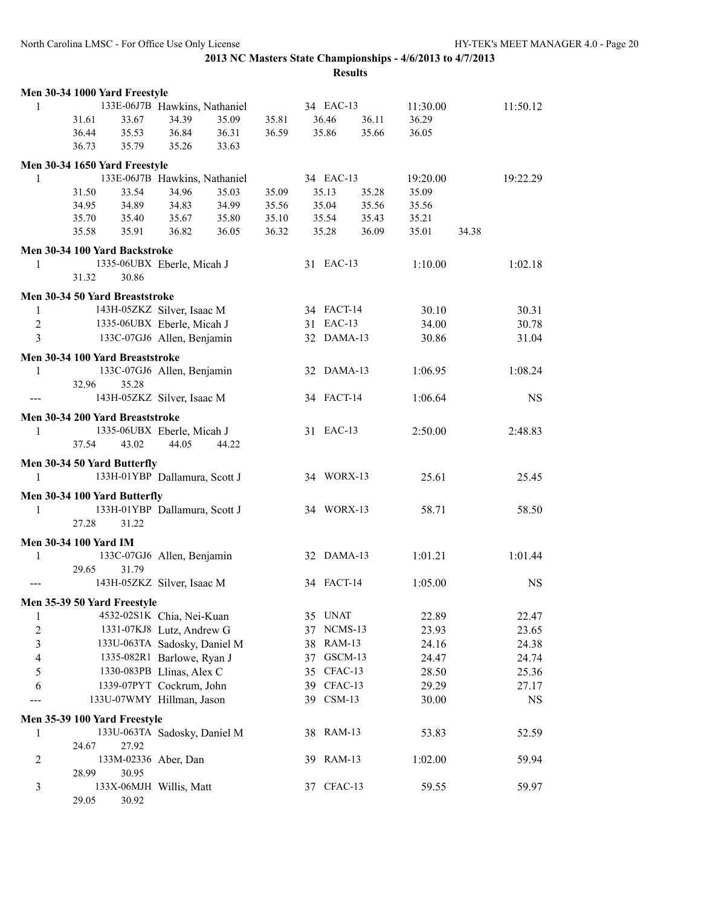|                         | Men 30-34 1000 Yard Freestyle   |                               |       |       |       |            |       |          |       |           |
|-------------------------|---------------------------------|-------------------------------|-------|-------|-------|------------|-------|----------|-------|-----------|
| 1                       |                                 | 133E-06J7B Hawkins, Nathaniel |       |       |       | 34 EAC-13  |       | 11:30.00 |       | 11:50.12  |
|                         | 33.67<br>31.61                  | 34.39                         | 35.09 | 35.81 | 36.46 |            | 36.11 | 36.29    |       |           |
|                         | 36.44<br>35.53                  | 36.84                         | 36.31 | 36.59 | 35.86 |            | 35.66 | 36.05    |       |           |
|                         | 36.73<br>35.79                  | 35.26                         | 33.63 |       |       |            |       |          |       |           |
|                         | Men 30-34 1650 Yard Freestyle   |                               |       |       |       |            |       |          |       |           |
| 1                       |                                 | 133E-06J7B Hawkins, Nathaniel |       |       |       | 34 EAC-13  |       | 19:20.00 |       | 19:22.29  |
|                         | 31.50<br>33.54                  | 34.96                         | 35.03 | 35.09 | 35.13 |            | 35.28 | 35.09    |       |           |
|                         | 34.95<br>34.89                  | 34.83                         | 34.99 | 35.56 | 35.04 |            | 35.56 | 35.56    |       |           |
|                         | 35.40<br>35.70                  | 35.67                         | 35.80 | 35.10 |       | 35.54      | 35.43 | 35.21    |       |           |
|                         | 35.91<br>35.58                  | 36.82                         | 36.05 | 36.32 | 35.28 |            | 36.09 | 35.01    | 34.38 |           |
|                         | Men 30-34 100 Yard Backstroke   |                               |       |       |       |            |       |          |       |           |
| 1                       |                                 | 1335-06UBX Eberle, Micah J    |       |       |       | 31 EAC-13  |       | 1:10.00  |       | 1:02.18   |
|                         | 31.32<br>30.86                  |                               |       |       |       |            |       |          |       |           |
|                         | Men 30-34 50 Yard Breaststroke  |                               |       |       |       |            |       |          |       |           |
| $\mathbf{1}$            |                                 | 143H-05ZKZ Silver, Isaac M    |       |       |       | 34 FACT-14 |       | 30.10    |       | 30.31     |
| $\overline{2}$          |                                 | 1335-06UBX Eberle, Micah J    |       |       |       | 31 EAC-13  |       | 34.00    |       | 30.78     |
| $\overline{3}$          |                                 | 133C-07GJ6 Allen, Benjamin    |       |       |       | 32 DAMA-13 |       | 30.86    |       | 31.04     |
|                         |                                 |                               |       |       |       |            |       |          |       |           |
|                         | Men 30-34 100 Yard Breaststroke |                               |       |       |       |            |       |          |       |           |
| 1                       |                                 | 133C-07GJ6 Allen, Benjamin    |       |       |       | 32 DAMA-13 |       | 1:06.95  |       | 1:08.24   |
|                         | 32.96<br>35.28                  |                               |       |       |       |            |       |          |       |           |
|                         |                                 | 143H-05ZKZ Silver, Isaac M    |       |       |       | 34 FACT-14 |       | 1:06.64  |       | <b>NS</b> |
|                         | Men 30-34 200 Yard Breaststroke |                               |       |       |       |            |       |          |       |           |
| 1                       |                                 | 1335-06UBX Eberle, Micah J    |       |       |       | 31 EAC-13  |       | 2:50.00  |       | 2:48.83   |
|                         | 43.02<br>37.54                  | 44.05                         | 44.22 |       |       |            |       |          |       |           |
|                         | Men 30-34 50 Yard Butterfly     |                               |       |       |       |            |       |          |       |           |
| 1                       |                                 | 133H-01YBP Dallamura, Scott J |       |       |       | 34 WORX-13 |       | 25.61    |       | 25.45     |
|                         | Men 30-34 100 Yard Butterfly    |                               |       |       |       |            |       |          |       |           |
| 1                       |                                 | 133H-01YBP Dallamura, Scott J |       |       |       | 34 WORX-13 |       | 58.71    |       | 58.50     |
|                         | 27.28<br>31.22                  |                               |       |       |       |            |       |          |       |           |
|                         |                                 |                               |       |       |       |            |       |          |       |           |
|                         | Men 30-34 100 Yard IM           |                               |       |       |       |            |       |          |       |           |
| 1                       |                                 | 133C-07GJ6 Allen, Benjamin    |       |       |       | 32 DAMA-13 |       | 1:01.21  |       | 1:01.44   |
|                         | 29.65<br>31.79                  |                               |       |       |       |            |       |          |       |           |
|                         |                                 | 143H-05ZKZ Silver, Isaac M    |       |       |       | 34 FACT-14 |       | 1:05.00  |       | <b>NS</b> |
|                         | Men 35-39 50 Yard Freestyle     |                               |       |       |       |            |       |          |       |           |
| 1                       |                                 | 4532-02S1K Chia, Nei-Kuan     |       |       |       | 35 UNAT    |       | 22.89    |       | 22.47     |
| $\overline{\mathbf{c}}$ |                                 | 1331-07KJ8 Lutz, Andrew G     |       |       |       | 37 NCMS-13 |       | 23.93    |       | 23.65     |
| 3                       |                                 | 133U-063TA Sadosky, Daniel M  |       |       |       | 38 RAM-13  |       | 24.16    |       | 24.38     |
| 4                       |                                 | 1335-082R1 Barlowe, Ryan J    |       |       | 37    | GSCM-13    |       | 24.47    |       | 24.74     |
| 5                       |                                 | 1330-083PB Llinas, Alex C     |       |       |       | 35 CFAC-13 |       | 28.50    |       | 25.36     |
| 6                       |                                 | 1339-07PYT Cockrum, John      |       |       |       | 39 CFAC-13 |       | 29.29    |       | 27.17     |
|                         |                                 | 133U-07WMY Hillman, Jason     |       |       |       | 39 CSM-13  |       | 30.00    |       | <b>NS</b> |
|                         | Men 35-39 100 Yard Freestyle    |                               |       |       |       |            |       |          |       |           |
| 1                       |                                 | 133U-063TA Sadosky, Daniel M  |       |       |       | 38 RAM-13  |       | 53.83    |       | 52.59     |
|                         | 24.67<br>27.92                  |                               |       |       |       |            |       |          |       |           |
| 2                       |                                 | 133M-02336 Aber, Dan          |       |       |       | 39 RAM-13  |       | 1:02.00  |       | 59.94     |
|                         | 28.99<br>30.95                  |                               |       |       |       |            |       |          |       |           |
| 3                       |                                 | 133X-06MJH Willis, Matt       |       |       |       | 37 CFAC-13 |       | 59.55    |       | 59.97     |
|                         | 30.92<br>29.05                  |                               |       |       |       |            |       |          |       |           |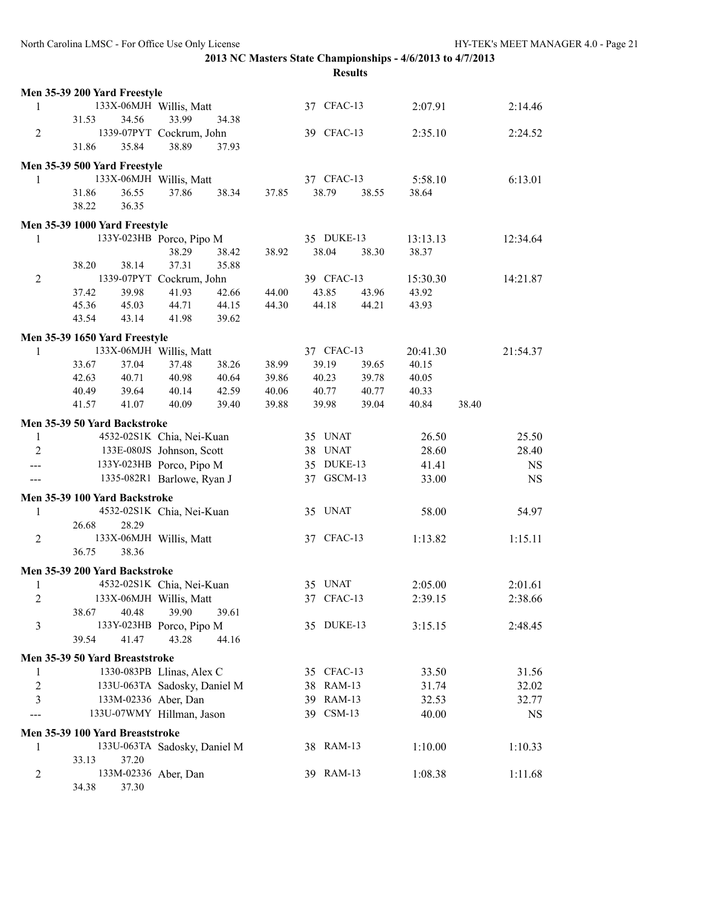|                | Men 35-39 200 Yard Freestyle    |       |                              |       |       |            |       |          |       |           |
|----------------|---------------------------------|-------|------------------------------|-------|-------|------------|-------|----------|-------|-----------|
| 1              |                                 |       | 133X-06MJH Willis, Matt      |       |       | 37 CFAC-13 |       | 2:07.91  |       | 2:14.46   |
|                | 31.53                           | 34.56 | 33.99                        | 34.38 |       |            |       |          |       |           |
| $\overline{2}$ |                                 |       | 1339-07PYT Cockrum, John     |       |       | 39 CFAC-13 |       | 2:35.10  |       | 2:24.52   |
|                | 31.86                           | 35.84 | 38.89                        | 37.93 |       |            |       |          |       |           |
|                | Men 35-39 500 Yard Freestyle    |       |                              |       |       |            |       |          |       |           |
| 1              |                                 |       | 133X-06MJH Willis, Matt      |       |       | 37 CFAC-13 |       | 5:58.10  |       | 6:13.01   |
|                | 31.86                           | 36.55 | 37.86                        | 38.34 | 37.85 | 38.79      | 38.55 | 38.64    |       |           |
|                | 38.22                           | 36.35 |                              |       |       |            |       |          |       |           |
|                |                                 |       |                              |       |       |            |       |          |       |           |
|                | Men 35-39 1000 Yard Freestyle   |       |                              |       |       |            |       |          |       |           |
| 1              |                                 |       | 133Y-023HB Porco, Pipo M     |       |       | 35 DUKE-13 |       | 13:13.13 |       | 12:34.64  |
|                |                                 |       | 38.29                        | 38.42 | 38.92 | 38.04      | 38.30 | 38.37    |       |           |
|                | 38.20                           | 38.14 | 37.31                        | 35.88 |       |            |       |          |       |           |
| $\overline{2}$ |                                 |       | 1339-07PYT Cockrum, John     |       |       | 39 CFAC-13 |       | 15:30.30 |       | 14:21.87  |
|                | 37.42                           | 39.98 | 41.93                        | 42.66 | 44.00 | 43.85      | 43.96 | 43.92    |       |           |
|                | 45.36                           | 45.03 | 44.71                        | 44.15 | 44.30 | 44.18      | 44.21 | 43.93    |       |           |
|                | 43.54                           | 43.14 | 41.98                        | 39.62 |       |            |       |          |       |           |
|                | Men 35-39 1650 Yard Freestyle   |       |                              |       |       |            |       |          |       |           |
| 1              |                                 |       | 133X-06MJH Willis, Matt      |       |       | 37 CFAC-13 |       | 20:41.30 |       | 21:54.37  |
|                | 33.67                           | 37.04 | 37.48                        | 38.26 | 38.99 | 39.19      | 39.65 | 40.15    |       |           |
|                | 42.63                           | 40.71 | 40.98                        | 40.64 | 39.86 | 40.23      | 39.78 | 40.05    |       |           |
|                | 40.49                           | 39.64 | 40.14                        | 42.59 | 40.06 | 40.77      | 40.77 | 40.33    |       |           |
|                | 41.57                           | 41.07 | 40.09                        | 39.40 | 39.88 | 39.98      | 39.04 | 40.84    | 38.40 |           |
|                | Men 35-39 50 Yard Backstroke    |       |                              |       |       |            |       |          |       |           |
| 1              |                                 |       | 4532-02S1K Chia, Nei-Kuan    |       |       | 35 UNAT    |       | 26.50    |       | 25.50     |
| $\overline{2}$ |                                 |       | 133E-080JS Johnson, Scott    |       |       | 38 UNAT    |       | 28.60    |       | 28.40     |
| ---            |                                 |       | 133Y-023HB Porco, Pipo M     |       |       | 35 DUKE-13 |       | 41.41    |       | <b>NS</b> |
|                |                                 |       | 1335-082R1 Barlowe, Ryan J   |       |       | 37 GSCM-13 |       | 33.00    |       | <b>NS</b> |
|                |                                 |       |                              |       |       |            |       |          |       |           |
|                | Men 35-39 100 Yard Backstroke   |       |                              |       |       |            |       |          |       |           |
| 1              |                                 |       | 4532-02S1K Chia, Nei-Kuan    |       |       | 35 UNAT    |       | 58.00    |       | 54.97     |
|                | 26.68                           | 28.29 |                              |       |       |            |       |          |       |           |
| $\overline{2}$ |                                 |       | 133X-06MJH Willis, Matt      |       |       | 37 CFAC-13 |       | 1:13.82  |       | 1:15.11   |
|                | 36.75                           | 38.36 |                              |       |       |            |       |          |       |           |
|                | Men 35-39 200 Yard Backstroke   |       |                              |       |       |            |       |          |       |           |
| 1              |                                 |       | 4532-02S1K Chia, Nei-Kuan    |       |       | 35 UNAT    |       | 2:05.00  |       | 2:01.61   |
| $\overline{c}$ |                                 |       | 133X-06MJH Willis, Matt      |       |       | 37 CFAC-13 |       | 2:39.15  |       | 2:38.66   |
|                | 38.67                           | 40.48 | 39.90                        | 39.61 |       |            |       |          |       |           |
| 3              |                                 |       | 133Y-023HB Porco, Pipo M     |       |       | 35 DUKE-13 |       | 3:15.15  |       | 2:48.45   |
|                | 39.54                           | 41.47 | 43.28                        | 44.16 |       |            |       |          |       |           |
|                | Men 35-39 50 Yard Breaststroke  |       |                              |       |       |            |       |          |       |           |
| 1              |                                 |       | 1330-083PB Llinas, Alex C    |       |       | 35 CFAC-13 |       | 33.50    |       | 31.56     |
| 2              |                                 |       | 133U-063TA Sadosky, Daniel M |       |       | 38 RAM-13  |       | 31.74    |       | 32.02     |
| 3              |                                 |       | 133M-02336 Aber, Dan         |       |       | 39 RAM-13  |       | 32.53    |       | 32.77     |
|                |                                 |       | 133U-07WMY Hillman, Jason    |       |       | 39 CSM-13  |       | 40.00    |       | NS        |
|                |                                 |       |                              |       |       |            |       |          |       |           |
|                | Men 35-39 100 Yard Breaststroke |       |                              |       |       |            |       |          |       |           |
| 1              |                                 |       | 133U-063TA Sadosky, Daniel M |       |       | 38 RAM-13  |       | 1:10.00  |       | 1:10.33   |
|                | 33.13                           | 37.20 |                              |       |       |            |       |          |       |           |
| 2              |                                 |       | 133M-02336 Aber, Dan         |       |       | 39 RAM-13  |       | 1:08.38  |       | 1:11.68   |
|                | 34.38                           | 37.30 |                              |       |       |            |       |          |       |           |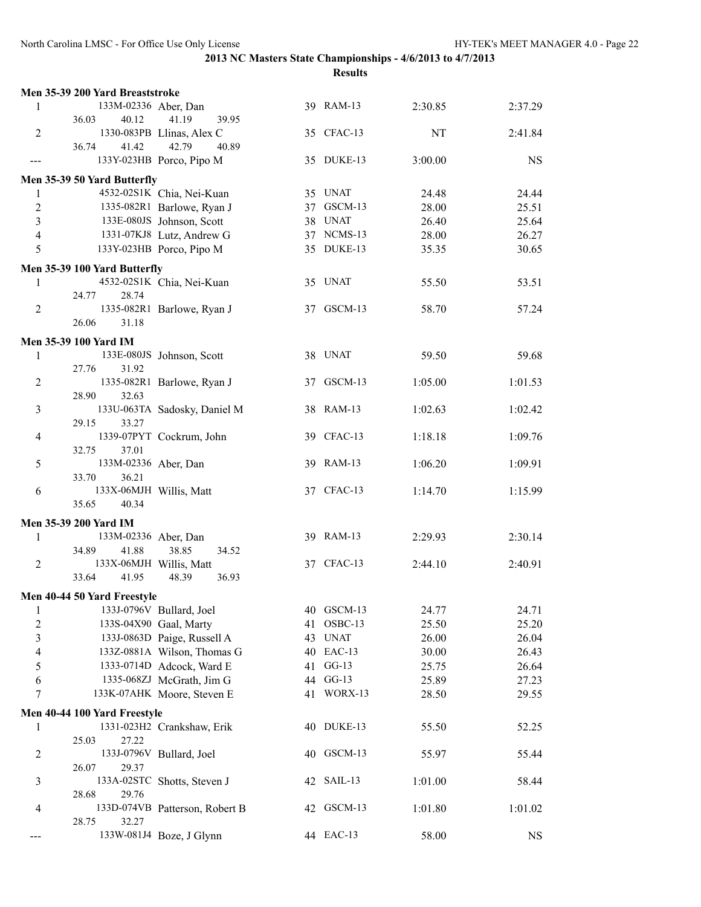|                         | Men 35-39 200 Yard Breaststroke           |                                |    |            |         |           |
|-------------------------|-------------------------------------------|--------------------------------|----|------------|---------|-----------|
| 1                       | 133M-02336 Aber, Dan                      |                                |    | 39 RAM-13  | 2:30.85 | 2:37.29   |
|                         | 36.03<br>40.12                            | 41.19<br>39.95                 |    |            |         |           |
| $\overline{2}$          |                                           | 1330-083PB Llinas, Alex C      |    | 35 CFAC-13 | NT      | 2:41.84   |
|                         | 36.74<br>41.42                            | 42.79<br>40.89                 |    |            |         |           |
| ---                     |                                           | 133Y-023HB Porco, Pipo M       |    | 35 DUKE-13 | 3:00.00 | <b>NS</b> |
|                         | Men 35-39 50 Yard Butterfly               |                                |    |            |         |           |
| 1                       |                                           | 4532-02S1K Chia, Nei-Kuan      |    | 35 UNAT    | 24.48   | 24.44     |
| 2                       |                                           | 1335-082R1 Barlowe, Ryan J     |    | 37 GSCM-13 | 28.00   | 25.51     |
| 3                       |                                           | 133E-080JS Johnson, Scott      |    | 38 UNAT    | 26.40   | 25.64     |
| 4                       |                                           | 1331-07KJ8 Lutz, Andrew G      |    | 37 NCMS-13 | 28.00   | 26.27     |
| 5                       |                                           | 133Y-023HB Porco, Pipo M       |    | 35 DUKE-13 | 35.35   | 30.65     |
|                         |                                           |                                |    |            |         |           |
|                         | Men 35-39 100 Yard Butterfly              |                                |    |            |         |           |
| 1                       |                                           | 4532-02S1K Chia, Nei-Kuan      |    | 35 UNAT    | 55.50   | 53.51     |
|                         | 24.77<br>28.74                            |                                |    |            |         |           |
| 2                       |                                           | 1335-082R1 Barlowe, Ryan J     |    | 37 GSCM-13 | 58.70   | 57.24     |
|                         | 26.06<br>31.18                            |                                |    |            |         |           |
|                         | Men 35-39 100 Yard IM                     |                                |    |            |         |           |
| 1                       |                                           | 133E-080JS Johnson, Scott      |    | 38 UNAT    | 59.50   | 59.68     |
|                         | 27.76<br>31.92                            |                                |    |            |         |           |
| 2                       |                                           | 1335-082R1 Barlowe, Ryan J     |    | 37 GSCM-13 | 1:05.00 | 1:01.53   |
|                         | 28.90<br>32.63                            |                                |    |            |         |           |
| 3                       |                                           | 133U-063TA Sadosky, Daniel M   |    | 38 RAM-13  | 1:02.63 | 1:02.42   |
|                         | 29.15<br>33.27                            |                                |    |            |         |           |
| $\overline{4}$          |                                           |                                |    | 39 CFAC-13 | 1:18.18 | 1:09.76   |
|                         | 37.01<br>32.75                            | 1339-07PYT Cockrum, John       |    |            |         |           |
|                         | 133M-02336 Aber, Dan                      |                                |    | 39 RAM-13  |         | 1:09.91   |
| 5                       | 36.21<br>33.70                            |                                |    |            | 1:06.20 |           |
|                         |                                           |                                |    | 37 CFAC-13 |         |           |
| 6                       | 133X-06MJH Willis, Matt<br>35.65<br>40.34 |                                |    |            | 1:14.70 | 1:15.99   |
|                         |                                           |                                |    |            |         |           |
|                         | Men 35-39 200 Yard IM                     |                                |    |            |         |           |
| 1                       | 133M-02336 Aber, Dan                      |                                |    | 39 RAM-13  | 2:29.93 | 2:30.14   |
|                         | 34.89<br>41.88                            | 38.85<br>34.52                 |    |            |         |           |
| 2                       | 133X-06MJH Willis, Matt                   |                                |    | 37 CFAC-13 | 2:44.10 | 2:40.91   |
|                         | 33.64<br>41.95                            | 36.93<br>48.39                 |    |            |         |           |
|                         | Men 40-44 50 Yard Freestyle               |                                |    |            |         |           |
| $\mathbf{1}$            |                                           | 133J-0796V Bullard, Joel       |    | 40 GSCM-13 | 24.77   | 24.71     |
| $\overline{c}$          |                                           | 133S-04X90 Gaal, Marty         | 41 | OSBC-13    | 25.50   | 25.20     |
| $\overline{\mathbf{3}}$ |                                           | 133J-0863D Paige, Russell A    |    | 43 UNAT    | 26.00   | 26.04     |
|                         |                                           | 133Z-0881A Wilson, Thomas G    |    | 40 EAC-13  |         |           |
| 4                       |                                           |                                |    | $GG-13$    | 30.00   | 26.43     |
| 5                       |                                           | 1333-0714D Adcock, Ward E      | 41 |            | 25.75   | 26.64     |
| 6                       |                                           | 1335-068ZJ McGrath, Jim G      |    | 44 GG-13   | 25.89   | 27.23     |
| 7                       |                                           | 133K-07AHK Moore, Steven E     |    | 41 WORX-13 | 28.50   | 29.55     |
|                         | Men 40-44 100 Yard Freestyle              |                                |    |            |         |           |
| 1                       |                                           | 1331-023H2 Crankshaw, Erik     |    | 40 DUKE-13 | 55.50   | 52.25     |
|                         | 25.03<br>27.22                            |                                |    |            |         |           |
| 2                       |                                           | 133J-0796V Bullard, Joel       |    | 40 GSCM-13 | 55.97   | 55.44     |
|                         | 26.07<br>29.37                            |                                |    |            |         |           |
| 3                       |                                           | 133A-02STC Shotts, Steven J    |    | 42 SAIL-13 | 1:01.00 | 58.44     |
|                         | 28.68<br>29.76                            |                                |    |            |         |           |
| 4                       |                                           | 133D-074VB Patterson, Robert B |    | 42 GSCM-13 | 1:01.80 | 1:01.02   |
|                         | 28.75<br>32.27                            |                                |    |            |         |           |
| ---                     |                                           | 133W-081J4 Boze, J Glynn       |    | 44 EAC-13  | 58.00   | <b>NS</b> |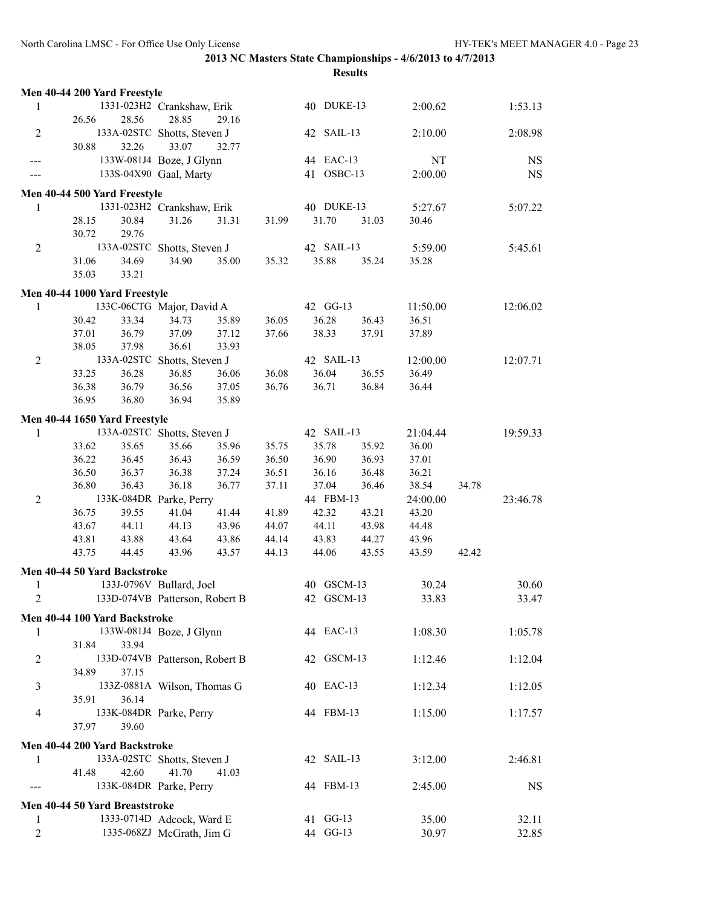|                          | Men 40-44 200 Yard Freestyle     |                                     |                |       |                     |       |                   |       |             |
|--------------------------|----------------------------------|-------------------------------------|----------------|-------|---------------------|-------|-------------------|-------|-------------|
| 1                        |                                  | 1331-023H2 Crankshaw, Erik          |                |       | 40 DUKE-13          |       | 2:00.62           |       | 1:53.13     |
|                          | 26.56<br>28.56                   | 28.85                               | 29.16          |       |                     |       |                   |       |             |
| $\overline{2}$           |                                  | 133A-02STC Shotts, Steven J         |                |       | 42 SAIL-13          |       | 2:10.00           |       | 2:08.98     |
|                          | 30.88<br>32.26                   | 33.07                               | 32.77          |       |                     |       |                   |       |             |
| ---                      |                                  | 133W-081J4 Boze, J Glynn            |                |       | 44 EAC-13           |       | NT                |       | <b>NS</b>   |
|                          |                                  | 133S-04X90 Gaal, Marty              |                |       | 41 OSBC-13          |       | 2:00.00           |       | $_{\rm NS}$ |
|                          |                                  |                                     |                |       |                     |       |                   |       |             |
|                          | Men 40-44 500 Yard Freestyle     |                                     |                |       |                     |       |                   |       |             |
| 1                        | 28.15<br>30.84                   | 1331-023H2 Crankshaw, Erik<br>31.26 |                |       | 40 DUKE-13<br>31.70 | 31.03 | 5:27.67           |       | 5:07.22     |
|                          | 30.72<br>29.76                   |                                     | 31.31          | 31.99 |                     |       | 30.46             |       |             |
| $\overline{2}$           |                                  | 133A-02STC Shotts, Steven J         |                |       | 42 SAIL-13          |       | 5:59.00           |       | 5:45.61     |
|                          | 31.06<br>34.69                   | 34.90                               | 35.00          | 35.32 | 35.88               | 35.24 | 35.28             |       |             |
|                          | 35.03<br>33.21                   |                                     |                |       |                     |       |                   |       |             |
|                          |                                  |                                     |                |       |                     |       |                   |       |             |
|                          | Men 40-44 1000 Yard Freestyle    |                                     |                |       |                     |       |                   |       |             |
| 1                        |                                  | 133C-06CTG Major, David A           |                |       | 42 GG-13            |       | 11:50.00          |       | 12:06.02    |
|                          | 30.42<br>33.34                   | 34.73                               | 35.89          | 36.05 | 36.28               | 36.43 | 36.51             |       |             |
|                          | 37.01<br>36.79<br>38.05<br>37.98 | 37.09<br>36.61                      | 37.12<br>33.93 | 37.66 | 38.33               | 37.91 | 37.89             |       |             |
| $\boldsymbol{2}$         |                                  | 133A-02STC Shotts, Steven J         |                |       | 42 SAIL-13          |       | 12:00.00          |       | 12:07.71    |
|                          | 33.25<br>36.28                   | 36.85                               | 36.06          | 36.08 | 36.04               | 36.55 | 36.49             |       |             |
|                          | 36.79<br>36.38                   | 36.56                               | 37.05          | 36.76 | 36.71               | 36.84 | 36.44             |       |             |
|                          | 36.95<br>36.80                   | 36.94                               | 35.89          |       |                     |       |                   |       |             |
|                          |                                  |                                     |                |       |                     |       |                   |       |             |
|                          | Men 40-44 1650 Yard Freestyle    | 133A-02STC Shotts, Steven J         |                |       | 42 SAIL-13          |       |                   |       | 19:59.33    |
| $\mathbf{1}$             | 35.65<br>33.62                   | 35.66                               | 35.96          | 35.75 | 35.78               | 35.92 | 21:04.44<br>36.00 |       |             |
|                          | 36.22<br>36.45                   | 36.43                               | 36.59          | 36.50 | 36.90               | 36.93 | 37.01             |       |             |
|                          | 36.50<br>36.37                   | 36.38                               | 37.24          | 36.51 | 36.16               | 36.48 | 36.21             |       |             |
|                          | 36.80<br>36.43                   | 36.18                               | 36.77          | 37.11 | 37.04               | 36.46 | 38.54             | 34.78 |             |
| $\overline{2}$           |                                  | 133K-084DR Parke, Perry             |                |       | 44 FBM-13           |       | 24:00.00          |       | 23:46.78    |
|                          | 36.75<br>39.55                   | 41.04                               | 41.44          | 41.89 | 42.32               | 43.21 | 43.20             |       |             |
|                          | 43.67<br>44.11                   | 44.13                               | 43.96          | 44.07 | 44.11               | 43.98 | 44.48             |       |             |
|                          | 43.81<br>43.88                   | 43.64                               | 43.86          | 44.14 | 43.83               | 44.27 | 43.96             |       |             |
|                          | 43.75<br>44.45                   | 43.96                               | 43.57          | 44.13 | 44.06               | 43.55 | 43.59             | 42.42 |             |
|                          | Men 40-44 50 Yard Backstroke     |                                     |                |       |                     |       |                   |       |             |
| 1                        |                                  | 133J-0796V Bullard, Joel            |                |       | 40 GSCM-13          |       | 30.24             |       | 30.60       |
| 2                        |                                  | 133D-074VB Patterson, Robert B      |                |       | 42 GSCM-13          |       | 33.83             |       | 33.47       |
|                          | Men 40-44 100 Yard Backstroke    |                                     |                |       |                     |       |                   |       |             |
| 1                        |                                  | 133W-081J4 Boze, J Glynn            |                |       | 44 EAC-13           |       | 1:08.30           |       | 1:05.78     |
|                          | 33.94<br>31.84                   |                                     |                |       |                     |       |                   |       |             |
| $\overline{c}$           |                                  | 133D-074VB Patterson, Robert B      |                |       | 42 GSCM-13          |       | 1:12.46           |       | 1:12.04     |
|                          | 37.15<br>34.89                   |                                     |                |       |                     |       |                   |       |             |
| 3                        |                                  | 133Z-0881A Wilson, Thomas G         |                |       | 40 EAC-13           |       | 1:12.34           |       | 1:12.05     |
|                          | 36.14<br>35.91                   |                                     |                |       |                     |       |                   |       |             |
| $\overline{\mathcal{A}}$ |                                  | 133K-084DR Parke, Perry             |                |       | 44 FBM-13           |       | 1:15.00           |       | 1:17.57     |
|                          | 39.60<br>37.97                   |                                     |                |       |                     |       |                   |       |             |
|                          | Men 40-44 200 Yard Backstroke    |                                     |                |       |                     |       |                   |       |             |
| 1                        |                                  | 133A-02STC Shotts, Steven J         |                |       | 42 SAIL-13          |       | 3:12.00           |       | 2:46.81     |
|                          | 41.48<br>42.60                   | 41.70                               | 41.03          |       |                     |       |                   |       |             |
|                          |                                  | 133K-084DR Parke, Perry             |                |       | 44 FBM-13           |       | 2:45.00           |       | $_{\rm NS}$ |
|                          | Men 40-44 50 Yard Breaststroke   |                                     |                |       |                     |       |                   |       |             |
| 1                        |                                  | 1333-0714D Adcock, Ward E           |                |       | 41 GG-13            |       | 35.00             |       | 32.11       |
| $\overline{2}$           |                                  | 1335-068ZJ McGrath, Jim G           |                |       | 44 GG-13            |       | 30.97             |       | 32.85       |
|                          |                                  |                                     |                |       |                     |       |                   |       |             |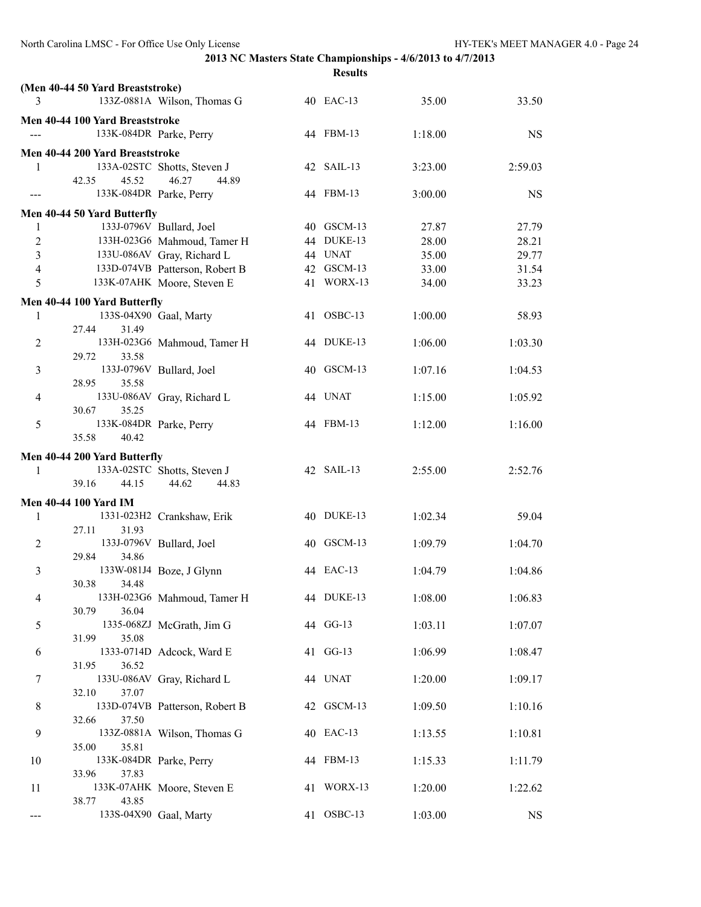|                | (Men 40-44 50 Yard Breaststroke) |                                |            |         |           |
|----------------|----------------------------------|--------------------------------|------------|---------|-----------|
| 3              |                                  | 133Z-0881A Wilson, Thomas G    | 40 EAC-13  | 35.00   | 33.50     |
|                | Men 40-44 100 Yard Breaststroke  |                                |            |         |           |
|                |                                  | 133K-084DR Parke, Perry        | 44 FBM-13  | 1:18.00 | <b>NS</b> |
|                | Men 40-44 200 Yard Breaststroke  |                                |            |         |           |
| 1              |                                  | 133A-02STC Shotts, Steven J    | 42 SAIL-13 | 3:23.00 | 2:59.03   |
|                | 42.35<br>45.52                   | 46.27<br>44.89                 |            |         |           |
|                |                                  | 133K-084DR Parke, Perry        | 44 FBM-13  | 3:00.00 | <b>NS</b> |
|                | Men 40-44 50 Yard Butterfly      |                                |            |         |           |
| 1              |                                  | 133J-0796V Bullard, Joel       | 40 GSCM-13 | 27.87   | 27.79     |
| $\overline{2}$ |                                  | 133H-023G6 Mahmoud, Tamer H    | 44 DUKE-13 | 28.00   | 28.21     |
| $\overline{3}$ |                                  | 133U-086AV Gray, Richard L     | 44 UNAT    | 35.00   | 29.77     |
| $\overline{4}$ |                                  | 133D-074VB Patterson, Robert B | 42 GSCM-13 | 33.00   | 31.54     |
| 5              |                                  | 133K-07AHK Moore, Steven E     | 41 WORX-13 | 34.00   | 33.23     |
|                | Men 40-44 100 Yard Butterfly     |                                |            |         |           |
| 1              |                                  | 133S-04X90 Gaal, Marty         | 41 OSBC-13 | 1:00.00 | 58.93     |
|                | 27.44<br>31.49                   |                                |            |         |           |
| $\overline{c}$ |                                  | 133H-023G6 Mahmoud, Tamer H    | 44 DUKE-13 | 1:06.00 | 1:03.30   |
|                | 29.72<br>33.58                   |                                |            |         |           |
| 3              |                                  | 133J-0796V Bullard, Joel       | 40 GSCM-13 | 1:07.16 | 1:04.53   |
|                | 28.95<br>35.58                   |                                |            |         |           |
| 4              |                                  | 133U-086AV Gray, Richard L     | 44 UNAT    | 1:15.00 | 1:05.92   |
|                | 30.67<br>35.25                   |                                |            |         |           |
| 5              |                                  | 133K-084DR Parke, Perry        | 44 FBM-13  | 1:12.00 | 1:16.00   |
|                | 35.58<br>40.42                   |                                |            |         |           |
|                | Men 40-44 200 Yard Butterfly     |                                |            |         |           |
| 1              |                                  | 133A-02STC Shotts, Steven J    | 42 SAIL-13 | 2:55.00 | 2:52.76   |
|                | 39.16<br>44.15                   | 44.62<br>44.83                 |            |         |           |
|                | <b>Men 40-44 100 Yard IM</b>     |                                |            |         |           |
| 1              |                                  | 1331-023H2 Crankshaw, Erik     | 40 DUKE-13 | 1:02.34 | 59.04     |
|                | 27.11<br>31.93                   |                                |            |         |           |
| 2              |                                  | 133J-0796V Bullard, Joel       | 40 GSCM-13 | 1:09.79 | 1:04.70   |
| 3              | 34.86<br>29.84                   | 133W-081J4 Boze, J Glynn       | 44 EAC-13  | 1:04.79 | 1:04.86   |
|                | 30.38<br>34.48                   |                                |            |         |           |
| 4              |                                  | 133H-023G6 Mahmoud, Tamer H    | 44 DUKE-13 | 1:08.00 | 1:06.83   |
|                | 36.04<br>30.79                   |                                |            |         |           |
| 5              |                                  | 1335-068ZJ McGrath, Jim G      | 44 GG-13   | 1:03.11 | 1:07.07   |
|                | 35.08<br>31.99                   |                                |            |         |           |
| 6              |                                  | 1333-0714D Adcock, Ward E      | 41 GG-13   | 1:06.99 | 1:08.47   |
|                | 36.52<br>31.95                   |                                |            |         |           |
| 7              |                                  | 133U-086AV Gray, Richard L     | 44 UNAT    | 1:20.00 | 1:09.17   |
|                | 32.10<br>37.07                   |                                |            |         |           |
| 8              | 37.50                            | 133D-074VB Patterson, Robert B | 42 GSCM-13 | 1:09.50 | 1:10.16   |
| 9              | 32.66                            | 133Z-0881A Wilson, Thomas G    | 40 EAC-13  | 1:13.55 | 1:10.81   |
|                | 35.81<br>35.00                   |                                |            |         |           |
| 10             |                                  | 133K-084DR Parke, Perry        | 44 FBM-13  | 1:15.33 | 1:11.79   |
|                | 37.83<br>33.96                   |                                |            |         |           |
| 11             |                                  | 133K-07AHK Moore, Steven E     | 41 WORX-13 | 1:20.00 | 1:22.62   |
|                | 43.85<br>38.77                   |                                |            |         |           |
| ---            |                                  | 133S-04X90 Gaal, Marty         | 41 OSBC-13 | 1:03.00 | <b>NS</b> |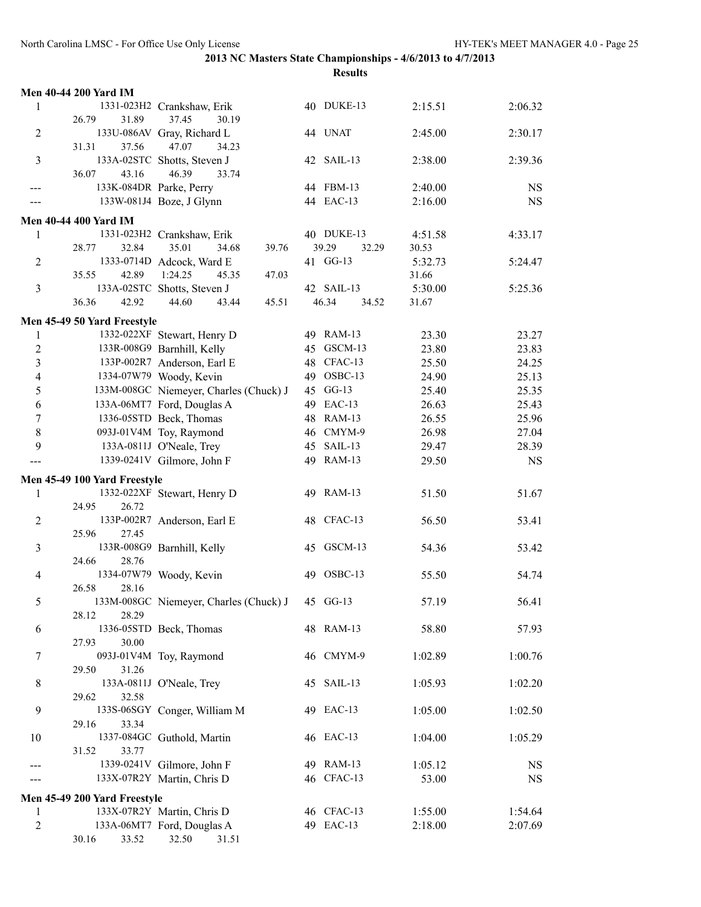|                  | <b>Men 40-44 200 Yard IM</b>                               |                                                 |                         |         |           |
|------------------|------------------------------------------------------------|-------------------------------------------------|-------------------------|---------|-----------|
| 1                | 1331-023H2 Crankshaw, Erik                                 |                                                 | 40 DUKE-13              | 2:15.51 | 2:06.32   |
|                  | 26.79<br>31.89                                             | 37.45<br>30.19                                  |                         |         |           |
| $\overline{2}$   | 133U-086AV Gray, Richard L                                 |                                                 | 44 UNAT                 | 2:45.00 | 2:30.17   |
|                  | 31.31<br>37.56                                             | 47.07<br>34.23                                  |                         |         |           |
| $\overline{3}$   | 133A-02STC Shotts, Steven J<br>36.07<br>43.16              | 46.39<br>33.74                                  | 42 SAIL-13              | 2:38.00 | 2:39.36   |
|                  | 133K-084DR Parke, Perry                                    |                                                 | 44 FBM-13               | 2:40.00 | <b>NS</b> |
|                  | 133W-081J4 Boze, J Glynn                                   |                                                 | 44 EAC-13               | 2:16.00 | <b>NS</b> |
|                  |                                                            |                                                 |                         |         |           |
| 1                | <b>Men 40-44 400 Yard IM</b><br>1331-023H2 Crankshaw, Erik |                                                 | 40 DUKE-13              | 4:51.58 | 4:33.17   |
|                  | 28.77<br>32.84                                             | 35.01<br>34.68<br>39.76                         | 39.29<br>32.29          | 30.53   |           |
| 2                | 1333-0714D Adcock, Ward E                                  |                                                 | 41 GG-13                | 5:32.73 | 5:24.47   |
|                  | 35.55<br>42.89                                             | 1:24.25<br>47.03<br>45.35                       |                         | 31.66   |           |
| $\overline{3}$   | 133A-02STC Shotts, Steven J                                |                                                 | 42 SAIL-13              | 5:30.00 | 5:25.36   |
|                  | 36.36<br>42.92                                             | 44.60<br>45.51<br>43.44                         | 46.34<br>34.52          | 31.67   |           |
|                  | Men 45-49 50 Yard Freestyle                                |                                                 |                         |         |           |
| 1                | 1332-022XF Stewart, Henry D                                |                                                 | 49 RAM-13               | 23.30   | 23.27     |
| $\sqrt{2}$       | 133R-008G9 Barnhill, Kelly                                 |                                                 | 45 GSCM-13              | 23.80   | 23.83     |
| $\overline{3}$   | 133P-002R7 Anderson, Earl E                                |                                                 | 48 CFAC-13              | 25.50   | 24.25     |
| $\overline{4}$   | 1334-07W79 Woody, Kevin                                    |                                                 | 49 OSBC-13              | 24.90   | 25.13     |
| 5                |                                                            | 133M-008GC Niemeyer, Charles (Chuck) J          | 45 GG-13                | 25.40   | 25.35     |
| 6                | 133A-06MT7 Ford, Douglas A                                 |                                                 | 49 EAC-13               | 26.63   | 25.43     |
| $\boldsymbol{7}$ | 1336-05STD Beck, Thomas                                    |                                                 | 48 RAM-13               | 26.55   | 25.96     |
| $\,8\,$          | 093J-01V4M Toy, Raymond                                    |                                                 | 46 CMYM-9               | 26.98   | 27.04     |
| 9                | 133A-0811J O'Neale, Trey                                   |                                                 | 45 SAIL-13<br>49 RAM-13 | 29.47   | 28.39     |
|                  | 1339-0241V Gilmore, John F                                 |                                                 |                         | 29.50   | <b>NS</b> |
|                  | Men 45-49 100 Yard Freestyle                               |                                                 |                         |         |           |
| 1                | 1332-022XF Stewart, Henry D                                |                                                 | 49 RAM-13               | 51.50   | 51.67     |
|                  | 24.95<br>26.72                                             |                                                 |                         |         |           |
| $\overline{c}$   | 133P-002R7 Anderson, Earl E<br>25.96<br>27.45              |                                                 | 48 CFAC-13              | 56.50   | 53.41     |
| $\mathfrak{Z}$   | 133R-008G9 Barnhill, Kelly                                 |                                                 | 45 GSCM-13              | 54.36   | 53.42     |
|                  | 24.66<br>28.76                                             |                                                 |                         |         |           |
| $\overline{4}$   | 1334-07W79 Woody, Kevin                                    |                                                 |                         |         |           |
|                  |                                                            |                                                 | 49 OSBC-13              | 55.50   | 54.74     |
| 5                | 26.58<br>28.16                                             |                                                 |                         |         |           |
|                  |                                                            | 133M-008GC Niemeyer, Charles (Chuck) J 45 GG-13 |                         | 57.19   | 56.41     |
|                  | 28.29<br>28.12                                             |                                                 |                         |         |           |
| 6                | 1336-05STD Beck, Thomas                                    |                                                 | 48 RAM-13               | 58.80   | 57.93     |
|                  | 27.93<br>30.00                                             |                                                 |                         |         |           |
| $\tau$           | 093J-01V4M Toy, Raymond                                    |                                                 | 46 CMYM-9               | 1:02.89 | 1:00.76   |
|                  | 31.26<br>29.50                                             |                                                 |                         |         |           |
| $\,8\,$          | 133A-0811J O'Neale, Trey<br>29.62                          |                                                 | 45 SAIL-13              | 1:05.93 | 1:02.20   |
| 9                | 32.58                                                      |                                                 | 49 EAC-13               |         |           |
|                  | 133S-06SGY Conger, William M<br>29.16<br>33.34             |                                                 |                         | 1:05.00 | 1:02.50   |
| 10               | 1337-084GC Guthold, Martin                                 |                                                 | 46 EAC-13               | 1:04.00 | 1:05.29   |
|                  | 33.77<br>31.52                                             |                                                 |                         |         |           |
|                  | 1339-0241V Gilmore, John F                                 |                                                 | 49 RAM-13               | 1:05.12 | <b>NS</b> |
|                  | 133X-07R2Y Martin, Chris D                                 |                                                 | 46 CFAC-13              | 53.00   | NS        |
|                  | Men 45-49 200 Yard Freestyle                               |                                                 |                         |         |           |
| 1                | 133X-07R2Y Martin, Chris D                                 |                                                 | 46 CFAC-13              | 1:55.00 | 1:54.64   |
| $\overline{2}$   | 133A-06MT7 Ford, Douglas A<br>30.16<br>33.52               | 32.50<br>31.51                                  | 49 EAC-13               | 2:18.00 | 2:07.69   |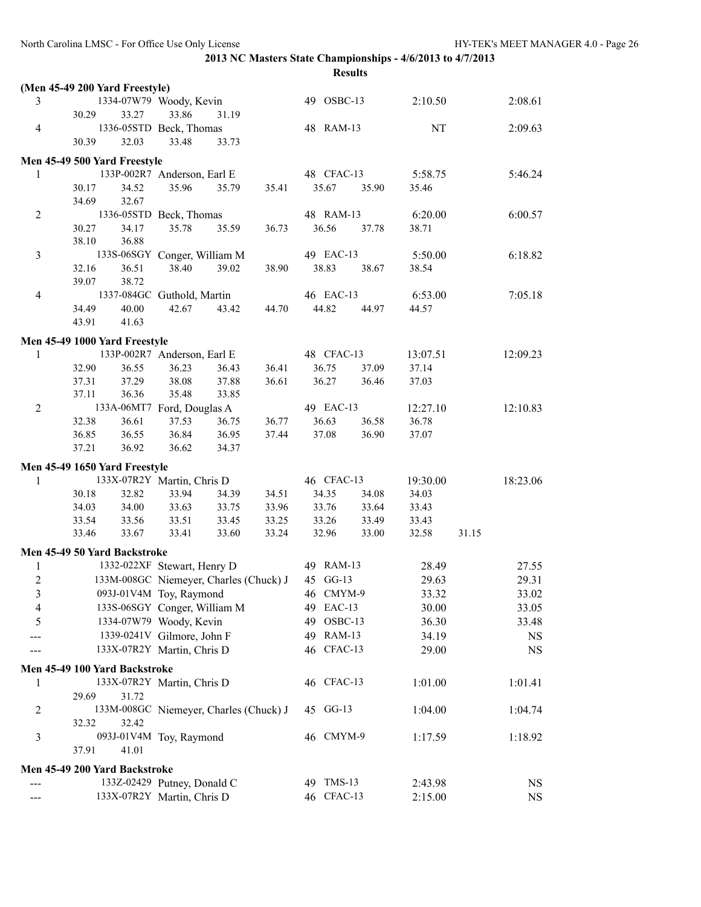|                         |                                                   |       |                                        |                      |                |                                       | <b>Results</b>      |                   |       |           |
|-------------------------|---------------------------------------------------|-------|----------------------------------------|----------------------|----------------|---------------------------------------|---------------------|-------------------|-------|-----------|
|                         | (Men 45-49 200 Yard Freestyle)                    |       |                                        |                      |                |                                       |                     |                   |       |           |
| 3                       |                                                   |       | 1334-07W79 Woody, Kevin                |                      |                | 49 OSBC-13                            |                     | 2:10.50           |       | 2:08.61   |
|                         | 30.29                                             | 33.27 | 33.86                                  | 31.19                |                |                                       |                     |                   |       |           |
| $\overline{4}$          |                                                   |       | 1336-05STD Beck, Thomas                |                      |                | 48 RAM-13                             |                     | NT                |       | 2:09.63   |
|                         | 30.39                                             | 32.03 | 33.48                                  | 33.73                |                |                                       |                     |                   |       |           |
|                         | Men 45-49 500 Yard Freestyle                      |       |                                        |                      |                |                                       |                     |                   |       |           |
| 1                       | 133P-002R7 Anderson, Earl E                       |       |                                        |                      |                | 48 CFAC-13                            |                     | 5:58.75           |       | 5:46.24   |
|                         | 30.17                                             | 34.52 | 35.96                                  | 35.79                | 35.41          | 35.67                                 | 35.90               | 35.46             |       |           |
|                         | 34.69                                             | 32.67 |                                        |                      |                |                                       |                     |                   |       |           |
| $\overline{2}$          |                                                   |       | 1336-05STD Beck, Thomas                |                      |                | 48 RAM-13                             |                     | 6:20.00           |       | 6:00.57   |
|                         | 30.27                                             | 34.17 | 35.78                                  | 35.59                | 36.73          |                                       | 36.56 37.78         | 38.71             |       |           |
|                         | 38.10                                             | 36.88 |                                        |                      |                |                                       |                     |                   |       |           |
| 3                       | 133S-06SGY Conger, William M                      |       |                                        |                      |                | 49 EAC-13                             |                     | 5:50.00           |       | 6:18.82   |
|                         | 32.16                                             | 36.51 | 38.40                                  | 39.02                | 38.90          | 38.83                                 | 38.67               | 38.54             |       |           |
|                         | 39.07                                             | 38.72 |                                        |                      |                |                                       |                     |                   |       |           |
| $\overline{4}$          |                                                   |       | 1337-084GC Guthold, Martin             |                      |                | 46 EAC-13                             |                     | 6:53.00           |       | 7:05.18   |
|                         | 34.49                                             | 40.00 | 42.67                                  | 43.42                |                | 44.70 44.82 44.97                     |                     | 44.57             |       |           |
|                         | 43.91                                             | 41.63 |                                        |                      |                |                                       |                     |                   |       |           |
|                         |                                                   |       |                                        |                      |                |                                       |                     |                   |       |           |
|                         | Men 45-49 1000 Yard Freestyle                     |       |                                        |                      |                |                                       |                     |                   |       |           |
| 1                       | 133P-002R7 Anderson, Earl E<br>32.90              | 36.55 | 36.23                                  |                      | 36.41          | 36.75                                 | 48 CFAC-13<br>37.09 | 13:07.51<br>37.14 |       | 12:09.23  |
|                         |                                                   | 37.29 | 38.08                                  | 36.43<br>37.88       | 36.61          | 36.27                                 | 36.46               |                   |       |           |
|                         | 37.31<br>37.11                                    | 36.36 | 35.48                                  | 33.85                |                |                                       |                     | 37.03             |       |           |
| $\overline{2}$          | 133A-06MT7 Ford, Douglas A                        |       |                                        |                      |                | 49 EAC-13                             |                     | 12:27.10          |       | 12:10.83  |
|                         | 32.38                                             |       |                                        |                      |                | 36.63                                 | 36.58               | 36.78             |       |           |
|                         | 36.85                                             |       | 37.53                                  | 36.75                | 36.77<br>37.44 | 37.08                                 | 36.90               | 37.07             |       |           |
|                         | 36.61<br>36.55<br>36.92<br>37.21                  |       | 36.62                                  | 36.84 36.95<br>34.37 |                |                                       |                     |                   |       |           |
|                         |                                                   |       |                                        |                      |                |                                       |                     |                   |       |           |
|                         | Men 45-49 1650 Yard Freestyle                     |       |                                        |                      |                |                                       |                     |                   |       |           |
| $\mathbf{1}$            |                                                   |       | 133X-07R2Y Martin, Chris D             |                      |                | 46 CFAC-13                            |                     | 19:30.00          |       | 18:23.06  |
|                         | 30.18                                             | 32.82 | 33.94                                  | 34.39                | 34.51          | 34.35                                 | 34.08               | 34.03             |       |           |
|                         | 34.03                                             | 34.00 |                                        | 33.63 33.75          | 33.96          | 33.76                                 | 33.64               | 33.43             |       |           |
|                         | 33.54 33.56                                       |       |                                        | 33.51 33.45          | 33.25<br>33.24 | 33.26                                 | 33.49               | 33.43             | 31.15 |           |
|                         | 33.46                                             | 33.67 | 33.41                                  | 33.60                |                | 32.96                                 | 33.00               | 32.58             |       |           |
|                         | Men 45-49 50 Yard Backstroke                      |       |                                        |                      |                |                                       |                     |                   |       |           |
| 1                       |                                                   |       |                                        |                      |                | 1332-022XF Stewart, Henry D 49 RAM-13 |                     | 28.49             |       | 27.55     |
|                         | 2 133M-008GC Niemeyer, Charles (Chuck) J 45 GG-13 |       |                                        |                      |                |                                       |                     | 29.63             |       | 29.31     |
| $\overline{\mathbf{3}}$ |                                                   |       | 093J-01V4M Toy, Raymond                |                      |                | 46 CMYM-9                             |                     | 33.32             |       | 33.02     |
| 4                       |                                                   |       | 133S-06SGY Conger, William M           |                      |                | 49 EAC-13                             |                     | 30.00             |       | 33.05     |
| 5                       |                                                   |       | 1334-07W79 Woody, Kevin                |                      |                | 49 OSBC-13                            |                     | 36.30             |       | 33.48     |
|                         |                                                   |       | 1339-0241V Gilmore, John F             |                      |                | 49 RAM-13                             |                     | 34.19             |       | NS        |
|                         |                                                   |       | 133X-07R2Y Martin, Chris D             |                      |                | 46 CFAC-13                            |                     | 29.00             |       | <b>NS</b> |
|                         | Men 45-49 100 Yard Backstroke                     |       |                                        |                      |                |                                       |                     |                   |       |           |
| 1                       |                                                   |       | 133X-07R2Y Martin, Chris D             |                      |                | 46 CFAC-13                            |                     | 1:01.00           |       | 1:01.41   |
|                         | 29.69                                             | 31.72 |                                        |                      |                |                                       |                     |                   |       |           |
| 2                       |                                                   |       | 133M-008GC Niemeyer, Charles (Chuck) J |                      |                | 45 GG-13                              |                     | 1:04.00           |       | 1:04.74   |
|                         | 32.32                                             | 32.42 |                                        |                      |                |                                       |                     |                   |       |           |
| 3                       |                                                   |       | 093J-01V4M Toy, Raymond                |                      |                | 46 CMYM-9                             |                     | 1:17.59           |       | 1:18.92   |
|                         | 37.91                                             | 41.01 |                                        |                      |                |                                       |                     |                   |       |           |
|                         | Men 45-49 200 Yard Backstroke                     |       |                                        |                      |                |                                       |                     |                   |       |           |
|                         |                                                   |       | 133Z-02429 Putney, Donald C            |                      |                | 49 TMS-13                             |                     | 2:43.98           |       | <b>NS</b> |
| ---                     |                                                   |       | 133X-07R2Y Martin, Chris D             |                      |                | 46 CFAC-13                            |                     | 2:15.00           |       | <b>NS</b> |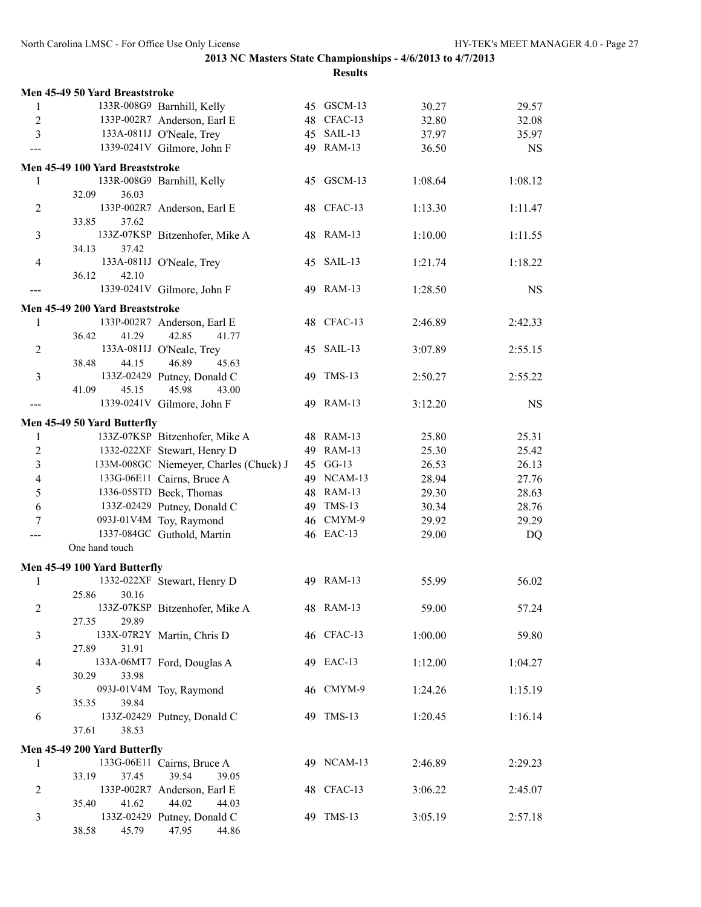|                | Men 45-49 50 Yard Breaststroke                                  |                        |                |                |
|----------------|-----------------------------------------------------------------|------------------------|----------------|----------------|
| 1              | 133R-008G9 Barnhill, Kelly                                      | 45 GSCM-13             | 30.27          | 29.57          |
| 2              | 133P-002R7 Anderson, Earl E                                     | 48 CFAC-13             | 32.80          | 32.08          |
| 3              | 133A-0811J O'Neale, Trey                                        | 45 SAIL-13             | 37.97          | 35.97          |
| ---            | 1339-0241V Gilmore, John F                                      | 49 RAM-13              | 36.50          | <b>NS</b>      |
|                | Men 45-49 100 Yard Breaststroke                                 |                        |                |                |
| 1              | 133R-008G9 Barnhill, Kelly                                      | 45 GSCM-13             | 1:08.64        | 1:08.12        |
|                | 32.09<br>36.03                                                  |                        |                |                |
| 2              | 133P-002R7 Anderson, Earl E                                     | 48 CFAC-13             | 1:13.30        | 1:11.47        |
|                | 33.85<br>37.62                                                  |                        |                |                |
| 3              | 133Z-07KSP Bitzenhofer, Mike A                                  | 48 RAM-13              | 1:10.00        | 1:11.55        |
|                | 34.13<br>37.42                                                  |                        |                |                |
| $\overline{4}$ | 133A-0811J O'Neale, Trey                                        | 45 SAIL-13             | 1:21.74        | 1:18.22        |
|                | 36.12<br>42.10                                                  |                        |                |                |
| ---            | 1339-0241V Gilmore, John F                                      | 49 RAM-13              | 1:28.50        | <b>NS</b>      |
|                | Men 45-49 200 Yard Breaststroke                                 |                        |                |                |
| 1              | 133P-002R7 Anderson, Earl E                                     | 48 CFAC-13             | 2:46.89        | 2:42.33        |
|                | 36.42<br>41.29<br>42.85<br>41.77                                |                        |                |                |
| 2              | 133A-0811J O'Neale, Trey                                        | 45 SAIL-13             | 3:07.89        | 2:55.15        |
| 3              | 44.15<br>46.89<br>45.63<br>38.48                                | 49 TMS-13              |                |                |
|                | 133Z-02429 Putney, Donald C<br>41.09<br>45.15<br>45.98<br>43.00 |                        | 2:50.27        | 2:55.22        |
| ---            | 1339-0241V Gilmore, John F                                      | 49 RAM-13              | 3:12.20        | <b>NS</b>      |
|                |                                                                 |                        |                |                |
|                | Men 45-49 50 Yard Butterfly                                     |                        |                |                |
| 1              | 133Z-07KSP Bitzenhofer, Mike A                                  | 48 RAM-13              | 25.80          | 25.31          |
| $\overline{2}$ | 1332-022XF Stewart, Henry D                                     | 49 RAM-13              | 25.30          | 25.42          |
| 3              | 133M-008GC Niemeyer, Charles (Chuck) J                          | 45 GG-13               | 26.53          | 26.13          |
| 4              | 133G-06E11 Cairns, Bruce A                                      | 49 NCAM-13             | 28.94          | 27.76          |
| 5              | 1336-05STD Beck, Thomas<br>133Z-02429 Putney, Donald C          | 48 RAM-13<br>49 TMS-13 | 29.30          | 28.63<br>28.76 |
| 6<br>7         | 093J-01V4M Toy, Raymond                                         | 46 CMYM-9              | 30.34<br>29.92 | 29.29          |
|                | 1337-084GC Guthold, Martin                                      | 46 EAC-13              | 29.00          | DQ             |
|                | One hand touch                                                  |                        |                |                |
|                |                                                                 |                        |                |                |
|                | Men 45-49 100 Yard Butterfly                                    |                        |                |                |
| 1              | 1332-022XF Stewart, Henry D<br>25.86 30.16                      | 49 RAM-13              | 55.99          | 56.02          |
| $\overline{c}$ | 133Z-07KSP Bitzenhofer, Mike A                                  | 48 RAM-13              | 59.00          | 57.24          |
|                | 29.89<br>27.35                                                  |                        |                |                |
| 3              | 133X-07R2Y Martin, Chris D                                      | 46 CFAC-13             | 1:00.00        | 59.80          |
|                | 27.89<br>31.91                                                  |                        |                |                |
| 4              | 133A-06MT7 Ford, Douglas A                                      | 49 EAC-13              | 1:12.00        | 1:04.27        |
|                | 30.29<br>33.98                                                  |                        |                |                |
| 5              | 093J-01V4M Toy, Raymond                                         | 46 CMYM-9              | 1:24.26        | 1:15.19        |
|                | 39.84<br>35.35                                                  |                        |                |                |
| 6              | 133Z-02429 Putney, Donald C                                     | 49 TMS-13              | 1:20.45        | 1:16.14        |
|                | 37.61<br>38.53                                                  |                        |                |                |
|                | Men 45-49 200 Yard Butterfly                                    |                        |                |                |
| 1              | 133G-06E11 Cairns, Bruce A                                      | 49 NCAM-13             | 2:46.89        | 2:29.23        |
|                | 39.54<br>33.19<br>37.45<br>39.05                                |                        |                |                |
| 2              | 133P-002R7 Anderson, Earl E                                     | 48 CFAC-13             | 3:06.22        | 2:45.07        |
|                | 44.02<br>35.40<br>41.62<br>44.03                                |                        |                |                |
| 3              | 133Z-02429 Putney, Donald C                                     | 49 TMS-13              | 3:05.19        | 2:57.18        |
|                | 38.58<br>45.79<br>47.95<br>44.86                                |                        |                |                |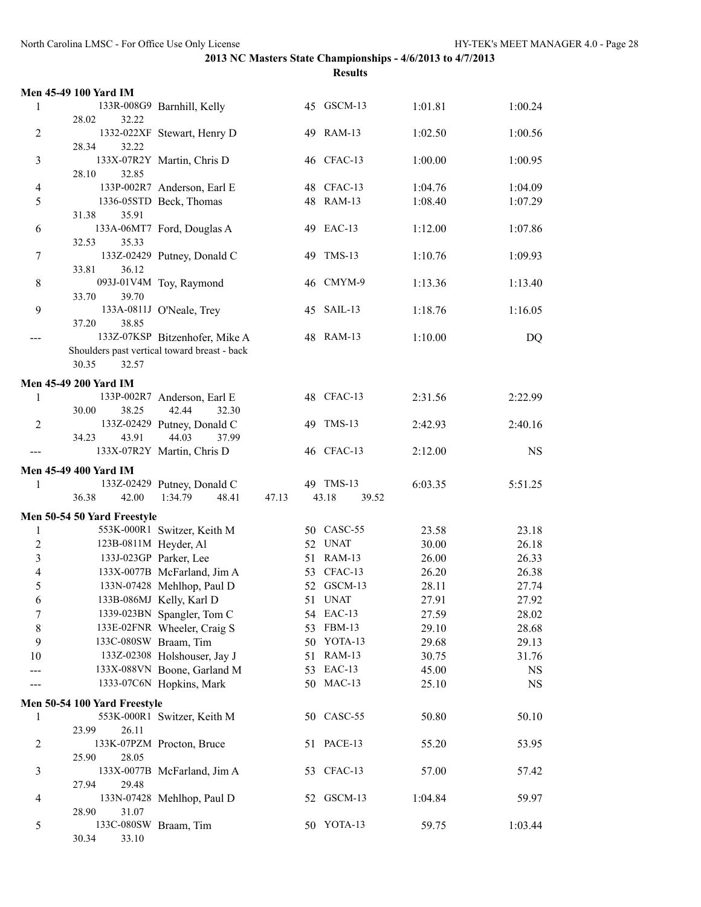|                  | <b>Men 45-49 100 Yard IM</b> |                                                                                |       |    |                |         |           |
|------------------|------------------------------|--------------------------------------------------------------------------------|-------|----|----------------|---------|-----------|
| 1                |                              | 133R-008G9 Barnhill, Kelly                                                     |       |    | 45 GSCM-13     | 1:01.81 | 1:00.24   |
|                  | 32.22<br>28.02               |                                                                                |       |    |                |         |           |
| $\overline{2}$   |                              | 1332-022XF Stewart, Henry D                                                    |       |    | 49 RAM-13      | 1:02.50 | 1:00.56   |
|                  | 28.34<br>32.22               |                                                                                |       |    |                |         |           |
| $\mathfrak{Z}$   |                              | 133X-07R2Y Martin, Chris D                                                     |       |    | 46 CFAC-13     | 1:00.00 | 1:00.95   |
|                  | 32.85<br>28.10               |                                                                                |       |    |                |         |           |
| 4                |                              | 133P-002R7 Anderson, Earl E                                                    |       |    | 48 CFAC-13     | 1:04.76 | 1:04.09   |
| 5                |                              | 1336-05STD Beck, Thomas                                                        |       |    | 48 RAM-13      | 1:08.40 | 1:07.29   |
|                  | 35.91<br>31.38               |                                                                                |       |    |                |         |           |
| 6                |                              | 133A-06MT7 Ford, Douglas A                                                     |       |    | 49 EAC-13      | 1:12.00 | 1:07.86   |
|                  | 35.33<br>32.53               |                                                                                |       |    |                |         |           |
| 7                |                              | 133Z-02429 Putney, Donald C                                                    |       |    | 49 TMS-13      | 1:10.76 | 1:09.93   |
|                  | 33.81<br>36.12               |                                                                                |       |    |                |         |           |
| 8                |                              | 093J-01V4M Toy, Raymond                                                        |       |    | 46 CMYM-9      | 1:13.36 | 1:13.40   |
|                  | 39.70<br>33.70               |                                                                                |       |    |                |         |           |
| 9                | 38.85                        | 133A-0811J O'Neale, Trey                                                       |       |    | 45 SAIL-13     | 1:18.76 | 1:16.05   |
|                  | 37.20                        |                                                                                |       |    | 48 RAM-13      |         |           |
| ---              |                              | 133Z-07KSP Bitzenhofer, Mike A<br>Shoulders past vertical toward breast - back |       |    |                | 1:10.00 | DQ        |
|                  | 30.35<br>32.57               |                                                                                |       |    |                |         |           |
|                  |                              |                                                                                |       |    |                |         |           |
|                  | <b>Men 45-49 200 Yard IM</b> |                                                                                |       |    |                |         |           |
| 1                |                              | 133P-002R7 Anderson, Earl E                                                    |       |    | 48 CFAC-13     | 2:31.56 | 2:22.99   |
| $\overline{2}$   | 38.25<br>30.00               | 42.44<br>32.30<br>133Z-02429 Putney, Donald C                                  |       |    | 49 TMS-13      |         |           |
|                  | 43.91<br>34.23               | 44.03<br>37.99                                                                 |       |    |                | 2:42.93 | 2:40.16   |
|                  |                              | 133X-07R2Y Martin, Chris D                                                     |       |    | 46 CFAC-13     | 2:12.00 | <b>NS</b> |
|                  |                              |                                                                                |       |    |                |         |           |
|                  | <b>Men 45-49 400 Yard IM</b> |                                                                                |       |    |                |         |           |
| 1                |                              | 133Z-02429 Putney, Donald C                                                    |       |    | 49 TMS-13      | 6:03.35 | 5:51.25   |
|                  | 36.38<br>42.00               | 1:34.79<br>48.41                                                               | 47.13 |    | 43.18<br>39.52 |         |           |
|                  | Men 50-54 50 Yard Freestyle  |                                                                                |       |    |                |         |           |
| 1                |                              | 553K-000R1 Switzer, Keith M                                                    |       |    | 50 CASC-55     | 23.58   | 23.18     |
| $\boldsymbol{2}$ | 123B-0811M Heyder, Al        |                                                                                |       |    | 52 UNAT        | 30.00   | 26.18     |
| 3                | 133J-023GP Parker, Lee       |                                                                                |       |    | 51 RAM-13      | 26.00   | 26.33     |
| $\overline{4}$   |                              | 133X-0077B McFarland, Jim A                                                    |       |    | 53 CFAC-13     | 26.20   | 26.38     |
| 5                |                              | 133N-07428 Mehlhop, Paul D                                                     |       |    | 52 GSCM-13     | 28.11   | 27.74     |
| $\sqrt{6}$       |                              | 133B-086MJ Kelly, Karl D                                                       |       |    | 51 UNAT        | 27.91   | 27.92     |
| $\sqrt{ }$       |                              | 1339-023BN Spangler, Tom C                                                     |       |    | 54 EAC-13      | 27.59   | 28.02     |
| 8                |                              | 133E-02FNR Wheeler, Craig S                                                    |       |    | 53 FBM-13      | 29.10   | 28.68     |
| 9                | 133C-080SW Braam, Tim        |                                                                                |       |    | 50 YOTA-13     | 29.68   | 29.13     |
| 10               |                              | 133Z-02308 Holshouser, Jay J                                                   |       | 51 | <b>RAM-13</b>  | 30.75   | 31.76     |
|                  |                              | 133X-088VN Boone, Garland M                                                    |       |    | 53 EAC-13      | 45.00   | NS        |
|                  |                              | 1333-07C6N Hopkins, Mark                                                       |       |    | 50 MAC-13      | 25.10   | <b>NS</b> |
|                  | Men 50-54 100 Yard Freestyle |                                                                                |       |    |                |         |           |
| 1                |                              | 553K-000R1 Switzer, Keith M                                                    |       |    | 50 CASC-55     | 50.80   | 50.10     |
|                  | 26.11<br>23.99               |                                                                                |       |    |                |         |           |
| $\overline{c}$   |                              | 133K-07PZM Procton, Bruce                                                      |       |    | 51 PACE-13     | 55.20   | 53.95     |
|                  | 28.05<br>25.90               |                                                                                |       |    |                |         |           |
| 3                |                              | 133X-0077B McFarland, Jim A                                                    |       |    | 53 CFAC-13     | 57.00   | 57.42     |
|                  | 29.48<br>27.94               |                                                                                |       |    |                |         |           |
| 4                | 31.07<br>28.90               | 133N-07428 Mehlhop, Paul D                                                     |       |    | 52 GSCM-13     | 1:04.84 | 59.97     |
| 5                | 133C-080SW Braam, Tim        |                                                                                |       |    | 50 YOTA-13     | 59.75   | 1:03.44   |
|                  | 30.34<br>33.10               |                                                                                |       |    |                |         |           |
|                  |                              |                                                                                |       |    |                |         |           |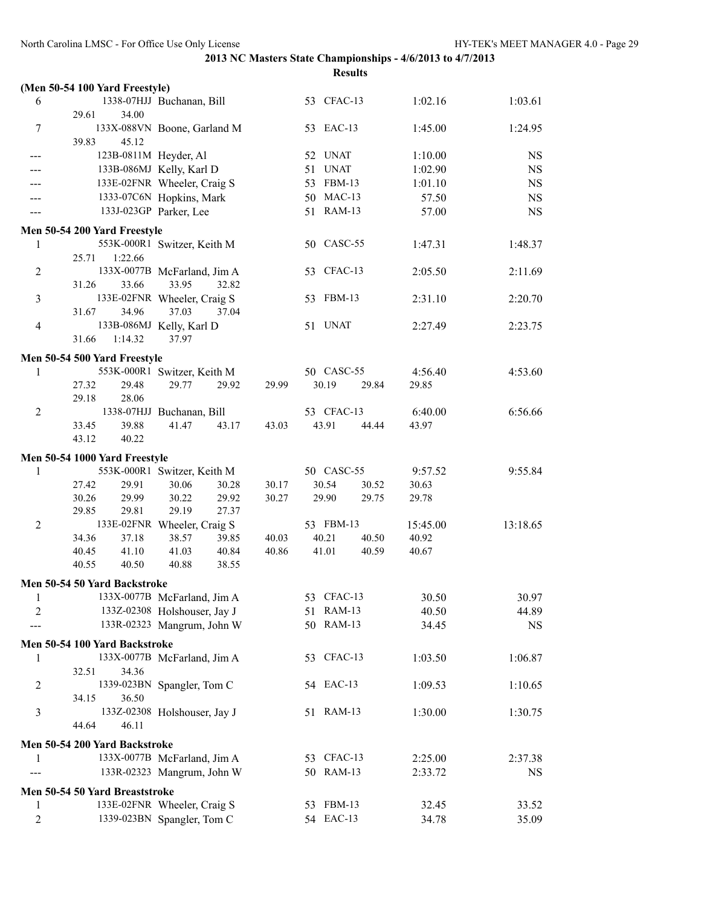|                |                                |                              |       |            | <b>Results</b> |          |           |
|----------------|--------------------------------|------------------------------|-------|------------|----------------|----------|-----------|
|                | (Men 50-54 100 Yard Freestyle) |                              |       |            |                |          |           |
| 6              |                                | 1338-07HJJ Buchanan, Bill    |       | 53 CFAC-13 |                | 1:02.16  | 1:03.61   |
|                | 29.61<br>34.00                 |                              |       |            |                |          |           |
| 7              |                                | 133X-088VN Boone, Garland M  |       | 53 EAC-13  |                | 1:45.00  | 1:24.95   |
|                | 39.83<br>45.12                 |                              |       |            |                |          |           |
|                | 123B-0811M Heyder, Al          |                              |       | 52 UNAT    |                | 1:10.00  | NS        |
|                |                                | 133B-086MJ Kelly, Karl D     |       | 51 UNAT    |                | 1:02.90  | <b>NS</b> |
|                |                                | 133E-02FNR Wheeler, Craig S  |       | 53 FBM-13  |                | 1:01.10  | <b>NS</b> |
|                |                                | 1333-07C6N Hopkins, Mark     |       | 50 MAC-13  |                | 57.50    | <b>NS</b> |
|                |                                | 133J-023GP Parker, Lee       |       | 51 RAM-13  |                | 57.00    | <b>NS</b> |
|                | Men 50-54 200 Yard Freestyle   |                              |       |            |                |          |           |
| 1              |                                | 553K-000R1 Switzer, Keith M  |       | 50 CASC-55 |                | 1:47.31  | 1:48.37   |
|                | 1:22.66<br>25.71               |                              |       |            |                |          |           |
| $\overline{c}$ |                                | 133X-0077B McFarland, Jim A  |       | 53 CFAC-13 |                | 2:05.50  | 2:11.69   |
|                | 31.26<br>33.66                 | 33.95<br>32.82               |       |            |                |          |           |
| 3              |                                | 133E-02FNR Wheeler, Craig S  |       | 53 FBM-13  |                | 2:31.10  | 2:20.70   |
|                | 31.67<br>34.96                 | 37.03<br>37.04               |       |            |                |          |           |
| $\overline{4}$ |                                | 133B-086MJ Kelly, Karl D     |       | 51 UNAT    |                | 2:27.49  | 2:23.75   |
|                | 31.66<br>1:14.32               | 37.97                        |       |            |                |          |           |
|                | Men 50-54 500 Yard Freestyle   |                              |       |            |                |          |           |
| 1              |                                | 553K-000R1 Switzer, Keith M  |       | 50 CASC-55 |                | 4:56.40  | 4:53.60   |
|                | 27.32<br>29.48                 | 29.77<br>29.92               | 29.99 | 30.19      | 29.84          | 29.85    |           |
|                | 28.06<br>29.18                 |                              |       |            |                |          |           |
| $\overline{2}$ |                                | 1338-07HJJ Buchanan, Bill    |       | 53 CFAC-13 |                | 6:40.00  | 6:56.66   |
|                | 39.88<br>33.45                 | 41.47<br>43.17               | 43.03 | 43.91      | 44.44          | 43.97    |           |
|                | 43.12<br>40.22                 |                              |       |            |                |          |           |
|                | Men 50-54 1000 Yard Freestyle  |                              |       |            |                |          |           |
| 1              |                                | 553K-000R1 Switzer, Keith M  |       | 50 CASC-55 |                | 9:57.52  | 9:55.84   |
|                | 27.42<br>29.91                 | 30.06<br>30.28               | 30.17 | 30.54      | 30.52          | 30.63    |           |
|                | 30.26<br>29.99                 | 30.22<br>29.92               | 30.27 | 29.90      | 29.75          | 29.78    |           |
|                | 29.85<br>29.81                 | 29.19<br>27.37               |       |            |                |          |           |
| $\overline{2}$ |                                | 133E-02FNR Wheeler, Craig S  |       | 53 FBM-13  |                | 15:45.00 | 13:18.65  |
|                | 37.18<br>34.36                 | 38.57<br>39.85               | 40.03 | 40.21      | 40.50          | 40.92    |           |
|                | 40.45<br>41.10                 | 41.03<br>40.84               | 40.86 | 41.01      | 40.59          | 40.67    |           |
|                | 40.55<br>40.50                 | 40.88<br>38.55               |       |            |                |          |           |
|                | Men 50-54 50 Yard Backstroke   |                              |       |            |                |          |           |
| 1              |                                | 133X-0077B McFarland, Jim A  |       | 53 CFAC-13 |                | 30.50    | 30.97     |
| 2              |                                | 133Z-02308 Holshouser, Jay J |       | 51 RAM-13  |                | 40.50    | 44.89     |
|                |                                | 133R-02323 Mangrum, John W   |       | 50 RAM-13  |                | 34.45    | NS        |
|                |                                |                              |       |            |                |          |           |
|                | Men 50-54 100 Yard Backstroke  |                              |       | 53 CFAC-13 |                |          |           |
| 1              | 34.36<br>32.51                 | 133X-0077B McFarland, Jim A  |       |            |                | 1:03.50  | 1:06.87   |
| 2              |                                | 1339-023BN Spangler, Tom C   |       | 54 EAC-13  |                | 1:09.53  | 1:10.65   |
|                | 36.50<br>34.15                 |                              |       |            |                |          |           |
| 3              |                                | 133Z-02308 Holshouser, Jay J |       | 51 RAM-13  |                | 1:30.00  | 1:30.75   |
|                | 44.64<br>46.11                 |                              |       |            |                |          |           |
|                |                                |                              |       |            |                |          |           |
|                | Men 50-54 200 Yard Backstroke  |                              |       |            |                |          |           |
| 1              |                                | 133X-0077B McFarland, Jim A  |       | 53 CFAC-13 |                | 2:25.00  | 2:37.38   |
|                |                                | 133R-02323 Mangrum, John W   |       | 50 RAM-13  |                | 2:33.72  | NS        |
|                | Men 50-54 50 Yard Breaststroke |                              |       |            |                |          |           |
| 1              |                                | 133E-02FNR Wheeler, Craig S  |       | 53 FBM-13  |                | 32.45    | 33.52     |
| $\overline{c}$ |                                | 1339-023BN Spangler, Tom C   |       | 54 EAC-13  |                | 34.78    | 35.09     |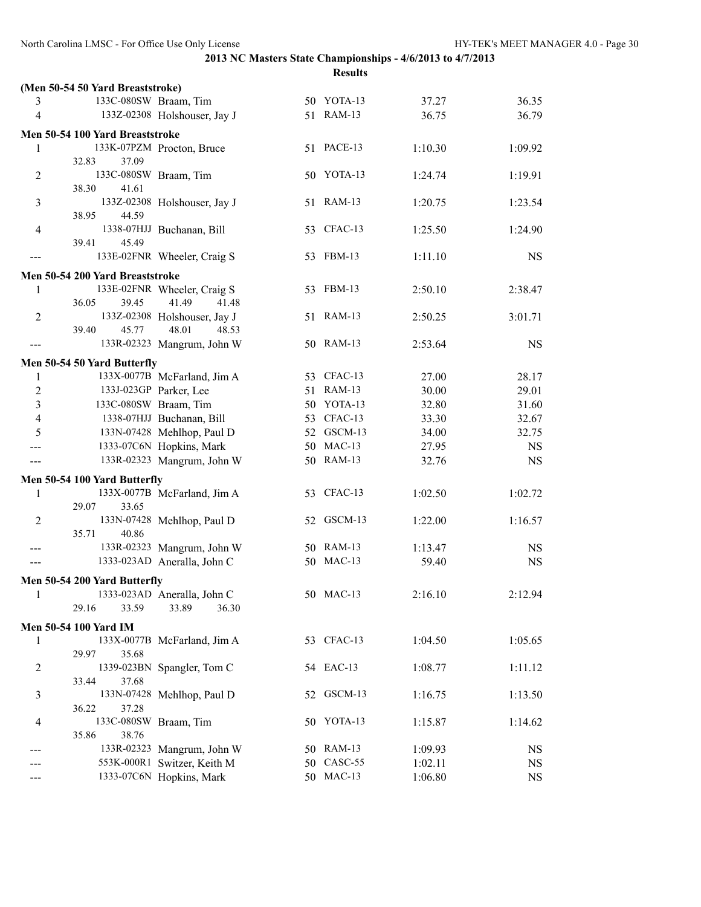|                |                                  |                                       |    | <b>Results</b> |         |           |
|----------------|----------------------------------|---------------------------------------|----|----------------|---------|-----------|
|                | (Men 50-54 50 Yard Breaststroke) |                                       |    |                |         |           |
| 3              | 133C-080SW Braam, Tim            |                                       |    | 50 YOTA-13     | 37.27   | 36.35     |
| 4              |                                  | 133Z-02308 Holshouser, Jay J          |    | 51 RAM-13      | 36.75   | 36.79     |
|                |                                  |                                       |    |                |         |           |
|                | Men 50-54 100 Yard Breaststroke  | 133K-07PZM Procton, Bruce             |    | 51 PACE-13     | 1:10.30 |           |
| 1              | 32.83<br>37.09                   |                                       |    |                |         | 1:09.92   |
| $\overline{2}$ | 133C-080SW Braam, Tim            |                                       |    | 50 YOTA-13     | 1:24.74 | 1:19.91   |
|                | 38.30<br>41.61                   |                                       |    |                |         |           |
| 3              |                                  | 133Z-02308 Holshouser, Jay J          |    | 51 RAM-13      | 1:20.75 | 1:23.54   |
|                | 38.95<br>44.59                   |                                       |    |                |         |           |
| $\overline{4}$ |                                  | 1338-07HJJ Buchanan, Bill             |    | 53 CFAC-13     | 1:25.50 | 1:24.90   |
|                | 45.49<br>39.41                   |                                       |    |                |         |           |
|                |                                  | 133E-02FNR Wheeler, Craig S           |    | 53 FBM-13      | 1:11.10 | <b>NS</b> |
|                |                                  |                                       |    |                |         |           |
|                | Men 50-54 200 Yard Breaststroke  |                                       |    |                |         |           |
| 1              |                                  | 133E-02FNR Wheeler, Craig S           |    | 53 FBM-13      | 2:50.10 | 2:38.47   |
|                | 36.05<br>39.45                   | 41.49<br>41.48                        |    | 51 RAM-13      |         |           |
| $\overline{2}$ | 39.40<br>45.77                   | 133Z-02308 Holshouser, Jay J<br>48.01 |    |                | 2:50.25 | 3:01.71   |
|                |                                  | 48.53<br>133R-02323 Mangrum, John W   |    | 50 RAM-13      | 2:53.64 | <b>NS</b> |
| ---            |                                  |                                       |    |                |         |           |
|                | Men 50-54 50 Yard Butterfly      |                                       |    |                |         |           |
| 1              |                                  | 133X-0077B McFarland, Jim A           |    | 53 CFAC-13     | 27.00   | 28.17     |
| $\overline{2}$ |                                  | 133J-023GP Parker, Lee                |    | 51 RAM-13      | 30.00   | 29.01     |
| 3              | 133C-080SW Braam, Tim            |                                       |    | 50 YOTA-13     | 32.80   | 31.60     |
| 4              |                                  | 1338-07HJJ Buchanan, Bill             |    | 53 CFAC-13     | 33.30   | 32.67     |
| 5              |                                  | 133N-07428 Mehlhop, Paul D            |    | 52 GSCM-13     | 34.00   | 32.75     |
| ---            |                                  | 1333-07C6N Hopkins, Mark              |    | 50 MAC-13      | 27.95   | <b>NS</b> |
| ---            |                                  | 133R-02323 Mangrum, John W            |    | 50 RAM-13      | 32.76   | <b>NS</b> |
|                | Men 50-54 100 Yard Butterfly     |                                       |    |                |         |           |
| 1              |                                  | 133X-0077B McFarland, Jim A           |    | 53 CFAC-13     | 1:02.50 | 1:02.72   |
|                | 29.07<br>33.65                   |                                       |    |                |         |           |
| 2              |                                  | 133N-07428 Mehlhop, Paul D            |    | 52 GSCM-13     | 1:22.00 | 1:16.57   |
|                | 40.86<br>35.71                   |                                       |    |                |         |           |
| ---            |                                  | 133R-02323 Mangrum, John W            |    | 50 RAM-13      | 1:13.47 | <b>NS</b> |
| $---$          |                                  | 1333-023AD Aneralla, John C           |    | 50 MAC-13      | 59.40   | <b>NS</b> |
|                | Men 50-54 200 Yard Butterfly     |                                       |    |                |         |           |
| 1              |                                  | 1333-023AD Aneralla, John C           |    | 50 MAC-13      | 2:16.10 | 2:12.94   |
|                | 29.16<br>33.59                   | 33.89<br>36.30                        |    |                |         |           |
|                |                                  |                                       |    |                |         |           |
|                | <b>Men 50-54 100 Yard IM</b>     |                                       |    |                |         |           |
| 1              |                                  | 133X-0077B McFarland, Jim A           |    | 53 CFAC-13     | 1:04.50 | 1:05.65   |
|                | 29.97<br>35.68                   |                                       |    |                |         |           |
| $\overline{2}$ |                                  | 1339-023BN Spangler, Tom C            |    | 54 EAC-13      | 1:08.77 | 1:11.12   |
|                | 33.44<br>37.68                   |                                       |    |                |         |           |
| 3              | 36.22                            | 133N-07428 Mehlhop, Paul D            |    | 52 GSCM-13     | 1:16.75 | 1:13.50   |
|                | 37.28<br>133C-080SW Braam, Tim   |                                       |    | YOTA-13        |         |           |
| 4              | 38.76<br>35.86                   |                                       | 50 |                | 1:15.87 | 1:14.62   |
|                |                                  | 133R-02323 Mangrum, John W            |    | 50 RAM-13      | 1:09.93 | <b>NS</b> |
|                |                                  | 553K-000R1 Switzer, Keith M           |    | 50 CASC-55     | 1:02.11 | NS        |
|                |                                  | 1333-07C6N Hopkins, Mark              |    | 50 MAC-13      | 1:06.80 | <b>NS</b> |
|                |                                  |                                       |    |                |         |           |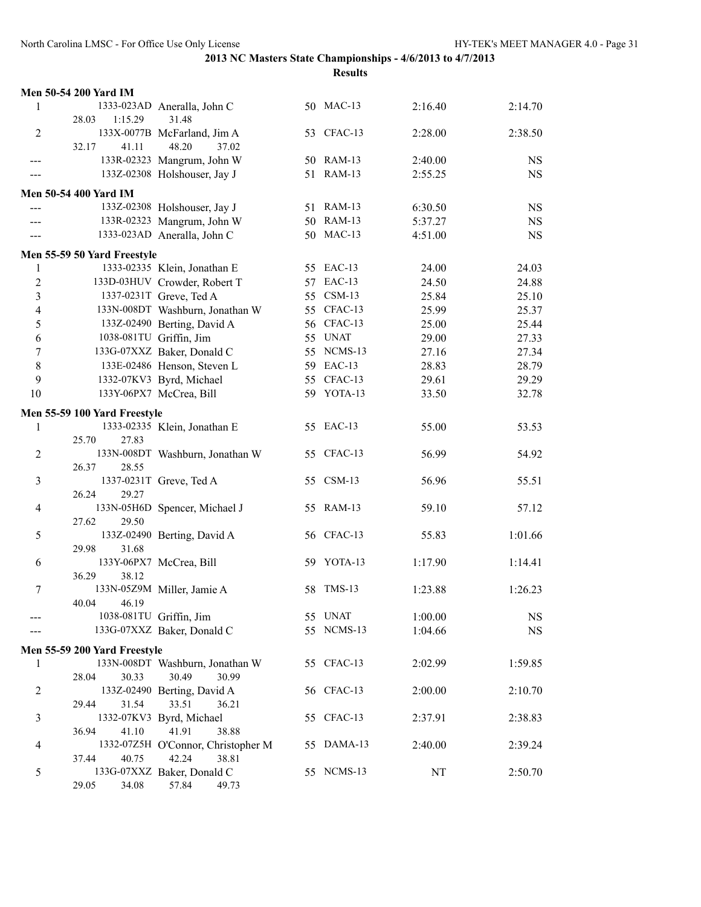|                | Men 50-54 200 Yard IM        |                                    |            |         |           |
|----------------|------------------------------|------------------------------------|------------|---------|-----------|
| 1              |                              | 1333-023AD Aneralla, John C        | 50 MAC-13  | 2:16.40 | 2:14.70   |
|                | 1:15.29<br>28.03             | 31.48                              |            |         |           |
| 2              |                              | 133X-0077B McFarland, Jim A        | 53 CFAC-13 | 2:28.00 | 2:38.50   |
|                | 41.11<br>32.17               | 48.20<br>37.02                     |            |         |           |
|                |                              | 133R-02323 Mangrum, John W         | 50 RAM-13  | 2:40.00 | <b>NS</b> |
|                |                              | 133Z-02308 Holshouser, Jay J       | 51 RAM-13  | 2:55.25 | <b>NS</b> |
|                | <b>Men 50-54 400 Yard IM</b> |                                    |            |         |           |
|                |                              | 133Z-02308 Holshouser, Jay J       | 51 RAM-13  | 6:30.50 | <b>NS</b> |
|                |                              | 133R-02323 Mangrum, John W         | 50 RAM-13  | 5:37.27 | <b>NS</b> |
|                |                              | 1333-023AD Aneralla, John C        | 50 MAC-13  | 4:51.00 | <b>NS</b> |
|                |                              |                                    |            |         |           |
|                | Men 55-59 50 Yard Freestyle  |                                    |            |         |           |
| 1              |                              | 1333-02335 Klein, Jonathan E       | 55 EAC-13  | 24.00   | 24.03     |
| $\overline{c}$ |                              | 133D-03HUV Crowder, Robert T       | 57 EAC-13  | 24.50   | 24.88     |
| 3              |                              | 1337-0231T Greve, Ted A            | 55 CSM-13  | 25.84   | 25.10     |
| 4              |                              | 133N-008DT Washburn, Jonathan W    | 55 CFAC-13 | 25.99   | 25.37     |
| 5              |                              | 133Z-02490 Berting, David A        | 56 CFAC-13 | 25.00   | 25.44     |
| 6              |                              | 1038-081TU Griffin, Jim            | 55 UNAT    | 29.00   | 27.33     |
| 7              |                              | 133G-07XXZ Baker, Donald C         | 55 NCMS-13 | 27.16   | 27.34     |
| 8              |                              | 133E-02486 Henson, Steven L        | 59 EAC-13  | 28.83   | 28.79     |
| 9              |                              | 1332-07KV3 Byrd, Michael           | 55 CFAC-13 | 29.61   | 29.29     |
| 10             |                              | 133Y-06PX7 McCrea, Bill            | 59 YOTA-13 | 33.50   | 32.78     |
|                | Men 55-59 100 Yard Freestyle |                                    |            |         |           |
| 1              |                              | 1333-02335 Klein, Jonathan E       | 55 EAC-13  | 55.00   | 53.53     |
|                | 25.70<br>27.83               |                                    |            |         |           |
| 2              |                              | 133N-008DT Washburn, Jonathan W    | 55 CFAC-13 | 56.99   | 54.92     |
|                | 26.37<br>28.55               |                                    |            |         |           |
| 3              |                              | 1337-0231T Greve, Ted A            | 55 CSM-13  | 56.96   | 55.51     |
|                | 26.24<br>29.27               |                                    |            |         |           |
| 4              |                              | 133N-05H6D Spencer, Michael J      | 55 RAM-13  | 59.10   | 57.12     |
|                | 27.62<br>29.50               |                                    |            |         |           |
| 5              |                              | 133Z-02490 Berting, David A        | 56 CFAC-13 | 55.83   | 1:01.66   |
|                | 29.98<br>31.68               |                                    |            |         |           |
| 6              |                              | 133Y-06PX7 McCrea, Bill            | 59 YOTA-13 | 1:17.90 | 1:14.41   |
|                | 38.12<br>36.29               |                                    |            |         |           |
| 7              |                              | 133N-05Z9M Miller, Jamie A         | 58 TMS-13  | 1:23.88 | 1:26.23   |
|                | 40.04<br>46.19               |                                    |            |         |           |
|                |                              | 1038-081TU Griffin, Jim            | 55 UNAT    | 1:00.00 | <b>NS</b> |
|                |                              | 133G-07XXZ Baker, Donald C         | 55 NCMS-13 | 1:04.66 | <b>NS</b> |
|                | Men 55-59 200 Yard Freestyle |                                    |            |         |           |
| 1              |                              | 133N-008DT Washburn, Jonathan W    | 55 CFAC-13 | 2:02.99 | 1:59.85   |
|                | 30.33<br>28.04               | 30.49<br>30.99                     |            |         |           |
| $\overline{c}$ |                              | 133Z-02490 Berting, David A        | 56 CFAC-13 | 2:00.00 | 2:10.70   |
|                | 29.44<br>31.54               | 33.51<br>36.21                     |            |         |           |
| 3              |                              | 1332-07KV3 Byrd, Michael           | 55 CFAC-13 | 2:37.91 | 2:38.83   |
|                | 36.94<br>41.10               | 41.91<br>38.88                     |            |         |           |
| 4              |                              | 1332-07Z5H O'Connor, Christopher M | 55 DAMA-13 | 2:40.00 | 2:39.24   |
|                | 37.44<br>40.75               | 42.24<br>38.81                     |            |         |           |
| 5              |                              | 133G-07XXZ Baker, Donald C         | 55 NCMS-13 | NT      | 2:50.70   |
|                | 29.05<br>34.08               | 57.84<br>49.73                     |            |         |           |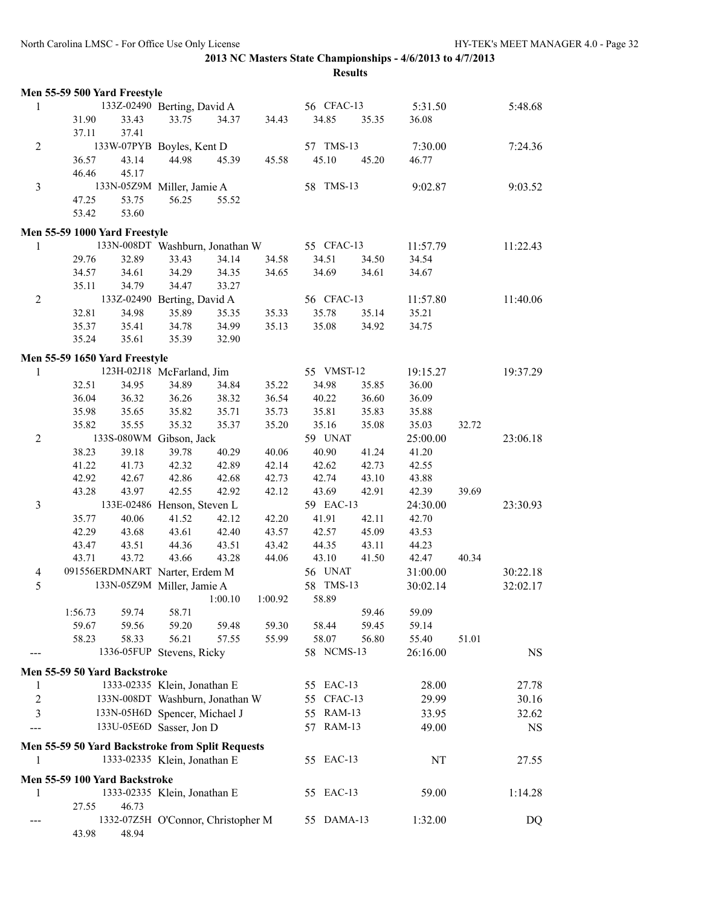|                | Men 55-59 500 Yard Freestyle                     |                                    |         |                |                      |                |                |       |           |
|----------------|--------------------------------------------------|------------------------------------|---------|----------------|----------------------|----------------|----------------|-------|-----------|
| 1              |                                                  | 133Z-02490 Berting, David A        |         |                | 56 CFAC-13           |                | 5:31.50        |       | 5:48.68   |
|                | 31.90<br>33.43<br>37.11<br>37.41                 | 33.75                              | 34.37   | 34.43          | 34.85                | 35.35          | 36.08          |       |           |
| $\overline{2}$ |                                                  | 133W-07PYB Boyles, Kent D          |         |                | 57 TMS-13            |                | 7:30.00        |       | 7:24.36   |
|                | 43.14<br>36.57<br>46.46<br>45.17                 | 44.98                              | 45.39   | 45.58          | 45.10                | 45.20          | 46.77          |       |           |
| 3              |                                                  | 133N-05Z9M Miller, Jamie A         |         |                | 58 TMS-13            |                | 9:02.87        |       | 9:03.52   |
|                | 53.75<br>47.25                                   | 56.25                              | 55.52   |                |                      |                |                |       |           |
|                | 53.60<br>53.42                                   |                                    |         |                |                      |                |                |       |           |
|                |                                                  |                                    |         |                |                      |                |                |       |           |
| 1              | Men 55-59 1000 Yard Freestyle                    | 133N-008DT Washburn, Jonathan W    |         |                | 55 CFAC-13           |                | 11:57.79       |       | 11:22.43  |
|                | 29.76<br>32.89                                   | 33.43                              | 34.14   | 34.58          | 34.51                | 34.50          | 34.54          |       |           |
|                | 34.57<br>34.61                                   | 34.29                              | 34.35   | 34.65          | 34.69                | 34.61          | 34.67          |       |           |
|                | 34.79<br>35.11                                   | 34.47                              | 33.27   |                |                      |                |                |       |           |
| $\overline{2}$ |                                                  | 133Z-02490 Berting, David A        |         |                | 56 CFAC-13           |                | 11:57.80       |       | 11:40.06  |
|                | 32.81<br>34.98                                   | 35.89                              | 35.35   | 35.33          | 35.78                | 35.14          | 35.21          |       |           |
|                | 35.37<br>35.41                                   | 34.78                              | 34.99   | 35.13          | 35.08                | 34.92          | 34.75          |       |           |
|                | 35.24<br>35.61                                   | 35.39                              | 32.90   |                |                      |                |                |       |           |
|                |                                                  |                                    |         |                |                      |                |                |       |           |
|                | Men 55-59 1650 Yard Freestyle                    |                                    |         |                |                      |                |                |       |           |
| 1              |                                                  | 123H-02J18 McFarland, Jim          |         |                | 55 VMST-12           |                | 19:15.27       |       | 19:37.29  |
|                | 32.51<br>34.95                                   | 34.89                              | 34.84   | 35.22          | 34.98                | 35.85          | 36.00          |       |           |
|                | 36.04<br>36.32                                   | 36.26                              | 38.32   | 36.54          | 40.22                | 36.60          | 36.09          |       |           |
|                | 35.98<br>35.65                                   | 35.82                              | 35.71   | 35.73          | 35.81                | 35.83          | 35.88          |       |           |
|                | 35.82<br>35.55                                   | 35.32                              | 35.37   | 35.20          | 35.16                | 35.08          | 35.03          | 32.72 |           |
| $\overline{2}$ |                                                  | 133S-080WM Gibson, Jack            |         |                | 59 UNAT              |                | 25:00.00       |       | 23:06.18  |
|                | 38.23<br>39.18                                   | 39.78                              | 40.29   | 40.06          | 40.90                | 41.24          | 41.20          |       |           |
|                | 41.22<br>41.73                                   | 42.32                              | 42.89   | 42.14          | 42.62                | 42.73          | 42.55          |       |           |
|                | 42.92<br>42.67                                   | 42.86                              | 42.68   | 42.73          | 42.74                | 43.10          | 43.88          |       |           |
|                | 43.28<br>43.97                                   | 42.55                              | 42.92   | 42.12          | 43.69                | 42.91          | 42.39          | 39.69 |           |
| 3              |                                                  | 133E-02486 Henson, Steven L        |         |                | 59 EAC-13            |                | 24:30.00       |       | 23:30.93  |
|                | 35.77<br>40.06                                   | 41.52                              | 42.12   | 42.20          | 41.91                | 42.11          | 42.70          |       |           |
|                | 42.29<br>43.68                                   | 43.61                              | 42.40   | 43.57          | 42.57                | 45.09          | 43.53          |       |           |
|                | 43.51<br>43.47                                   | 44.36                              | 43.51   | 43.42          | 44.35<br>43.10       | 43.11          | 44.23          |       |           |
|                | 43.71<br>43.72<br>091556ERDMNART Narter, Erdem M | 43.66                              | 43.28   | 44.06          |                      | 41.50          | 42.47          | 40.34 |           |
| $\overline{4}$ |                                                  |                                    |         |                | 56 UNAT<br>58 TMS-13 |                | 31:00.00       |       | 30:22.18  |
| 5              |                                                  | 133N-05Z9M Miller, Jamie A         |         | 1:00.92        | 58.89                |                | 30:02.14       |       | 32:02.17  |
|                |                                                  |                                    | 1:00.10 |                |                      |                |                |       |           |
|                | 1:56.73<br>59.74<br>59.67                        | 58.71                              | 59.48   |                |                      | 59.46          | 59.09          |       |           |
|                | 59.56<br>58.23<br>58.33                          | 59.20<br>56.21                     | 57.55   | 59.30<br>55.99 | 58.44<br>58.07       | 59.45<br>56.80 | 59.14<br>55.40 | 51.01 |           |
|                |                                                  | 1336-05FUP Stevens, Ricky          |         |                | 58 NCMS-13           |                | 26:16.00       |       | <b>NS</b> |
|                |                                                  |                                    |         |                |                      |                |                |       |           |
|                | Men 55-59 50 Yard Backstroke                     |                                    |         |                |                      |                |                |       |           |
| 1              |                                                  | 1333-02335 Klein, Jonathan E       |         |                | 55 EAC-13            |                | 28.00          |       | 27.78     |
| $\overline{2}$ |                                                  | 133N-008DT Washburn, Jonathan W    |         |                | 55 CFAC-13           |                | 29.99          |       | 30.16     |
| 3              |                                                  | 133N-05H6D Spencer, Michael J      |         |                | 55 RAM-13            |                | 33.95          |       | 32.62     |
|                |                                                  | 133U-05E6D Sasser, Jon D           |         |                | 57 RAM-13            |                | 49.00          |       | <b>NS</b> |
|                | Men 55-59 50 Yard Backstroke from Split Requests |                                    |         |                |                      |                |                |       |           |
| 1              |                                                  | 1333-02335 Klein, Jonathan E       |         |                | 55 EAC-13            |                | NT             |       | 27.55     |
|                | Men 55-59 100 Yard Backstroke                    |                                    |         |                |                      |                |                |       |           |
| 1              |                                                  | 1333-02335 Klein, Jonathan E       |         |                | 55 EAC-13            |                | 59.00          |       | 1:14.28   |
|                | 27.55<br>46.73                                   |                                    |         |                |                      |                |                |       |           |
|                |                                                  | 1332-07Z5H O'Connor, Christopher M |         |                | 55 DAMA-13           |                | 1:32.00        |       | DQ        |
|                | 43.98<br>48.94                                   |                                    |         |                |                      |                |                |       |           |
|                |                                                  |                                    |         |                |                      |                |                |       |           |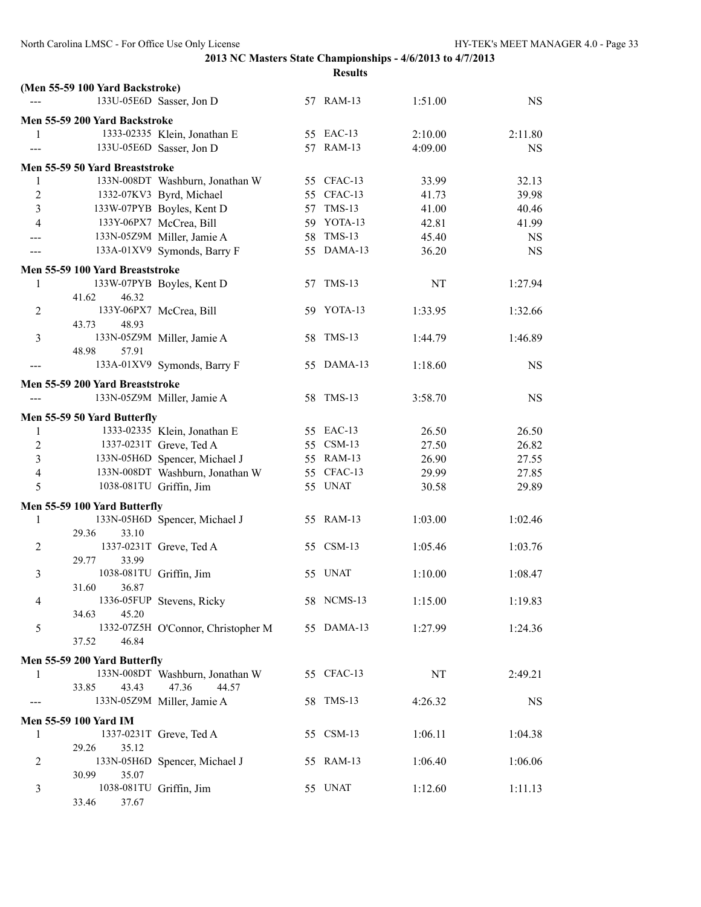|                |                                 |                                    | <b>Results</b> |         |           |
|----------------|---------------------------------|------------------------------------|----------------|---------|-----------|
|                | (Men 55-59 100 Yard Backstroke) |                                    |                |         |           |
|                |                                 | 133U-05E6D Sasser, Jon D           | 57 RAM-13      | 1:51.00 | <b>NS</b> |
|                | Men 55-59 200 Yard Backstroke   |                                    |                |         |           |
| 1              |                                 | 1333-02335 Klein, Jonathan E       | 55 EAC-13      | 2:10.00 | 2:11.80   |
|                |                                 | 133U-05E6D Sasser, Jon D           | 57 RAM-13      | 4:09.00 | <b>NS</b> |
|                |                                 |                                    |                |         |           |
|                | Men 55-59 50 Yard Breaststroke  |                                    |                |         |           |
| 1              |                                 | 133N-008DT Washburn, Jonathan W    | 55 CFAC-13     | 33.99   | 32.13     |
| $\overline{c}$ |                                 | 1332-07KV3 Byrd, Michael           | 55 CFAC-13     | 41.73   | 39.98     |
| 3              |                                 | 133W-07PYB Boyles, Kent D          | 57 TMS-13      | 41.00   | 40.46     |
| $\overline{4}$ |                                 | 133Y-06PX7 McCrea, Bill            | 59 YOTA-13     | 42.81   | 41.99     |
|                |                                 | 133N-05Z9M Miller, Jamie A         | 58 TMS-13      | 45.40   | <b>NS</b> |
|                |                                 | 133A-01XV9 Symonds, Barry F        | 55 DAMA-13     | 36.20   | <b>NS</b> |
|                | Men 55-59 100 Yard Breaststroke |                                    |                |         |           |
| $\mathbf{1}$   |                                 | 133W-07PYB Boyles, Kent D          | 57 TMS-13      | NT      | 1:27.94   |
|                | 41.62<br>46.32                  |                                    |                |         |           |
| 2              |                                 | 133Y-06PX7 McCrea, Bill            | 59 YOTA-13     | 1:33.95 | 1:32.66   |
|                | 43.73<br>48.93                  |                                    |                |         |           |
| 3              |                                 | 133N-05Z9M Miller, Jamie A         | 58 TMS-13      | 1:44.79 | 1:46.89   |
|                | 48.98<br>57.91                  |                                    |                |         |           |
|                |                                 | 133A-01XV9 Symonds, Barry F        | 55 DAMA-13     | 1:18.60 | <b>NS</b> |
|                | Men 55-59 200 Yard Breaststroke |                                    |                |         |           |
|                |                                 | 133N-05Z9M Miller, Jamie A         | 58 TMS-13      | 3:58.70 | <b>NS</b> |
|                | Men 55-59 50 Yard Butterfly     |                                    |                |         |           |
| 1              |                                 | 1333-02335 Klein, Jonathan E       | 55 EAC-13      | 26.50   | 26.50     |
| $\overline{c}$ |                                 | 1337-0231T Greve, Ted A            | 55 CSM-13      | 27.50   | 26.82     |
| $\overline{3}$ |                                 | 133N-05H6D Spencer, Michael J      | 55 RAM-13      | 26.90   | 27.55     |
| $\overline{4}$ |                                 | 133N-008DT Washburn, Jonathan W    | 55 CFAC-13     | 29.99   | 27.85     |
| 5              |                                 | 1038-081TU Griffin, Jim            | 55 UNAT        | 30.58   | 29.89     |
|                |                                 |                                    |                |         |           |
|                | Men 55-59 100 Yard Butterfly    |                                    |                |         |           |
| 1              |                                 | 133N-05H6D Spencer, Michael J      | 55 RAM-13      | 1:03.00 | 1:02.46   |
|                | 29.36<br>33.10                  |                                    |                |         |           |
| $\overline{2}$ |                                 | 1337-0231T Greve, Ted A            | 55 CSM-13      | 1:05.46 | 1:03.76   |
|                | 29.77<br>33.99                  |                                    |                |         |           |
| 3              |                                 | 1038-081TU Griffin, Jim            | 55 UNAT        | 1:10.00 | 1:08.47   |
|                | 31.60<br>36.87                  |                                    | 58 NCMS-13     |         |           |
| $\overline{4}$ | 34.63<br>45.20                  | 1336-05FUP Stevens, Ricky          |                | 1:15.00 | 1:19.83   |
| 5              |                                 | 1332-07Z5H O'Connor, Christopher M | 55 DAMA-13     | 1:27.99 | 1:24.36   |
|                | 37.52<br>46.84                  |                                    |                |         |           |
|                |                                 |                                    |                |         |           |
|                | Men 55-59 200 Yard Butterfly    |                                    |                |         |           |
| 1              |                                 | 133N-008DT Washburn, Jonathan W    | 55 CFAC-13     | NT      | 2:49.21   |
|                | 43.43<br>33.85                  | 47.36<br>44.57                     |                |         |           |
|                |                                 | 133N-05Z9M Miller, Jamie A         | 58 TMS-13      | 4:26.32 | NS        |
|                | <b>Men 55-59 100 Yard IM</b>    |                                    |                |         |           |
| 1              |                                 | 1337-0231T Greve, Ted A            | 55 CSM-13      | 1:06.11 | 1:04.38   |
|                | 29.26<br>35.12                  |                                    |                |         |           |
| $\overline{2}$ |                                 | 133N-05H6D Spencer, Michael J      | 55 RAM-13      | 1:06.40 | 1:06.06   |
|                | 30.99<br>35.07                  |                                    |                |         |           |
| $\mathfrak{Z}$ |                                 | 1038-081TU Griffin, Jim            | 55 UNAT        | 1:12.60 | 1:11.13   |
|                | 33.46<br>37.67                  |                                    |                |         |           |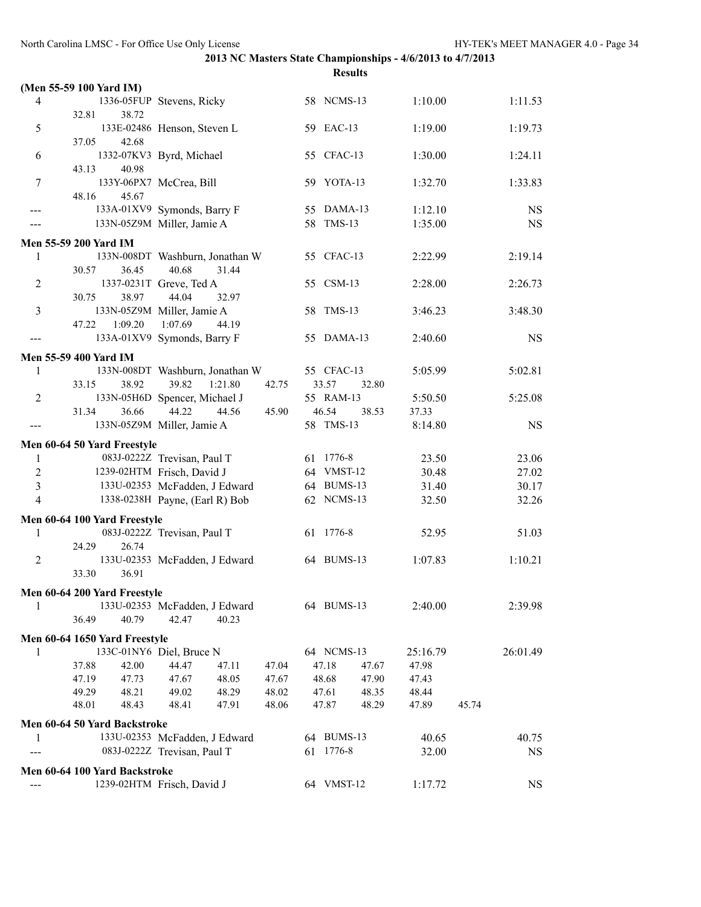|                  | (Men 55-59 100 Yard IM)                                                                |                                  |                |           |
|------------------|----------------------------------------------------------------------------------------|----------------------------------|----------------|-----------|
| 4                | 1336-05FUP Stevens, Ricky                                                              | 58 NCMS-13                       | 1:10.00        | 1:11.53   |
|                  | 38.72<br>32.81                                                                         |                                  |                |           |
| 5                | 133E-02486 Henson, Steven L                                                            | 59 EAC-13                        | 1:19.00        | 1:19.73   |
|                  | 37.05<br>42.68                                                                         | 55 CFAC-13                       |                | 1:24.11   |
| 6                | 1332-07KV3 Byrd, Michael<br>40.98<br>43.13                                             |                                  | 1:30.00        |           |
| $\overline{7}$   | 133Y-06PX7 McCrea, Bill                                                                | 59 YOTA-13                       | 1:32.70        | 1:33.83   |
|                  | 48.16<br>45.67                                                                         |                                  |                |           |
| ---              | 133A-01XV9 Symonds, Barry F                                                            | 55 DAMA-13                       | 1:12.10        | <b>NS</b> |
| ---              | 133N-05Z9M Miller, Jamie A                                                             | 58 TMS-13                        | 1:35.00        | <b>NS</b> |
|                  | Men 55-59 200 Yard IM                                                                  |                                  |                |           |
| 1                | 133N-008DT Washburn, Jonathan W                                                        | 55 CFAC-13                       | 2:22.99        | 2:19.14   |
|                  | 40.68<br>31.44<br>30.57<br>36.45                                                       |                                  |                |           |
| 2                | 1337-0231T Greve, Ted A                                                                | 55 CSM-13                        | 2:28.00        | 2:26.73   |
|                  | 38.97<br>44.04<br>30.75<br>32.97                                                       |                                  |                |           |
| 3                | 133N-05Z9M Miller, Jamie A                                                             | 58 TMS-13                        | 3:46.23        | 3:48.30   |
|                  | 1:09.20<br>1:07.69<br>47.22<br>44.19                                                   |                                  |                |           |
|                  | 133A-01XV9 Symonds, Barry F                                                            | 55 DAMA-13                       | 2:40.60        | <b>NS</b> |
|                  | Men 55-59 400 Yard IM                                                                  |                                  |                |           |
| 1                | 133N-008DT Washburn, Jonathan W                                                        | 55 CFAC-13                       | 5:05.99        | 5:02.81   |
|                  | 39.82<br>1:21.80<br>33.15<br>38.92<br>42.75                                            | 33.57<br>32.80                   |                |           |
| $\overline{c}$   | 133N-05H6D Spencer, Michael J                                                          | 55 RAM-13                        | 5:50.50        | 5:25.08   |
|                  | 31.34<br>44.22<br>36.66<br>44.56<br>45.90                                              | 46.54<br>38.53<br>58 TMS-13      | 37.33          |           |
|                  | 133N-05Z9M Miller, Jamie A                                                             |                                  | 8:14.80        | <b>NS</b> |
|                  | Men 60-64 50 Yard Freestyle                                                            |                                  |                |           |
| 1                | 083J-0222Z Trevisan, Paul T                                                            | 61 1776-8                        | 23.50          | 23.06     |
| $\boldsymbol{2}$ | 1239-02HTM Frisch, David J                                                             | 64 VMST-12                       | 30.48          | 27.02     |
| 3                | 133U-02353 McFadden, J Edward                                                          | 64 BUMS-13                       | 31.40          | 30.17     |
| $\overline{4}$   | 1338-0238H Payne, (Earl R) Bob                                                         | 62 NCMS-13                       | 32.50          | 32.26     |
|                  | Men 60-64 100 Yard Freestyle                                                           |                                  |                |           |
| 1                | 083J-0222Z Trevisan, Paul T                                                            | 61 1776-8                        | 52.95          | 51.03     |
|                  | 24.29<br>26.74                                                                         |                                  |                |           |
| 2                | 133U-02353 McFadden, J Edward<br>33.30<br>36.91                                        | 64 BUMS-13                       | 1:07.83        | 1:10.21   |
|                  |                                                                                        |                                  |                |           |
|                  | Men 60-64 200 Yard Freestyle                                                           |                                  |                |           |
| 1                | 133U-02353 McFadden, J Edward                                                          | 64 BUMS-13                       | 2:40.00        | 2:39.98   |
|                  | 36.49<br>40.79<br>42.47<br>40.23                                                       |                                  |                |           |
|                  | Men 60-64 1650 Yard Freestyle                                                          |                                  |                |           |
| 1                | 133C-01NY6 Diel, Bruce N                                                               | 64 NCMS-13                       | 25:16.79       | 26:01.49  |
|                  | 37.88<br>42.00<br>44.47<br>47.11<br>47.04                                              | 47.18<br>47.67                   | 47.98          |           |
|                  | 47.19<br>47.73<br>48.05<br>47.67<br>47.67<br>49.29<br>48.21<br>49.02<br>48.29<br>48.02 | 48.68<br>47.90<br>47.61<br>48.35 | 47.43<br>48.44 |           |
|                  | 48.01<br>48.43<br>48.41<br>47.91<br>48.06                                              | 47.87<br>48.29                   | 47.89<br>45.74 |           |
|                  |                                                                                        |                                  |                |           |
| 1                | Men 60-64 50 Yard Backstroke<br>133U-02353 McFadden, J Edward                          | 64 BUMS-13                       | 40.65          | 40.75     |
|                  | 083J-0222Z Trevisan, Paul T                                                            | 61 1776-8                        | 32.00          | <b>NS</b> |
|                  |                                                                                        |                                  |                |           |
|                  | Men 60-64 100 Yard Backstroke                                                          |                                  |                |           |
|                  | 1239-02HTM Frisch, David J                                                             | 64 VMST-12                       | 1:17.72        | <b>NS</b> |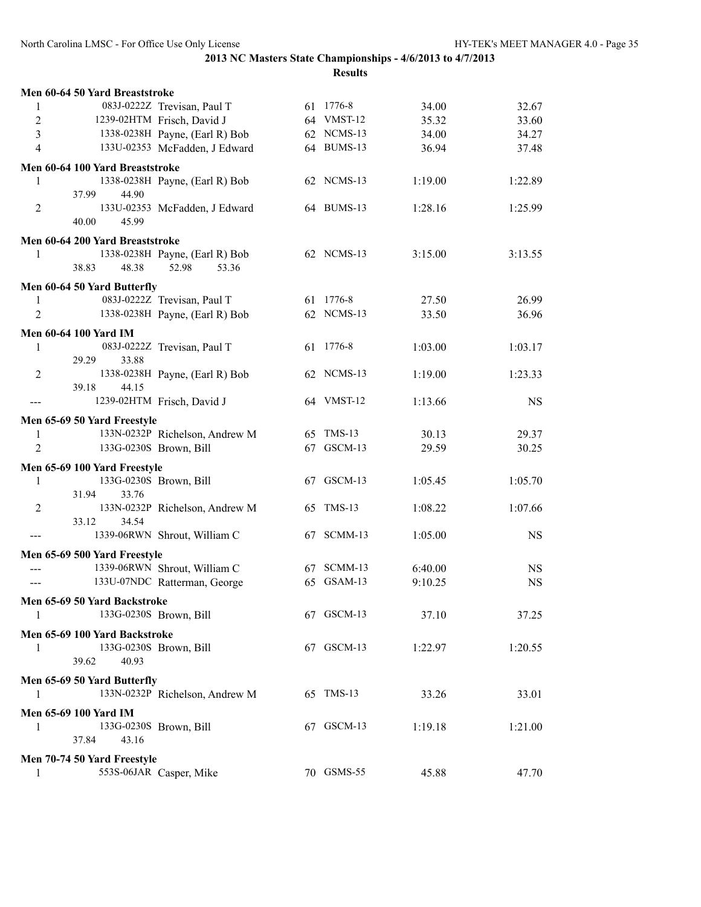|                           | Men 60-64 50 Yard Breaststroke  |                                |            |         |           |
|---------------------------|---------------------------------|--------------------------------|------------|---------|-----------|
| 1                         |                                 | 083J-0222Z Trevisan, Paul T    | 61 1776-8  | 34.00   | 32.67     |
| $\sqrt{2}$                |                                 | 1239-02HTM Frisch, David J     | 64 VMST-12 | 35.32   | 33.60     |
| $\overline{3}$            |                                 | 1338-0238H Payne, (Earl R) Bob | 62 NCMS-13 | 34.00   | 34.27     |
| $\overline{4}$            |                                 | 133U-02353 McFadden, J Edward  | 64 BUMS-13 | 36.94   | 37.48     |
|                           | Men 60-64 100 Yard Breaststroke |                                |            |         |           |
| 1                         |                                 | 1338-0238H Payne, (Earl R) Bob | 62 NCMS-13 | 1:19.00 | 1:22.89   |
|                           | 37.99<br>44.90                  |                                |            |         |           |
| $\overline{2}$            |                                 | 133U-02353 McFadden, J Edward  | 64 BUMS-13 | 1:28.16 | 1:25.99   |
|                           | 40.00<br>45.99                  |                                |            |         |           |
|                           | Men 60-64 200 Yard Breaststroke |                                |            |         |           |
| 1                         |                                 | 1338-0238H Payne, (Earl R) Bob | 62 NCMS-13 | 3:15.00 | 3:13.55   |
|                           | 38.83<br>48.38                  | 52.98<br>53.36                 |            |         |           |
|                           | Men 60-64 50 Yard Butterfly     |                                |            |         |           |
|                           |                                 | 083J-0222Z Trevisan, Paul T    | 61 1776-8  | 27.50   | 26.99     |
| 1                         |                                 |                                | 62 NCMS-13 |         |           |
| 2                         |                                 | 1338-0238H Payne, (Earl R) Bob |            | 33.50   | 36.96     |
|                           | <b>Men 60-64 100 Yard IM</b>    |                                |            |         |           |
| 1                         |                                 | 083J-0222Z Trevisan, Paul T    | 61 1776-8  | 1:03.00 | 1:03.17   |
|                           | 29.29<br>33.88                  |                                |            |         |           |
| 2                         |                                 | 1338-0238H Payne, (Earl R) Bob | 62 NCMS-13 | 1:19.00 | 1:23.33   |
|                           | 44.15<br>39.18                  |                                |            |         |           |
|                           |                                 | 1239-02HTM Frisch, David J     | 64 VMST-12 | 1:13.66 | <b>NS</b> |
|                           | Men 65-69 50 Yard Freestyle     |                                |            |         |           |
| 1                         |                                 | 133N-0232P Richelson, Andrew M | 65 TMS-13  | 30.13   | 29.37     |
| $\overline{2}$            |                                 | 133G-0230S Brown, Bill         | 67 GSCM-13 | 29.59   | 30.25     |
|                           | Men 65-69 100 Yard Freestyle    |                                |            |         |           |
| 1                         |                                 | 133G-0230S Brown, Bill         | 67 GSCM-13 | 1:05.45 | 1:05.70   |
|                           | 31.94<br>33.76                  |                                |            |         |           |
| $\overline{2}$            |                                 | 133N-0232P Richelson, Andrew M | 65 TMS-13  | 1:08.22 | 1:07.66   |
|                           | 34.54<br>33.12                  |                                |            |         |           |
|                           |                                 | 1339-06RWN Shrout, William C   | 67 SCMM-13 | 1:05.00 | <b>NS</b> |
|                           |                                 |                                |            |         |           |
|                           | Men 65-69 500 Yard Freestyle    |                                |            |         |           |
|                           |                                 | 1339-06RWN Shrout, William C   | 67 SCMM-13 | 6:40.00 | <b>NS</b> |
| $\qquad \qquad -\qquad -$ |                                 | 133U-07NDC Ratterman, George   | 65 GSAM-13 | 9:10.25 | <b>NS</b> |
|                           | Men 65-69 50 Yard Backstroke    |                                |            |         |           |
| 1                         |                                 | 133G-0230S Brown, Bill         | 67 GSCM-13 | 37.10   | 37.25     |
|                           | Men 65-69 100 Yard Backstroke   |                                |            |         |           |
| 1                         |                                 | 133G-0230S Brown, Bill         | 67 GSCM-13 | 1:22.97 | 1:20.55   |
|                           | 39.62<br>40.93                  |                                |            |         |           |
|                           |                                 |                                |            |         |           |
|                           | Men 65-69 50 Yard Butterfly     |                                |            |         |           |
| 1                         |                                 | 133N-0232P Richelson, Andrew M | 65 TMS-13  | 33.26   | 33.01     |
|                           | Men 65-69 100 Yard IM           |                                |            |         |           |
| 1                         |                                 | 133G-0230S Brown, Bill         | 67 GSCM-13 | 1:19.18 | 1:21.00   |
|                           | 37.84<br>43.16                  |                                |            |         |           |
|                           | Men 70-74 50 Yard Freestyle     |                                |            |         |           |
| 1                         |                                 | 553S-06JAR Casper, Mike        | 70 GSMS-55 | 45.88   | 47.70     |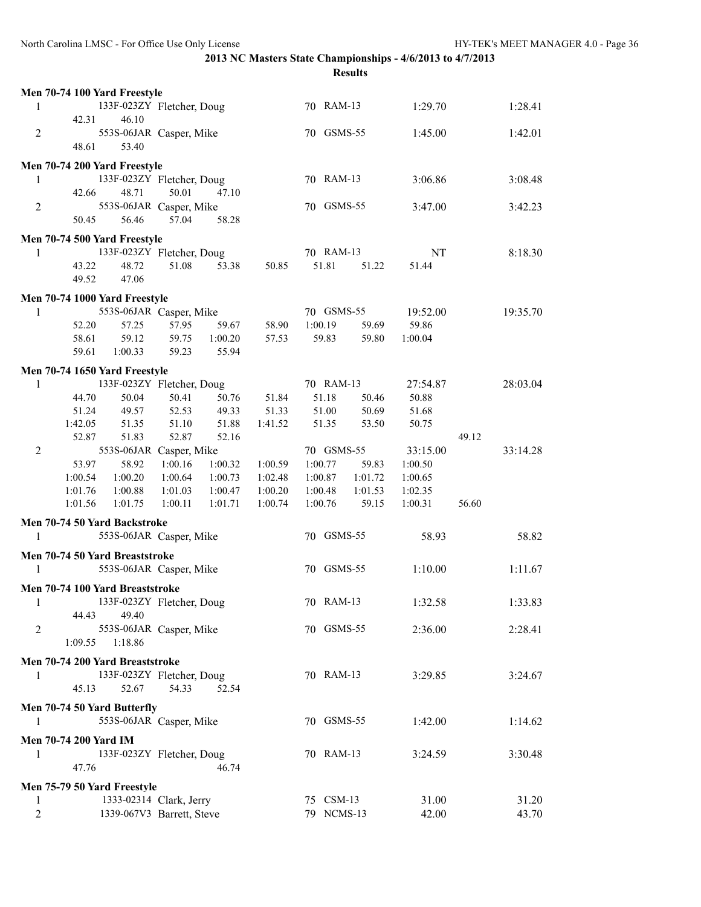| 1:28.41<br>1:29.70   |
|----------------------|
|                      |
| 1:45.00<br>1:42.01   |
|                      |
|                      |
| 3:06.86<br>3:08.48   |
|                      |
| 3:42.23<br>3:47.00   |
|                      |
|                      |
| NT<br>8:18.30        |
| 51.44                |
|                      |
|                      |
| 19:52.00<br>19:35.70 |
| 59.86                |
| 1:00.04              |
|                      |
|                      |
| 27:54.87<br>28:03.04 |
| 50.88                |
| 51.68                |
| 50.75<br>49.12       |
| 33:15.00<br>33:14.28 |
| 1:00.50              |
| 1:00.65              |
| 1:02.35              |
| 1:00.31<br>56.60     |
|                      |
| 58.93<br>58.82       |
|                      |
| 1:10.00<br>1:11.67   |
|                      |
|                      |
| 1:32.58<br>1:33.83   |
|                      |
| 2:36.00<br>2:28.41   |
|                      |
|                      |
| 3:29.85<br>3:24.67   |
|                      |
|                      |
| 1:42.00<br>1:14.62   |
|                      |
| 3:24.59<br>3:30.48   |
|                      |
|                      |
| 31.00<br>31.20       |
| 42.00<br>43.70       |
|                      |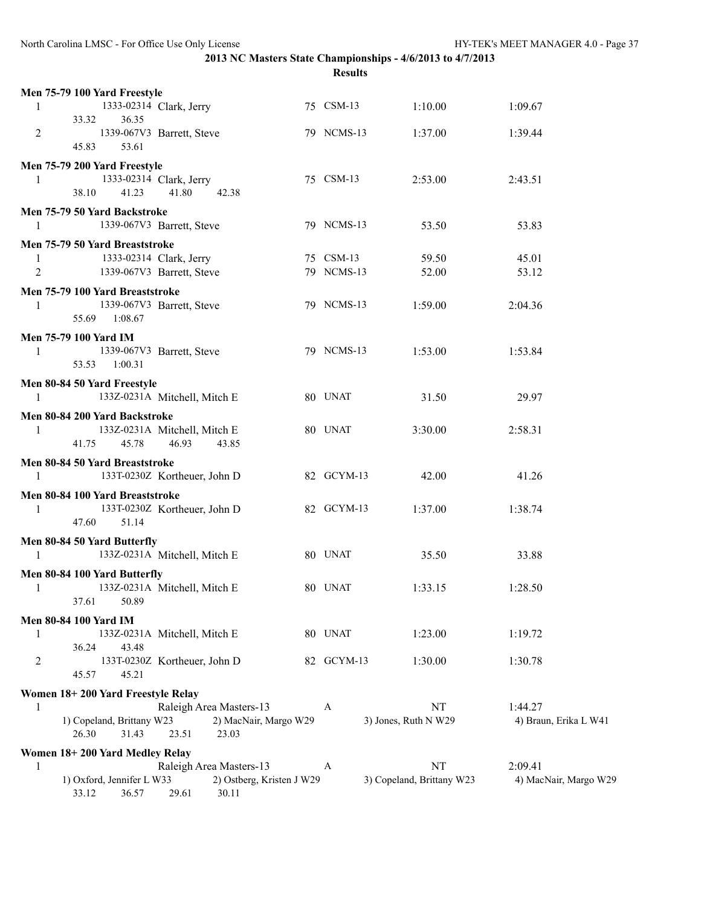| Men 75-79 100 Yard Freestyle                   |                                         | 75 CSM-13  |                           |                       |
|------------------------------------------------|-----------------------------------------|------------|---------------------------|-----------------------|
| 1<br>33.32<br>36.35                            | 1333-02314 Clark, Jerry                 |            | 1:10.00                   | 1:09.67               |
| $\overline{2}$<br>45.83<br>53.61               | 1339-067V3 Barrett, Steve               | 79 NCMS-13 | 1:37.00                   | 1:39.44               |
| Men 75-79 200 Yard Freestyle                   |                                         |            |                           |                       |
| 1333-02314 Clark, Jerry<br>1<br>38.10<br>41.23 | 41.80<br>42.38                          | 75 CSM-13  | 2:53.00                   | 2:43.51               |
| Men 75-79 50 Yard Backstroke                   |                                         |            |                           |                       |
| 1                                              | 1339-067V3 Barrett, Steve               | 79 NCMS-13 | 53.50                     | 53.83                 |
| Men 75-79 50 Yard Breaststroke                 |                                         |            |                           |                       |
| 1333-02314 Clark, Jerry<br>$\mathbf{1}$        |                                         | 75 CSM-13  | 59.50                     | 45.01                 |
| 2                                              | 1339-067V3 Barrett, Steve               | 79 NCMS-13 | 52.00                     | 53.12                 |
| Men 75-79 100 Yard Breaststroke                |                                         |            |                           |                       |
| 1                                              | 1339-067V3 Barrett, Steve               | 79 NCMS-13 | 1:59.00                   | 2:04.36               |
| 55.69 1:08.67                                  |                                         |            |                           |                       |
| Men 75-79 100 Yard IM                          |                                         |            |                           |                       |
| 1                                              | 1339-067V3 Barrett, Steve               | 79 NCMS-13 | 1:53.00                   | 1:53.84               |
| 53.53 1:00.31                                  |                                         |            |                           |                       |
| Men 80-84 50 Yard Freestyle                    |                                         |            |                           |                       |
| 1                                              | 133Z-0231A Mitchell, Mitch E            | 80 UNAT    | 31.50                     | 29.97                 |
| Men 80-84 200 Yard Backstroke                  |                                         |            |                           |                       |
| 1                                              | 133Z-0231A Mitchell, Mitch E            | 80 UNAT    | 3:30.00                   | 2:58.31               |
| 41.75<br>45.78                                 | 46.93<br>43.85                          |            |                           |                       |
| Men 80-84 50 Yard Breaststroke                 |                                         |            |                           |                       |
| 1                                              | 133T-0230Z Kortheuer, John D            | 82 GCYM-13 | 42.00                     | 41.26                 |
| Men 80-84 100 Yard Breaststroke                |                                         |            |                           |                       |
| 1                                              | 133T-0230Z Kortheuer, John D            | 82 GCYM-13 | 1:37.00                   | 1:38.74               |
| 47.60<br>51.14                                 |                                         |            |                           |                       |
| Men 80-84 50 Yard Butterfly                    |                                         |            |                           |                       |
| 1                                              | 133Z-0231A Mitchell, Mitch E            | 80 UNAT    | 35.50                     | 33.88                 |
| Men 80-84 100 Yard Butterfly                   |                                         |            |                           |                       |
| 1                                              | 133Z-0231A Mitchell, Mitch E            | 80 UNAT    | 1:33.15                   | 1:28.50               |
| 37.61<br>50.89                                 |                                         |            |                           |                       |
| <b>Men 80-84 100 Yard IM</b>                   |                                         |            |                           |                       |
| 1                                              | 133Z-0231A Mitchell, Mitch E            | 80 UNAT    | 1:23.00                   | 1:19.72               |
| 36.24<br>43.48                                 |                                         |            |                           |                       |
| 2                                              | 133T-0230Z Kortheuer, John D            | 82 GCYM-13 | 1:30.00                   | 1:30.78               |
| 45.57<br>45.21                                 |                                         |            |                           |                       |
| Women 18+200 Yard Freestyle Relay              |                                         |            |                           |                       |
| 1<br>1) Copeland, Brittany W23                 | Raleigh Area Masters-13                 | A          | <b>NT</b>                 | 1:44.27               |
| 26.30<br>31.43                                 | 2) MacNair, Margo W29<br>23.51<br>23.03 |            | 3) Jones, Ruth N W29      | 4) Braun, Erika L W41 |
|                                                |                                         |            |                           |                       |
| Women 18+200 Yard Medley Relay<br>1            | Raleigh Area Masters-13                 | A          | NT                        | 2:09.41               |
| 1) Oxford, Jennifer L W33                      | 2) Ostberg, Kristen J W29               |            | 3) Copeland, Brittany W23 | 4) MacNair, Margo W29 |
| 36.57<br>33.12                                 | 29.61<br>30.11                          |            |                           |                       |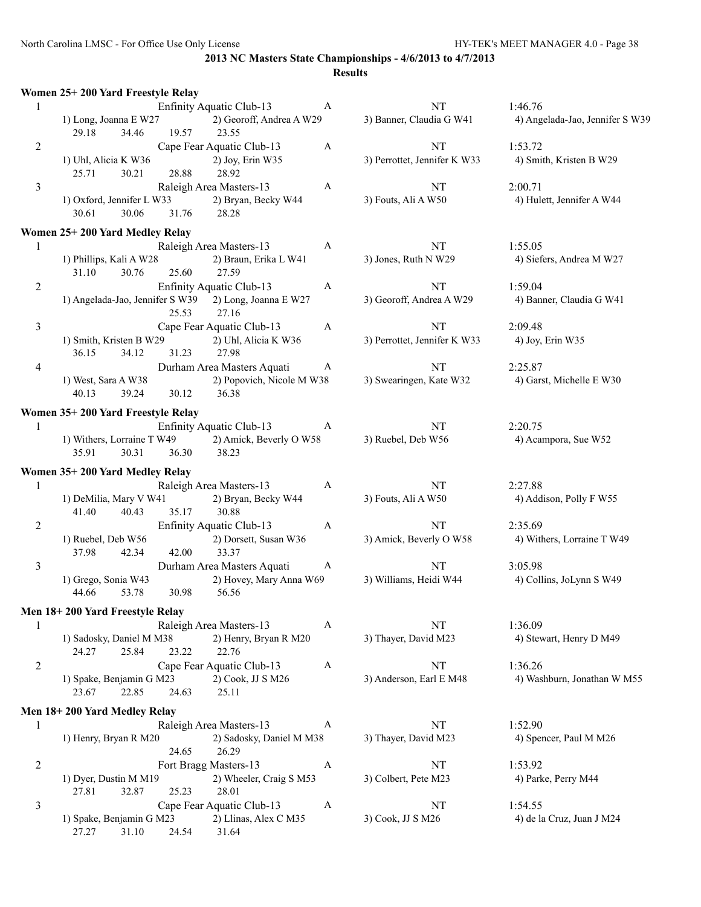|                | Women 25+200 Yard Freestyle Relay                              |                                                                  |              |                                    |                                            |
|----------------|----------------------------------------------------------------|------------------------------------------------------------------|--------------|------------------------------------|--------------------------------------------|
| 1              | 1) Long, Joanna E W27                                          | Enfinity Aquatic Club-13<br>2) Georoff, Andrea A W29             | A            | NT<br>3) Banner, Claudia G W41     | 1:46.76<br>4) Angelada-Jao, Jennifer S W39 |
| $\overline{2}$ | 29.18<br>34.46<br>19.57                                        | 23.55<br>Cape Fear Aquatic Club-13                               | $\mathbf{A}$ | NT                                 | 1:53.72                                    |
|                | 1) Uhl, Alicia K W36<br>25.71<br>30.21<br>28.88                | 2) Joy, Erin W35<br>28.92                                        |              | 3) Perrottet, Jennifer K W33       | 4) Smith, Kristen B W29                    |
| $\mathfrak{Z}$ | 1) Oxford, Jennifer L W33<br>30.61<br>30.06<br>31.76           | Raleigh Area Masters-13<br>2) Bryan, Becky W44<br>28.28          | $\mathbf{A}$ | NT<br>3) Fouts, Ali A W50          | 2:00.71<br>4) Hulett, Jennifer A W44       |
|                | Women 25+200 Yard Medley Relay                                 |                                                                  |              |                                    |                                            |
| $\mathbf{1}$   | 1) Phillips, Kali A W28<br>30.76<br>25.60<br>31.10             | Raleigh Area Masters-13<br>2) Braun, Erika L W41<br>27.59        | A            | <b>NT</b><br>3) Jones, Ruth N W29  | 1:55.05<br>4) Siefers, Andrea M W27        |
| $\overline{c}$ | 1) Angelada-Jao, Jennifer S W39 2) Long, Joanna E W27<br>25.53 | Enfinity Aquatic Club-13<br>27.16                                | A            | NT<br>3) Georoff, Andrea A W29     | 1:59.04<br>4) Banner, Claudia G W41        |
| $\mathfrak{Z}$ | 1) Smith, Kristen B W29<br>36.15<br>34.12<br>31.23             | Cape Fear Aquatic Club-13<br>2) Uhl, Alicia K W36<br>27.98       | A            | NT<br>3) Perrottet, Jennifer K W33 | 2:09.48<br>4) Joy, Erin W35                |
| $\overline{4}$ | 1) West, Sara A W38<br>40.13<br>39.24<br>30.12                 | Durham Area Masters Aquati<br>2) Popovich, Nicole M W38<br>36.38 | A            | NT<br>3) Swearingen, Kate W32      | 2:25.87<br>4) Garst, Michelle E W30        |
|                | Women 35+200 Yard Freestyle Relay                              |                                                                  |              |                                    |                                            |
| 1              | 1) Withers, Lorraine T W49<br>35.91<br>30.31<br>36.30          | Enfinity Aquatic Club-13<br>2) Amick, Beverly O W58<br>38.23     | A            | <b>NT</b><br>3) Ruebel, Deb W56    | 2:20.75<br>4) Acampora, Sue W52            |
|                | Women 35+200 Yard Medley Relay                                 |                                                                  |              |                                    |                                            |
| 1              | 1) DeMilia, Mary V W41                                         | Raleigh Area Masters-13<br>2) Bryan, Becky W44                   | A            | NT<br>3) Fouts, Ali A W50          | 2:27.88<br>4) Addison, Polly F W55         |
| 2              | 41.40<br>35.17<br>40.43<br>1) Ruebel, Deb W56                  | 30.88<br>Enfinity Aquatic Club-13<br>2) Dorsett, Susan W36       | A            | NT<br>3) Amick, Beverly O W58      | 2:35.69<br>4) Withers, Lorraine T W49      |
|                | 42.34<br>42.00<br>37.98                                        | 33.37                                                            |              |                                    |                                            |
| 3              | 1) Grego, Sonia W43<br>30.98<br>44.66<br>53.78                 | Durham Area Masters Aquati<br>2) Hovey, Mary Anna W69<br>56.56   | A            | NT<br>3) Williams, Heidi W44       | 3:05.98<br>4) Collins, JoLynn S W49        |
|                | Men 18+200 Yard Freestyle Relay                                |                                                                  |              |                                    |                                            |
| 1              | 1) Sadosky, Daniel M M38<br>25.84<br>23.22<br>24.27            | Raleigh Area Masters-13<br>2) Henry, Bryan R M20<br>22.76        | A            | NT<br>3) Thayer, David M23         | 1:36.09<br>4) Stewart, Henry D M49         |
| $\overline{c}$ | 1) Spake, Benjamin G M23<br>22.85<br>23.67<br>24.63            | Cape Fear Aquatic Club-13<br>2) Cook, JJ S M26<br>25.11          | $\mathbf{A}$ | NT<br>3) Anderson, Earl E M48      | 1:36.26<br>4) Washburn, Jonathan W M55     |
|                | Men 18+200 Yard Medley Relay                                   |                                                                  |              |                                    |                                            |
| 1              | 1) Henry, Bryan R M20<br>24.65                                 | Raleigh Area Masters-13<br>2) Sadosky, Daniel M M38<br>26.29     | A            | <b>NT</b><br>3) Thayer, David M23  | 1:52.90<br>4) Spencer, Paul M M26          |
| $\overline{c}$ | 1) Dyer, Dustin M M19                                          | Fort Bragg Masters-13<br>2) Wheeler, Craig S M53                 | A            | NT<br>3) Colbert, Pete M23         | 1:53.92<br>4) Parke, Perry M44             |
| 3              | 25.23<br>27.81<br>32.87                                        | 28.01<br>Cape Fear Aquatic Club-13                               | A            | NT                                 | 1:54.55                                    |
|                | 1) Spake, Benjamin G M23<br>27.27<br>31.10<br>24.54            | 2) Llinas, Alex C M35<br>31.64                                   |              | 3) Cook, JJ S M26                  | 4) de la Cruz, Juan J M24                  |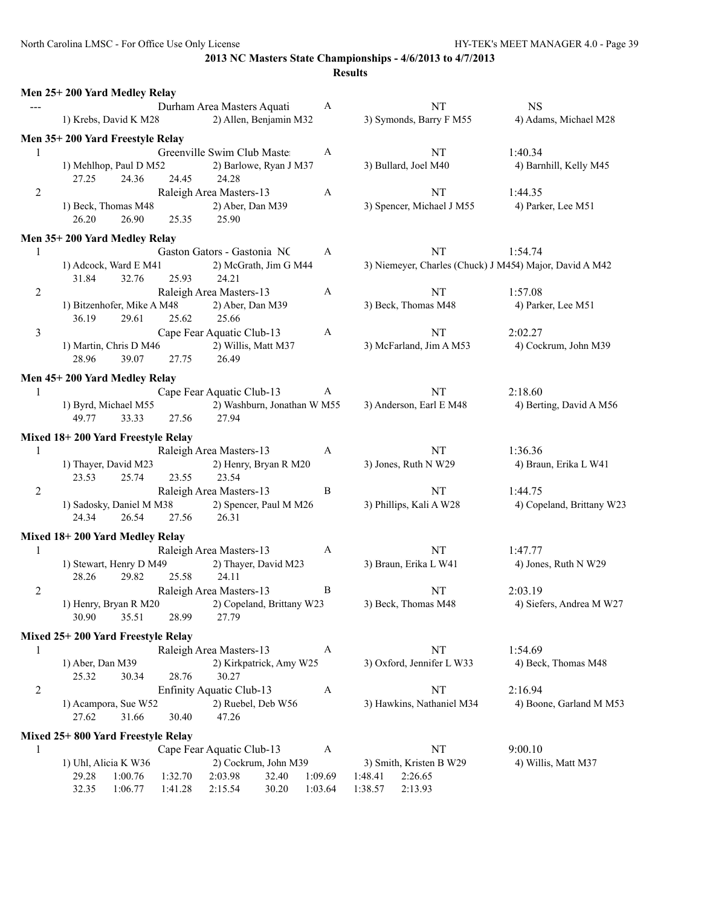|                | Men 25+200 Yard Medley Relay         |                    |                             |                |                    |                    |                           |                                                         |
|----------------|--------------------------------------|--------------------|-----------------------------|----------------|--------------------|--------------------|---------------------------|---------------------------------------------------------|
|                | Durham Area Masters Aquati           |                    |                             | $\mathbf{A}$   |                    | NT                 | <b>NS</b>                 |                                                         |
|                | 1) Krebs, David K M28                |                    | 2) Allen, Benjamin M32      |                |                    |                    | 3) Symonds, Barry F M55   | 4) Adams, Michael M28                                   |
|                | Men 35+200 Yard Freestyle Relay      |                    |                             |                |                    |                    |                           |                                                         |
| 1              |                                      |                    | Greenville Swim Club Master |                | A                  |                    | NT                        | 1:40.34                                                 |
|                | 1) Mehlhop, Paul D M52               |                    | 2) Barlowe, Ryan J M37      |                |                    |                    | 3) Bullard, Joel M40      | 4) Barnhill, Kelly M45                                  |
|                | 24.36<br>27.25                       | 24.45              | 24.28                       |                |                    |                    |                           |                                                         |
| 2              | Raleigh Area Masters-13              |                    | A                           |                | NT                 | 1:44.35            |                           |                                                         |
|                | 1) Beck, Thomas M48                  |                    | 2) Aber, Dan M39            |                |                    |                    | 3) Spencer, Michael J M55 | 4) Parker, Lee M51                                      |
|                | 26.20<br>26.90                       | 25.35              | 25.90                       |                |                    |                    |                           |                                                         |
|                | Men 35+200 Yard Medley Relay         |                    |                             |                |                    |                    |                           |                                                         |
| 1              |                                      |                    | Gaston Gators - Gastonia NC |                | A                  |                    | NT                        | 1:54.74                                                 |
|                | 1) Adcock, Ward E M41                |                    | 2) McGrath, Jim G M44       |                |                    |                    |                           | 3) Niemeyer, Charles (Chuck) J M454) Major, David A M42 |
|                | 31.84<br>32.76                       | 25.93              | 24.21                       |                |                    |                    |                           |                                                         |
| $\overline{c}$ |                                      |                    | Raleigh Area Masters-13     |                | A                  |                    | $\mathbf{NT}$             | 1:57.08                                                 |
|                | 1) Bitzenhofer, Mike A M48           |                    | 2) Aber, Dan M39            |                |                    |                    | 3) Beck, Thomas M48       | 4) Parker, Lee M51                                      |
|                | 36.19<br>29.61                       | 25.62              | 25.66                       |                |                    |                    |                           |                                                         |
| 3              |                                      |                    | Cape Fear Aquatic Club-13   |                | $\mathbf{A}$       |                    | NT                        | 2:02.27                                                 |
|                | 1) Martin, Chris D M46               |                    | 2) Willis, Matt M37         |                |                    |                    | 3) McFarland, Jim A M53   | 4) Cockrum, John M39                                    |
|                | 39.07<br>28.96                       | 27.75              | 26.49                       |                |                    |                    |                           |                                                         |
|                | Men 45+200 Yard Medley Relay         |                    |                             |                |                    |                    |                           |                                                         |
| 1              |                                      |                    | Cape Fear Aquatic Club-13   |                | A                  |                    | NT                        | 2:18.60                                                 |
|                | 1) Byrd, Michael M55                 |                    | 2) Washburn, Jonathan W M55 |                |                    |                    | 3) Anderson, Earl E M48   | 4) Berting, David A M56                                 |
|                | 49.77<br>33.33                       | 27.56              | 27.94                       |                |                    |                    |                           |                                                         |
|                | Mixed 18+200 Yard Freestyle Relay    |                    |                             |                |                    |                    |                           |                                                         |
| 1              |                                      |                    | Raleigh Area Masters-13     |                | A                  |                    | NT                        | 1:36.36                                                 |
|                | 1) Thayer, David M23                 |                    | 2) Henry, Bryan R M20       |                |                    |                    | 3) Jones, Ruth N W29      | 4) Braun, Erika L W41                                   |
|                | 23.53<br>25.74                       | 23.55              | 23.54                       |                |                    |                    |                           |                                                         |
| 2              |                                      |                    | Raleigh Area Masters-13     |                | B                  |                    | NT                        | 1:44.75                                                 |
|                | 1) Sadosky, Daniel M M38             |                    | 2) Spencer, Paul M M26      |                |                    |                    | 3) Phillips, Kali A W28   | 4) Copeland, Brittany W23                               |
|                | 24.34<br>26.54                       | 27.56              | 26.31                       |                |                    |                    |                           |                                                         |
|                | Mixed 18+200 Yard Medley Relay       |                    |                             |                |                    |                    |                           |                                                         |
| 1              |                                      |                    | Raleigh Area Masters-13     |                | $\mathbf{A}$       |                    | NT                        | 1:47.77                                                 |
|                | 1) Stewart, Henry D M49              |                    | 2) Thayer, David M23        |                |                    |                    | 3) Braun, Erika L W41     | 4) Jones, Ruth N W29                                    |
|                | 28.26<br>29.82                       | 25.58              | 24.11                       |                |                    |                    |                           |                                                         |
| 2              |                                      |                    | Raleigh Area Masters-13     |                | B                  |                    | NT                        | 2:03.19                                                 |
|                | 1) Henry, Bryan R M20                |                    | 2) Copeland, Brittany W23   |                |                    |                    | 3) Beck, Thomas M48       | 4) Siefers, Andrea M W27                                |
|                | 30.90<br>35.51                       | 28.99              | 27.79                       |                |                    |                    |                           |                                                         |
|                |                                      |                    |                             |                |                    |                    |                           |                                                         |
|                | Mixed 25+200 Yard Freestyle Relay    |                    | Raleigh Area Masters-13     |                | A                  |                    | $\rm{NT}$                 | 1:54.69                                                 |
| 1              | 1) Aber, Dan M39                     |                    | 2) Kirkpatrick, Amy W25     |                |                    |                    | 3) Oxford, Jennifer L W33 | 4) Beck, Thomas M48                                     |
|                | 25.32<br>30.34                       | 28.76              | 30.27                       |                |                    |                    |                           |                                                         |
| 2              |                                      |                    | Enfinity Aquatic Club-13    |                | $\mathbf{A}$       |                    | NT                        | 2:16.94                                                 |
|                | 1) Acampora, Sue W52                 |                    | 2) Ruebel, Deb W56          |                |                    |                    | 3) Hawkins, Nathaniel M34 | 4) Boone, Garland M M53                                 |
|                | 27.62<br>31.66                       | 30.40              | 47.26                       |                |                    |                    |                           |                                                         |
|                |                                      |                    |                             |                |                    |                    |                           |                                                         |
|                | Mixed 25+800 Yard Freestyle Relay    |                    |                             |                |                    |                    |                           |                                                         |
| 1              |                                      |                    | Cape Fear Aquatic Club-13   |                | $\mathbf{A}$       |                    | NT                        | 9:00.10                                                 |
|                | 1) Uhl, Alicia K W36                 |                    | 2) Cockrum, John M39        |                |                    |                    | 3) Smith, Kristen B W29   | 4) Willis, Matt M37                                     |
|                | 29.28<br>1:00.76<br>1:06.77<br>32.35 | 1:32.70<br>1:41.28 | 2:03.98<br>2:15.54          | 32.40<br>30.20 | 1:09.69<br>1:03.64 | 1:48.41<br>1:38.57 | 2:26.65<br>2:13.93        |                                                         |
|                |                                      |                    |                             |                |                    |                    |                           |                                                         |